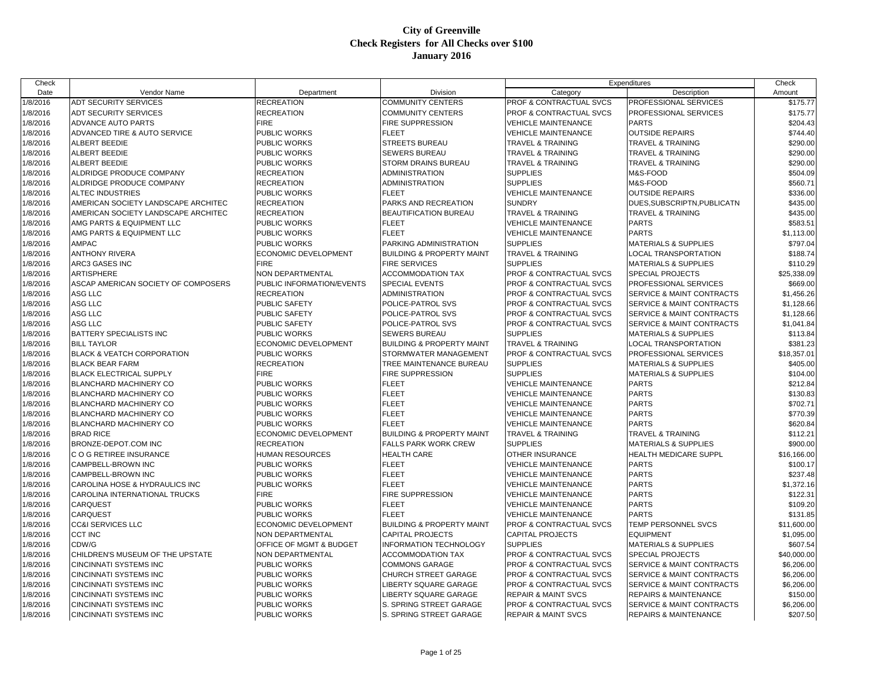| Check                |                                           |                             |                                      |                                                          | Expenditures                         | Check                |
|----------------------|-------------------------------------------|-----------------------------|--------------------------------------|----------------------------------------------------------|--------------------------------------|----------------------|
| Date                 | Vendor Name                               | Department                  | Division                             | Category                                                 | Description                          | Amount               |
| 1/8/2016             | <b>ADT SECURITY SERVICES</b>              | <b>RECREATION</b>           | <b>COMMUNITY CENTERS</b>             | PROF & CONTRACTUAL SVCS                                  | PROFESSIONAL SERVICES                | \$175.77             |
| 1/8/2016             | <b>ADT SECURITY SERVICES</b>              | <b>RECREATION</b>           | <b>COMMUNITY CENTERS</b>             | PROF & CONTRACTUAL SVCS                                  | PROFESSIONAL SERVICES                | \$175.77             |
| 1/8/2016             | ADVANCE AUTO PARTS                        | <b>FIRE</b>                 | FIRE SUPPRESSION                     | <b>VEHICLE MAINTENANCE</b>                               | <b>PARTS</b>                         | \$204.43             |
| 1/8/2016             | ADVANCED TIRE & AUTO SERVICE              | PUBLIC WORKS                | <b>FLEET</b>                         | <b>VEHICLE MAINTENANCE</b>                               | <b>OUTSIDE REPAIRS</b>               | \$744.40             |
| 1/8/2016             | ALBERT BEEDIE                             | PUBLIC WORKS                | <b>STREETS BUREAU</b>                | <b>TRAVEL &amp; TRAINING</b>                             | TRAVEL & TRAINING                    | \$290.00             |
| 1/8/2016             | ALBERT BEEDIE                             | PUBLIC WORKS                | <b>SEWERS BUREAU</b>                 | <b>TRAVEL &amp; TRAINING</b>                             | TRAVEL & TRAINING                    | \$290.00             |
| 1/8/2016             | ALBERT BEEDIE                             | PUBLIC WORKS                | STORM DRAINS BUREAU                  | <b>TRAVEL &amp; TRAINING</b>                             | TRAVEL & TRAINING                    | \$290.00             |
| 1/8/2016             | ALDRIDGE PRODUCE COMPANY                  | <b>RECREATION</b>           | ADMINISTRATION                       | <b>SUPPLIES</b>                                          | M&S-FOOD                             | \$504.09             |
| 1/8/2016             | ALDRIDGE PRODUCE COMPANY                  | <b>RECREATION</b>           | ADMINISTRATION                       | <b>SUPPLIES</b>                                          | M&S-FOOD                             | \$560.71             |
| 1/8/2016             | <b>ALTEC INDUSTRIES</b>                   | PUBLIC WORKS                | FLEET                                | <b>VEHICLE MAINTENANCE</b>                               | <b>OUTSIDE REPAIRS</b>               | \$336.00             |
| 1/8/2016             | AMERICAN SOCIETY LANDSCAPE ARCHITEC       | <b>RECREATION</b>           | PARKS AND RECREATION                 | <b>SUNDRY</b>                                            | DUES, SUBSCRIPTN, PUBLICATN          | \$435.00             |
| 1/8/2016             | AMERICAN SOCIETY LANDSCAPE ARCHITEC       | <b>RECREATION</b>           | BEAUTIFICATION BUREAU                | TRAVEL & TRAINING                                        | <b>TRAVEL &amp; TRAINING</b>         | \$435.00             |
| 1/8/2016             | AMG PARTS & EQUIPMENT LLC                 | PUBLIC WORKS                | <b>FLEET</b>                         | <b>VEHICLE MAINTENANCE</b>                               | <b>PARTS</b>                         | \$583.51             |
| 1/8/2016             | AMG PARTS & EQUIPMENT LLC                 | PUBLIC WORKS                | <b>FLEET</b>                         | <b>VEHICLE MAINTENANCE</b>                               | <b>PARTS</b>                         | \$1,113.00           |
| 1/8/2016             | <b>AMPAC</b>                              | PUBLIC WORKS                | PARKING ADMINISTRATION               | <b>SUPPLIES</b>                                          | <b>MATERIALS &amp; SUPPLIES</b>      | \$797.04             |
| 1/8/2016             | <b>ANTHONY RIVERA</b>                     | ECONOMIC DEVELOPMENT        | <b>BUILDING &amp; PROPERTY MAINT</b> | <b>TRAVEL &amp; TRAINING</b>                             | LOCAL TRANSPORTATION                 | \$188.74             |
| 1/8/2016             | ARC3 GASES INC                            | <b>FIRE</b>                 | <b>FIRE SERVICES</b>                 | <b>SUPPLIES</b>                                          | <b>MATERIALS &amp; SUPPLIES</b>      | \$110.29             |
| 1/8/2016             | <b>ARTISPHERE</b>                         | NON DEPARTMENTAL            | <b>ACCOMMODATION TAX</b>             | PROF & CONTRACTUAL SVCS                                  | SPECIAL PROJECTS                     | \$25,338.09          |
| 1/8/2016             | ASCAP AMERICAN SOCIETY OF COMPOSERS       | PUBLIC INFORMATION/EVENTS   | <b>SPECIAL EVENTS</b>                | PROF & CONTRACTUAL SVCS                                  | PROFESSIONAL SERVICES                | \$669.00             |
| 1/8/2016             | ASG LLC                                   | <b>RECREATION</b>           | ADMINISTRATION                       | PROF & CONTRACTUAL SVCS                                  | <b>SERVICE &amp; MAINT CONTRACTS</b> | \$1,456.26           |
| 1/8/2016             | ASG LLC                                   | PUBLIC SAFETY               | POLICE-PATROL SVS                    | PROF & CONTRACTUAL SVCS                                  | SERVICE & MAINT CONTRACTS            | \$1,128.66           |
| 1/8/2016             | ASG LLC                                   | PUBLIC SAFETY               | POLICE-PATROL SVS                    | PROF & CONTRACTUAL SVCS                                  | SERVICE & MAINT CONTRACTS            | \$1,128.66           |
| 1/8/2016             | ASG LLC                                   | <b>PUBLIC SAFETY</b>        | POLICE-PATROL SVS                    | PROF & CONTRACTUAL SVCS                                  | SERVICE & MAINT CONTRACTS            | \$1,041.84           |
| 1/8/2016             | <b>BATTERY SPECIALISTS INC</b>            | PUBLIC WORKS                | SEWERS BUREAU                        | <b>SUPPLIES</b>                                          | <b>MATERIALS &amp; SUPPLIES</b>      | \$113.84             |
| 1/8/2016             | <b>BILL TAYLOR</b>                        | ECONOMIC DEVELOPMENT        | <b>BUILDING &amp; PROPERTY MAINT</b> | TRAVEL & TRAINING                                        | LOCAL TRANSPORTATION                 | \$381.23             |
| 1/8/2016             | BLACK & VEATCH CORPORATION                | PUBLIC WORKS                | STORMWATER MANAGEMENT                | PROF & CONTRACTUAL SVCS                                  | PROFESSIONAL SERVICES                | \$18,357.01          |
| 1/8/2016             | <b>BLACK BEAR FARM</b>                    | <b>RECREATION</b>           | TREE MAINTENANCE BUREAU              | <b>SUPPLIES</b>                                          | <b>MATERIALS &amp; SUPPLIES</b>      | \$405.00             |
| 1/8/2016             | <b>BLACK ELECTRICAL SUPPLY</b>            | <b>FIRE</b>                 | FIRE SUPPRESSION                     | <b>SUPPLIES</b>                                          | <b>MATERIALS &amp; SUPPLIES</b>      | \$104.00             |
| 1/8/2016             | <b>BLANCHARD MACHINERY CO</b>             | PUBLIC WORKS                | <b>FLEET</b>                         | <b>VEHICLE MAINTENANCE</b>                               | <b>PARTS</b>                         | \$212.84             |
| 1/8/2016             | <b>BLANCHARD MACHINERY CO</b>             | PUBLIC WORKS                | <b>FLEET</b>                         | <b>VEHICLE MAINTENANCE</b>                               | <b>PARTS</b>                         | \$130.83             |
| 1/8/2016             | <b>BLANCHARD MACHINERY CO</b>             | PUBLIC WORKS                | <b>FLEET</b>                         | <b>VEHICLE MAINTENANCE</b>                               | <b>PARTS</b>                         | \$702.71             |
| 1/8/2016             | <b>BLANCHARD MACHINERY CO</b>             | PUBLIC WORKS                | <b>FLEET</b>                         | <b>VEHICLE MAINTENANCE</b>                               | <b>PARTS</b>                         | \$770.39             |
| 1/8/2016             | <b>BLANCHARD MACHINERY CO</b>             | PUBLIC WORKS                | <b>FLEET</b>                         | <b>VEHICLE MAINTENANCE</b>                               | <b>PARTS</b>                         | \$620.84             |
| 1/8/2016             | <b>BRAD RICE</b>                          | ECONOMIC DEVELOPMENT        | <b>BUILDING &amp; PROPERTY MAINT</b> | <b>TRAVEL &amp; TRAINING</b>                             | TRAVEL & TRAINING                    | \$112.21             |
| 1/8/2016             | BRONZE-DEPOT.COM INC                      | <b>RECREATION</b>           | FALLS PARK WORK CREW                 | <b>SUPPLIES</b>                                          | <b>MATERIALS &amp; SUPPLIES</b>      | \$900.00             |
| 1/8/2016             | C O G RETIREE INSURANCE                   | <b>HUMAN RESOURCES</b>      | <b>HEALTH CARE</b>                   | OTHER INSURANCE                                          | HEALTH MEDICARE SUPPL                | \$16,166.00          |
| 1/8/2016             | CAMPBELL-BROWN INC                        | PUBLIC WORKS                | FLEET                                | <b>VEHICLE MAINTENANCE</b>                               | <b>PARTS</b>                         | \$100.17             |
| 1/8/2016             | CAMPBELL-BROWN INC                        | PUBLIC WORKS                | <b>FLEET</b>                         | <b>VEHICLE MAINTENANCE</b>                               | <b>PARTS</b>                         | \$237.48             |
| 1/8/2016             | CAROLINA HOSE & HYDRAULICS INC            | PUBLIC WORKS<br><b>FIRE</b> | <b>FLEET</b>                         | <b>VEHICLE MAINTENANCE</b>                               | <b>PARTS</b>                         | \$1,372.16           |
| 1/8/2016             | CAROLINA INTERNATIONAL TRUCKS<br>CARQUEST | PUBLIC WORKS                | FIRE SUPPRESSION<br><b>FLEET</b>     | <b>VEHICLE MAINTENANCE</b>                               | <b>PARTS</b><br><b>PARTS</b>         | \$122.31<br>\$109.20 |
| 1/8/2016             | <b>CARQUEST</b>                           | PUBLIC WORKS                | <b>FLEET</b>                         | <b>VEHICLE MAINTENANCE</b><br><b>VEHICLE MAINTENANCE</b> | <b>PARTS</b>                         | \$131.85             |
| 1/8/2016             | <b>CC&amp;I SERVICES LLC</b>              | ECONOMIC DEVELOPMENT        | <b>BUILDING &amp; PROPERTY MAINT</b> | PROF & CONTRACTUAL SVCS                                  | TEMP PERSONNEL SVCS                  | \$11,600.00          |
| 1/8/2016<br>1/8/2016 | <b>CCT INC</b>                            | <b>NON DEPARTMENTAL</b>     | <b>CAPITAL PROJECTS</b>              | <b>CAPITAL PROJECTS</b>                                  | <b>EQUIPMENT</b>                     | \$1,095.00           |
| 1/8/2016             | CDW/G                                     | OFFICE OF MGMT & BUDGET     | <b>INFORMATION TECHNOLOGY</b>        | <b>SUPPLIES</b>                                          | <b>MATERIALS &amp; SUPPLIES</b>      | \$607.54             |
| 1/8/2016             | CHILDREN'S MUSEUM OF THE UPSTATE          | <b>NON DEPARTMENTAL</b>     | <b>ACCOMMODATION TAX</b>             | PROF & CONTRACTUAL SVCS                                  | <b>SPECIAL PROJECTS</b>              | \$40,000.00          |
| 1/8/2016             | <b>CINCINNATI SYSTEMS INC</b>             | PUBLIC WORKS                | COMMONS GARAGE                       | PROF & CONTRACTUAL SVCS                                  | SERVICE & MAINT CONTRACTS            | \$6,206.00           |
| 1/8/2016             | <b>CINCINNATI SYSTEMS INC</b>             | PUBLIC WORKS                | CHURCH STREET GARAGE                 | PROF & CONTRACTUAL SVCS                                  | SERVICE & MAINT CONTRACTS            | \$6,206.00           |
| 1/8/2016             | <b>CINCINNATI SYSTEMS INC</b>             | PUBLIC WORKS                | LIBERTY SQUARE GARAGE                | PROF & CONTRACTUAL SVCS                                  | SERVICE & MAINT CONTRACTS            | \$6,206.00           |
| 1/8/2016             | <b>CINCINNATI SYSTEMS INC</b>             | PUBLIC WORKS                | LIBERTY SQUARE GARAGE                | <b>REPAIR &amp; MAINT SVCS</b>                           | REPAIRS & MAINTENANCE                | \$150.00             |
| 1/8/2016             | <b>CINCINNATI SYSTEMS INC</b>             | PUBLIC WORKS                | S. SPRING STREET GARAGE              | PROF & CONTRACTUAL SVCS                                  | SERVICE & MAINT CONTRACTS            | \$6,206.00           |
| 1/8/2016             | <b>CINCINNATI SYSTEMS INC</b>             | <b>PUBLIC WORKS</b>         | S. SPRING STREET GARAGE              | <b>REPAIR &amp; MAINT SVCS</b>                           | <b>REPAIRS &amp; MAINTENANCE</b>     | \$207.50             |
|                      |                                           |                             |                                      |                                                          |                                      |                      |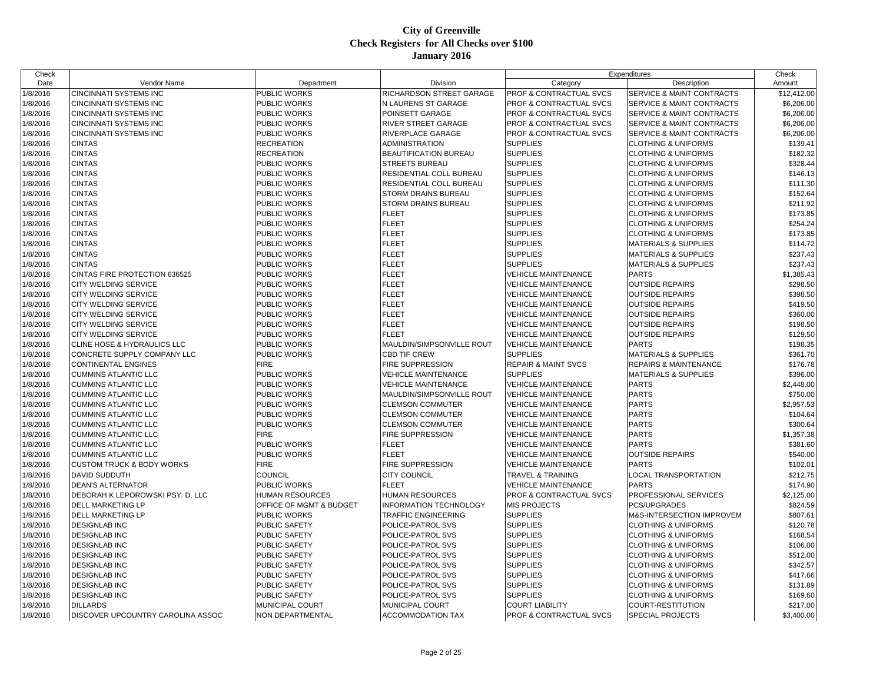| Check    |                                      |                         |                            |                                    | Expenditures                         | Check       |
|----------|--------------------------------------|-------------------------|----------------------------|------------------------------------|--------------------------------------|-------------|
| Date     | Vendor Name                          | Department              | Division                   | Category                           | Description                          | Amount      |
| 1/8/2016 | CINCINNATI SYSTEMS INC               | PUBLIC WORKS            | RICHARDSON STREET GARAGE   | PROF & CONTRACTUAL SVCS            | <b>SERVICE &amp; MAINT CONTRACTS</b> | \$12,412.00 |
| 1/8/2016 | <b>CINCINNATI SYSTEMS INC</b>        | PUBLIC WORKS            | N LAURENS ST GARAGE        | <b>PROF &amp; CONTRACTUAL SVCS</b> | <b>SERVICE &amp; MAINT CONTRACTS</b> | \$6,206.00  |
| 1/8/2016 | <b>CINCINNATI SYSTEMS INC</b>        | PUBLIC WORKS            | POINSETT GARAGE            | PROF & CONTRACTUAL SVCS            | SERVICE & MAINT CONTRACTS            | \$6,206.00  |
| 1/8/2016 | <b>CINCINNATI SYSTEMS INC</b>        | PUBLIC WORKS            | RIVER STREET GARAGE        | PROF & CONTRACTUAL SVCS            | SERVICE & MAINT CONTRACTS            | \$6,206.00  |
| 1/8/2016 | <b>CINCINNATI SYSTEMS INC</b>        | <b>PUBLIC WORKS</b>     | RIVERPLACE GARAGE          | PROF & CONTRACTUAL SVCS            | <b>SERVICE &amp; MAINT CONTRACTS</b> | \$6,206.00  |
| 1/8/2016 | <b>CINTAS</b>                        | <b>RECREATION</b>       | <b>ADMINISTRATION</b>      | <b>SUPPLIES</b>                    | <b>CLOTHING &amp; UNIFORMS</b>       | \$139.41    |
| 1/8/2016 | <b>CINTAS</b>                        | <b>RECREATION</b>       | BEAUTIFICATION BUREAU      | <b>SUPPLIES</b>                    | <b>CLOTHING &amp; UNIFORMS</b>       | \$182.32    |
| 1/8/2016 | <b>CINTAS</b>                        | PUBLIC WORKS            | <b>STREETS BUREAU</b>      | <b>SUPPLIES</b>                    | <b>CLOTHING &amp; UNIFORMS</b>       | \$328.44    |
| 1/8/2016 | <b>CINTAS</b>                        | <b>PUBLIC WORKS</b>     | RESIDENTIAL COLL BUREAU    | <b>SUPPLIES</b>                    | <b>CLOTHING &amp; UNIFORMS</b>       | \$146.13    |
| 1/8/2016 | <b>CINTAS</b>                        | <b>PUBLIC WORKS</b>     | RESIDENTIAL COLL BUREAU    | <b>SUPPLIES</b>                    | <b>CLOTHING &amp; UNIFORMS</b>       | \$111.30    |
| 1/8/2016 | <b>CINTAS</b>                        | PUBLIC WORKS            | STORM DRAINS BUREAU        | <b>SUPPLIES</b>                    | <b>CLOTHING &amp; UNIFORMS</b>       | \$152.64    |
| 1/8/2016 | <b>CINTAS</b>                        | <b>PUBLIC WORKS</b>     | STORM DRAINS BUREAU        | <b>SUPPLIES</b>                    | <b>CLOTHING &amp; UNIFORMS</b>       | \$211.92    |
| 1/8/2016 | <b>CINTAS</b>                        | <b>PUBLIC WORKS</b>     | <b>FLEET</b>               | <b>SUPPLIES</b>                    | <b>CLOTHING &amp; UNIFORMS</b>       | \$173.85    |
| 1/8/2016 | <b>CINTAS</b>                        | PUBLIC WORKS            | <b>FLEET</b>               | <b>SUPPLIES</b>                    | <b>CLOTHING &amp; UNIFORMS</b>       | \$254.24    |
| 1/8/2016 | <b>CINTAS</b>                        | PUBLIC WORKS            | <b>FLEET</b>               | <b>SUPPLIES</b>                    | <b>CLOTHING &amp; UNIFORMS</b>       | \$173.85    |
| 1/8/2016 | <b>CINTAS</b>                        | <b>PUBLIC WORKS</b>     | <b>FLEET</b>               | <b>SUPPLIES</b>                    | <b>MATERIALS &amp; SUPPLIES</b>      | \$114.72    |
| 1/8/2016 | <b>CINTAS</b>                        | PUBLIC WORKS            | <b>FLEET</b>               | <b>SUPPLIES</b>                    | <b>MATERIALS &amp; SUPPLIES</b>      | \$237.43    |
| 1/8/2016 | <b>CINTAS</b>                        | PUBLIC WORKS            | <b>FLEET</b>               | <b>SUPPLIES</b>                    | <b>MATERIALS &amp; SUPPLIES</b>      | \$237.43    |
| 1/8/2016 | CINTAS FIRE PROTECTION 636525        | <b>PUBLIC WORKS</b>     | <b>FLEET</b>               | <b>VEHICLE MAINTENANCE</b>         | <b>PARTS</b>                         | \$1,385.43  |
| 1/8/2016 | <b>CITY WELDING SERVICE</b>          | <b>PUBLIC WORKS</b>     | <b>FLEET</b>               | <b>VEHICLE MAINTENANCE</b>         | <b>OUTSIDE REPAIRS</b>               | \$298.50    |
| 1/8/2016 | <b>CITY WELDING SERVICE</b>          | PUBLIC WORKS            | <b>FLEET</b>               | <b>VEHICLE MAINTENANCE</b>         | <b>OUTSIDE REPAIRS</b>               | \$398.50    |
| 1/8/2016 | CITY WELDING SERVICE                 | <b>PUBLIC WORKS</b>     | <b>FLEET</b>               | <b>VEHICLE MAINTENANCE</b>         | <b>OUTSIDE REPAIRS</b>               | \$419.50    |
| 1/8/2016 | <b>CITY WELDING SERVICE</b>          | PUBLIC WORKS            | <b>FLEET</b>               | <b>VEHICLE MAINTENANCE</b>         | <b>OUTSIDE REPAIRS</b>               | \$360.00    |
| 1/8/2016 | <b>CITY WELDING SERVICE</b>          | <b>PUBLIC WORKS</b>     | <b>FLEET</b>               | VEHICLE MAINTENANCE                | <b>OUTSIDE REPAIRS</b>               | \$198.50    |
| 1/8/2016 | CITY WELDING SERVICE                 | PUBLIC WORKS            | <b>FLEET</b>               | <b>VEHICLE MAINTENANCE</b>         | <b>OUTSIDE REPAIRS</b>               | \$129.50    |
| 1/8/2016 | CLINE HOSE & HYDRAULICS LLC          | PUBLIC WORKS            | MAULDIN/SIMPSONVILLE ROUT  | <b>VEHICLE MAINTENANCE</b>         | <b>PARTS</b>                         | \$198.35    |
|          |                                      | PUBLIC WORKS            | <b>CBD TIF CREW</b>        | <b>SUPPLIES</b>                    |                                      |             |
| 1/8/2016 | CONCRETE SUPPLY COMPANY LLC          | <b>FIRE</b>             |                            |                                    | <b>MATERIALS &amp; SUPPLIES</b>      | \$361.70    |
| 1/8/2016 | <b>CONTINENTAL ENGINES</b>           |                         | FIRE SUPPRESSION           | <b>REPAIR &amp; MAINT SVCS</b>     | <b>REPAIRS &amp; MAINTENANCE</b>     | \$176.78    |
| 1/8/2016 | <b>CUMMINS ATLANTIC LLC</b>          | PUBLIC WORKS            | <b>VEHICLE MAINTENANCE</b> | <b>SUPPLIES</b>                    | <b>MATERIALS &amp; SUPPLIES</b>      | \$396.00    |
| 1/8/2016 | <b>CUMMINS ATLANTIC LLC</b>          | PUBLIC WORKS            | <b>VEHICLE MAINTENANCE</b> | <b>VEHICLE MAINTENANCE</b>         | <b>PARTS</b>                         | \$2,448.00  |
| 1/8/2016 | <b>CUMMINS ATLANTIC LLC</b>          | PUBLIC WORKS            | MAULDIN/SIMPSONVILLE ROUT  | <b>VEHICLE MAINTENANCE</b>         | <b>PARTS</b>                         | \$750.00    |
| 1/8/2016 | <b>CUMMINS ATLANTIC LLC</b>          | PUBLIC WORKS            | <b>CLEMSON COMMUTER</b>    | <b>VEHICLE MAINTENANCE</b>         | <b>PARTS</b>                         | \$2,957.53  |
| 1/8/2016 | <b>CUMMINS ATLANTIC LLC</b>          | PUBLIC WORKS            | <b>CLEMSON COMMUTER</b>    | <b>VEHICLE MAINTENANCE</b>         | <b>PARTS</b>                         | \$104.64    |
| 1/8/2016 | <b>CUMMINS ATLANTIC LLC</b>          | PUBLIC WORKS            | <b>CLEMSON COMMUTER</b>    | <b>VEHICLE MAINTENANCE</b>         | <b>PARTS</b>                         | \$300.64    |
| 1/8/2016 | <b>CUMMINS ATLANTIC LLC</b>          | <b>FIRE</b>             | <b>FIRE SUPPRESSION</b>    | <b>VEHICLE MAINTENANCE</b>         | <b>PARTS</b>                         | \$1,357.38  |
| 1/8/2016 | <b>CUMMINS ATLANTIC LLC</b>          | <b>PUBLIC WORKS</b>     | <b>FLEET</b>               | <b>VEHICLE MAINTENANCE</b>         | <b>PARTS</b>                         | \$381.60    |
| 1/8/2016 | <b>CUMMINS ATLANTIC LLC</b>          | PUBLIC WORKS            | <b>FLEET</b>               | <b>VEHICLE MAINTENANCE</b>         | <b>OUTSIDE REPAIRS</b>               | \$540.00    |
| 1/8/2016 | <b>CUSTOM TRUCK &amp; BODY WORKS</b> | <b>FIRE</b>             | FIRE SUPPRESSION           | <b>VEHICLE MAINTENANCE</b>         | <b>PARTS</b>                         | \$102.01    |
| 1/8/2016 | DAVID SUDDUTH                        | <b>COUNCIL</b>          | <b>CITY COUNCIL</b>        | TRAVEL & TRAINING                  | LOCAL TRANSPORTATION                 | \$212.75    |
| 1/8/2016 | <b>DEAN'S ALTERNATOR</b>             | PUBLIC WORKS            | <b>FLEET</b>               | <b>VEHICLE MAINTENANCE</b>         | <b>PARTS</b>                         | \$174.90    |
| 1/8/2016 | DEBORAH K LEPOROWSKI PSY. D. LLC     | <b>HUMAN RESOURCES</b>  | HUMAN RESOURCES            | PROF & CONTRACTUAL SVCS            | PROFESSIONAL SERVICES                | \$2,125.00  |
| 1/8/2016 | DELL MARKETING LP                    | OFFICE OF MGMT & BUDGET | INFORMATION TECHNOLOGY     | <b>MIS PROJECTS</b>                | PCS/UPGRADES                         | \$824.59    |
| 1/8/2016 | <b>DELL MARKETING LP</b>             | PUBLIC WORKS            | TRAFFIC ENGINEERING        | <b>SUPPLIES</b>                    | M&S-INTERSECTION IMPROVEM            | \$807.61    |
| 1/8/2016 | <b>DESIGNLAB INC</b>                 | <b>PUBLIC SAFETY</b>    | POLICE-PATROL SVS          | <b>SUPPLIES</b>                    | <b>CLOTHING &amp; UNIFORMS</b>       | \$120.78    |
| 1/8/2016 | <b>DESIGNLAB INC</b>                 | PUBLIC SAFETY           | POLICE-PATROL SVS          | <b>SUPPLIES</b>                    | <b>CLOTHING &amp; UNIFORMS</b>       | \$168.54    |
| 1/8/2016 | <b>DESIGNLAB INC</b>                 | PUBLIC SAFETY           | POLICE-PATROL SVS          | <b>SUPPLIES</b>                    | <b>CLOTHING &amp; UNIFORMS</b>       | \$106.00    |
| 1/8/2016 | <b>DESIGNLAB INC</b>                 | PUBLIC SAFETY           | POLICE-PATROL SVS          | <b>SUPPLIES</b>                    | <b>CLOTHING &amp; UNIFORMS</b>       | \$512.00    |
| 1/8/2016 | <b>DESIGNLAB INC</b>                 | PUBLIC SAFETY           | POLICE-PATROL SVS          | <b>SUPPLIES</b>                    | <b>CLOTHING &amp; UNIFORMS</b>       | \$342.57    |
| 1/8/2016 | <b>DESIGNLAB INC</b>                 | <b>PUBLIC SAFETY</b>    | POLICE-PATROL SVS          | <b>SUPPLIES</b>                    | <b>CLOTHING &amp; UNIFORMS</b>       | \$417.66    |
| 1/8/2016 | <b>DESIGNLAB INC</b>                 | PUBLIC SAFETY           | POLICE-PATROL SVS          | <b>SUPPLIES</b>                    | <b>CLOTHING &amp; UNIFORMS</b>       | \$131.89    |
| 1/8/2016 | <b>DESIGNLAB INC</b>                 | <b>PUBLIC SAFETY</b>    | POLICE-PATROL SVS          | <b>SUPPLIES</b>                    | <b>CLOTHING &amp; UNIFORMS</b>       | \$169.60    |
| 1/8/2016 | <b>DILLARDS</b>                      | MUNICIPAL COURT         | MUNICIPAL COURT            | <b>COURT LIABILITY</b>             | COURT-RESTITUTION                    | \$217.00    |
| 1/8/2016 | DISCOVER UPCOUNTRY CAROLINA ASSOC    | <b>NON DEPARTMENTAL</b> | <b>ACCOMMODATION TAX</b>   | PROF & CONTRACTUAL SVCS            | <b>SPECIAL PROJECTS</b>              | \$3,400.00  |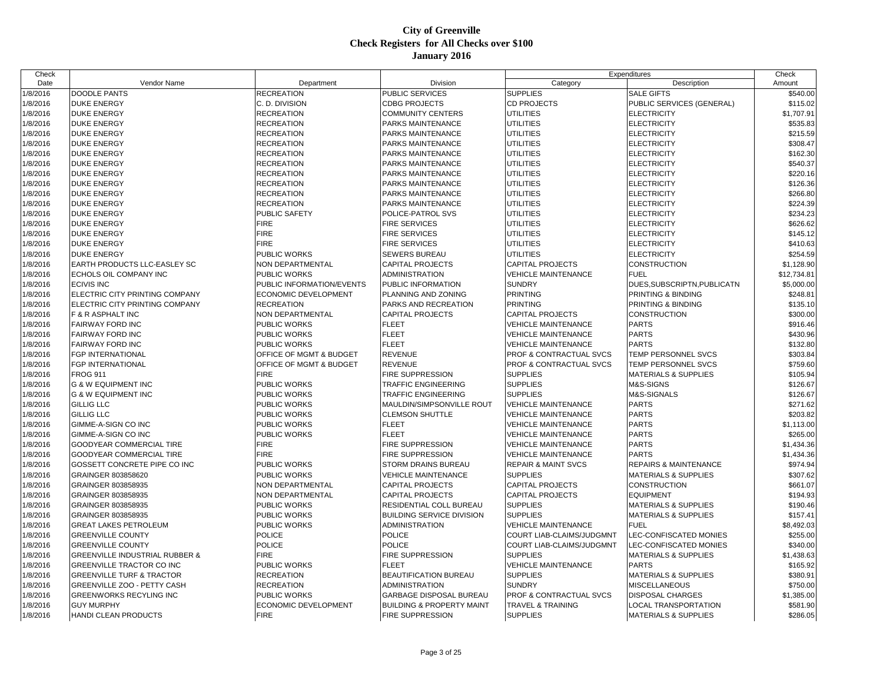| Check    |                                           |                           |                                                     |                                                          | Expenditures                     | Check       |
|----------|-------------------------------------------|---------------------------|-----------------------------------------------------|----------------------------------------------------------|----------------------------------|-------------|
| Date     | Vendor Name                               | Department                | Division                                            | Category                                                 | Description                      | Amount      |
| 1/8/2016 | DOODLE PANTS                              | <b>RECREATION</b>         | PUBLIC SERVICES                                     | <b>SUPPLIES</b>                                          | <b>SALE GIFTS</b>                | \$540.00    |
| 1/8/2016 | <b>DUKE ENERGY</b>                        | C. D. DIVISION            | <b>CDBG PROJECTS</b>                                | <b>CD PROJECTS</b>                                       | PUBLIC SERVICES (GENERAL)        | \$115.02    |
| 1/8/2016 | <b>DUKE ENERGY</b>                        | <b>RECREATION</b>         | <b>COMMUNITY CENTERS</b>                            | <b>UTILITIES</b>                                         | <b>ELECTRICITY</b>               | \$1,707.91  |
| 1/8/2016 | <b>DUKE ENERGY</b>                        | <b>RECREATION</b>         | PARKS MAINTENANCE                                   | UTILITIES                                                | <b>ELECTRICITY</b>               | \$535.83    |
| 1/8/2016 | <b>DUKE ENERGY</b>                        | <b>RECREATION</b>         | PARKS MAINTENANCE                                   | <b>UTILITIES</b>                                         | <b>ELECTRICITY</b>               | \$215.59    |
| 1/8/2016 | <b>DUKE ENERGY</b>                        | RECREATION                | PARKS MAINTENANCE                                   | UTILITIES                                                | <b>ELECTRICITY</b>               | \$308.47    |
| 1/8/2016 | <b>DUKE ENERGY</b>                        | <b>RECREATION</b>         | PARKS MAINTENANCE                                   | <b>UTILITIES</b>                                         | <b>ELECTRICITY</b>               | \$162.30    |
| 1/8/2016 | <b>DUKE ENERGY</b>                        | <b>RECREATION</b>         | PARKS MAINTENANCE                                   | UTILITIES                                                | <b>ELECTRICITY</b>               | \$540.37    |
| 1/8/2016 | <b>DUKE ENERGY</b>                        | <b>RECREATION</b>         | PARKS MAINTENANCE                                   | UTILITIES                                                | <b>ELECTRICITY</b>               | \$220.16    |
| 1/8/2016 | <b>DUKE ENERGY</b>                        | <b>RECREATION</b>         | PARKS MAINTENANCE                                   | <b>UTILITIES</b>                                         | <b>ELECTRICITY</b>               | \$126.36    |
| 1/8/2016 | <b>DUKE ENERGY</b>                        | <b>RECREATION</b>         | PARKS MAINTENANCE                                   | <b>UTILITIES</b>                                         | <b>ELECTRICITY</b>               | \$266.80    |
| 1/8/2016 | <b>DUKE ENERGY</b>                        | <b>RECREATION</b>         | PARKS MAINTENANCE                                   | <b>UTILITIES</b>                                         | <b>ELECTRICITY</b>               | \$224.39    |
| 1/8/2016 | <b>DUKE ENERGY</b>                        | PUBLIC SAFETY             | POLICE-PATROL SVS                                   | <b>UTILITIES</b>                                         | <b>ELECTRICITY</b>               | \$234.23    |
| 1/8/2016 | <b>DUKE ENERGY</b>                        | <b>FIRE</b>               | FIRE SERVICES                                       | <b>UTILITIES</b>                                         | <b>ELECTRICITY</b>               | \$626.62    |
| 1/8/2016 | <b>DUKE ENERGY</b>                        | <b>FIRE</b>               | <b>FIRE SERVICES</b>                                | <b>UTILITIES</b>                                         | <b>ELECTRICITY</b>               | \$145.12    |
| 1/8/2016 | <b>DUKE ENERGY</b>                        | <b>FIRE</b>               | <b>FIRE SERVICES</b>                                | <b>UTILITIES</b>                                         | <b>ELECTRICITY</b>               | \$410.63    |
| 1/8/2016 | <b>DUKE ENERGY</b>                        | PUBLIC WORKS              | SEWERS BUREAU                                       | <b>UTILITIES</b>                                         | <b>ELECTRICITY</b>               | \$254.59    |
| 1/8/2016 | <b>EARTH PRODUCTS LLC-EASLEY SC</b>       | NON DEPARTMENTAL          | CAPITAL PROJECTS                                    | <b>CAPITAL PROJECTS</b>                                  | CONSTRUCTION                     | \$1,128.90  |
| 1/8/2016 | ECHOLS OIL COMPANY INC                    | PUBLIC WORKS              | <b>ADMINISTRATION</b>                               | <b>VEHICLE MAINTENANCE</b>                               | <b>FUEL</b>                      | \$12,734.81 |
| 1/8/2016 | <b>ECIVIS INC</b>                         | PUBLIC INFORMATION/EVENTS | PUBLIC INFORMATION                                  | <b>SUNDRY</b>                                            | DUES, SUBSCRIPTN, PUBLICATN      | \$5,000.00  |
| 1/8/2016 | ELECTRIC CITY PRINTING COMPANY            | ECONOMIC DEVELOPMENT      | PLANNING AND ZONING                                 | <b>PRINTING</b>                                          | PRINTING & BINDING               | \$248.81    |
| 1/8/2016 | ELECTRIC CITY PRINTING COMPANY            | RECREATION                | PARKS AND RECREATION                                | <b>PRINTING</b>                                          | PRINTING & BINDING               | \$135.10    |
| 1/8/2016 | F & R ASPHALT INC                         | NON DEPARTMENTAL          | <b>CAPITAL PROJECTS</b>                             | <b>CAPITAL PROJECTS</b>                                  | CONSTRUCTION                     | \$300.00    |
| 1/8/2016 | <b>FAIRWAY FORD INC</b>                   | PUBLIC WORKS              | <b>FLEET</b>                                        | <b>VEHICLE MAINTENANCE</b>                               | <b>PARTS</b>                     | \$916.46    |
| 1/8/2016 | <b>FAIRWAY FORD INC</b>                   | PUBLIC WORKS              | FLEET                                               | <b>VEHICLE MAINTENANCE</b>                               | <b>PARTS</b>                     | \$430.96    |
| 1/8/2016 | <b>FAIRWAY FORD INC</b>                   | <b>PUBLIC WORKS</b>       | <b>FLEET</b>                                        | <b>VEHICLE MAINTENANCE</b>                               | <b>PARTS</b>                     | \$132.80    |
| 1/8/2016 | <b>FGP INTERNATIONAL</b>                  | OFFICE OF MGMT & BUDGET   | <b>REVENUE</b>                                      | <b>PROF &amp; CONTRACTUAL SVCS</b>                       | TEMP PERSONNEL SVCS              | \$303.84    |
| 1/8/2016 | <b>FGP INTERNATIONAL</b>                  | OFFICE OF MGMT & BUDGET   | <b>REVENUE</b>                                      | <b>PROF &amp; CONTRACTUAL SVCS</b>                       | TEMP PERSONNEL SVCS              | \$759.60    |
| 1/8/2016 | <b>FROG 911</b>                           | <b>FIRE</b>               | FIRE SUPPRESSION                                    | <b>SUPPLIES</b>                                          | <b>MATERIALS &amp; SUPPLIES</b>  | \$105.94    |
| 1/8/2016 | <b>G &amp; W EQUIPMENT INC</b>            | PUBLIC WORKS              | <b>TRAFFIC ENGINEERING</b>                          | <b>SUPPLIES</b>                                          | M&S-SIGNS                        | \$126.67    |
|          | <b>G &amp; W EQUIPMENT INC</b>            | PUBLIC WORKS              | TRAFFIC ENGINEERING                                 | <b>SUPPLIES</b>                                          | M&S-SIGNALS                      | \$126.67    |
| 1/8/2016 | <b>GILLIG LLC</b>                         |                           |                                                     |                                                          | <b>PARTS</b>                     | \$271.62    |
| 1/8/2016 | <b>GILLIG LLC</b>                         | PUBLIC WORKS              | MAULDIN/SIMPSONVILLE ROUT<br><b>CLEMSON SHUTTLE</b> | <b>VEHICLE MAINTENANCE</b><br><b>VEHICLE MAINTENANCE</b> | <b>PARTS</b>                     | \$203.82    |
| 1/8/2016 |                                           | PUBLIC WORKS              |                                                     |                                                          |                                  |             |
| 1/8/2016 | GIMME-A-SIGN CO INC                       | PUBLIC WORKS              | <b>FLEET</b>                                        | <b>VEHICLE MAINTENANCE</b>                               | <b>PARTS</b>                     | \$1,113.00  |
| 1/8/2016 | GIMME-A-SIGN CO INC                       | PUBLIC WORKS              | <b>FLEET</b>                                        | <b>VEHICLE MAINTENANCE</b>                               | <b>PARTS</b>                     | \$265.00    |
| 1/8/2016 | <b>GOODYEAR COMMERCIAL TIRE</b>           | <b>FIRE</b>               | FIRE SUPPRESSION                                    | <b>VEHICLE MAINTENANCE</b>                               | <b>PARTS</b>                     | \$1,434.36  |
| 1/8/2016 | <b>GOODYEAR COMMERCIAL TIRE</b>           | <b>FIRE</b>               | FIRE SUPPRESSION                                    | <b>VEHICLE MAINTENANCE</b>                               | <b>PARTS</b>                     | \$1,434.36  |
| 1/8/2016 | GOSSETT CONCRETE PIPE CO INC              | PUBLIC WORKS              | STORM DRAINS BUREAU                                 | <b>REPAIR &amp; MAINT SVCS</b>                           | <b>REPAIRS &amp; MAINTENANCE</b> | \$974.94    |
| 1/8/2016 | <b>GRAINGER 803858620</b>                 | PUBLIC WORKS              | VEHICLE MAINTENANCE                                 | <b>SUPPLIES</b>                                          | <b>MATERIALS &amp; SUPPLIES</b>  | \$307.62    |
| 1/8/2016 | GRAINGER 803858935                        | NON DEPARTMENTAL          | <b>CAPITAL PROJECTS</b>                             | <b>CAPITAL PROJECTS</b>                                  | <b>CONSTRUCTION</b>              | \$661.07    |
| 1/8/2016 | GRAINGER 803858935                        | NON DEPARTMENTAL          | <b>CAPITAL PROJECTS</b>                             | <b>CAPITAL PROJECTS</b>                                  | <b>EQUIPMENT</b>                 | \$194.93    |
| 1/8/2016 | GRAINGER 803858935                        | PUBLIC WORKS              | RESIDENTIAL COLL BUREAU                             | <b>SUPPLIES</b>                                          | <b>MATERIALS &amp; SUPPLIES</b>  | \$190.46    |
| 1/8/2016 | GRAINGER 803858935                        | PUBLIC WORKS              | <b>BUILDING SERVICE DIVISION</b>                    | <b>SUPPLIES</b>                                          | <b>MATERIALS &amp; SUPPLIES</b>  | \$157.41    |
| 1/8/2016 | <b>GREAT LAKES PETROLEUM</b>              | PUBLIC WORKS              | <b>ADMINISTRATION</b>                               | <b>VEHICLE MAINTENANCE</b>                               | <b>FUEL</b>                      | \$8,492.03  |
| 1/8/2016 | <b>GREENVILLE COUNTY</b>                  | POLICE                    | POLICE                                              | COURT LIAB-CLAIMS/JUDGMNT                                | LEC-CONFISCATED MONIES           | \$255.00    |
| 1/8/2016 | <b>GREENVILLE COUNTY</b>                  | <b>POLICE</b>             | <b>POLICE</b>                                       | <b>COURT LIAB-CLAIMS/JUDGMNT</b>                         | <b>LEC-CONFISCATED MONIES</b>    | \$340.00    |
| 1/8/2016 | <b>GREENVILLE INDUSTRIAL RUBBER &amp;</b> | <b>FIRE</b>               | FIRE SUPPRESSION                                    | <b>SUPPLIES</b>                                          | <b>MATERIALS &amp; SUPPLIES</b>  | \$1,438.63  |
| 1/8/2016 | <b>GREENVILLE TRACTOR CO INC</b>          | PUBLIC WORKS              | <b>FLEET</b>                                        | <b>VEHICLE MAINTENANCE</b>                               | <b>PARTS</b>                     | \$165.92    |
| 1/8/2016 | <b>GREENVILLE TURF &amp; TRACTOR</b>      | <b>RECREATION</b>         | <b>BEAUTIFICATION BUREAU</b>                        | <b>SUPPLIES</b>                                          | <b>MATERIALS &amp; SUPPLIES</b>  | \$380.91    |
| 1/8/2016 | <b>GREENVILLE ZOO - PETTY CASH</b>        | <b>RECREATION</b>         | <b>ADMINISTRATION</b>                               | <b>SUNDRY</b>                                            | <b>MISCELLANEOUS</b>             | \$750.00    |
| 1/8/2016 | <b>GREENWORKS RECYLING INC</b>            | PUBLIC WORKS              | GARBAGE DISPOSAL BUREAU                             | <b>PROF &amp; CONTRACTUAL SVCS</b>                       | <b>DISPOSAL CHARGES</b>          | \$1,385.00  |
| 1/8/2016 | <b>GUY MURPHY</b>                         | ECONOMIC DEVELOPMENT      | <b>BUILDING &amp; PROPERTY MAINT</b>                | <b>TRAVEL &amp; TRAINING</b>                             | LOCAL TRANSPORTATION             | \$581.90    |
| 1/8/2016 | HANDI CLEAN PRODUCTS                      | <b>FIRE</b>               | <b>FIRE SUPPRESSION</b>                             | <b>SUPPLIES</b>                                          | <b>MATERIALS &amp; SUPPLIES</b>  | \$286.05    |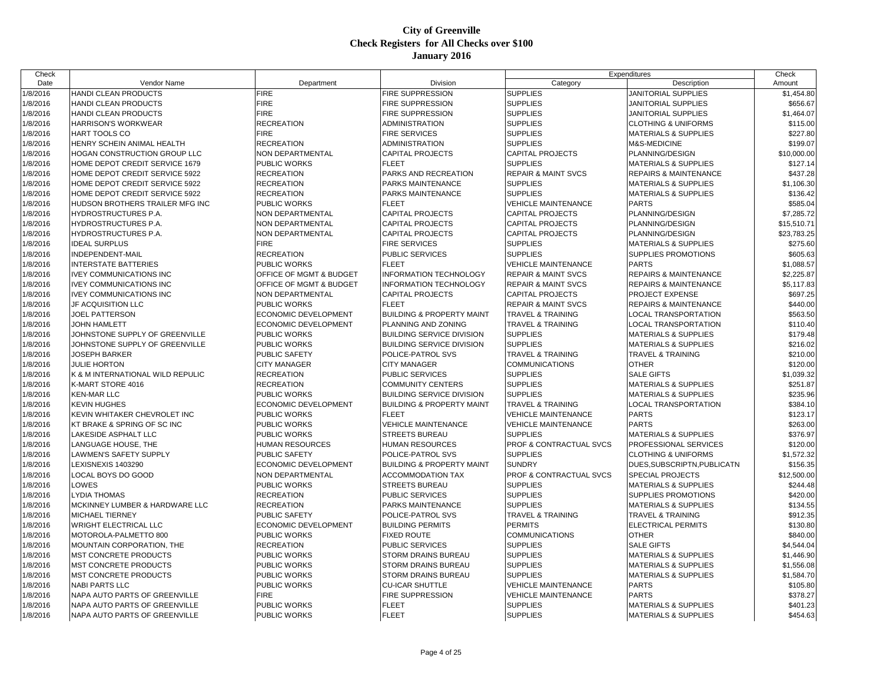| Date<br>Vendor Name<br>Division<br>Category<br>Department                                                                                |                                                |
|------------------------------------------------------------------------------------------------------------------------------------------|------------------------------------------------|
|                                                                                                                                          | Description<br>Amount                          |
| 1/8/2016<br>HANDI CLEAN PRODUCTS<br><b>FIRE</b><br><b>FIRE SUPPRESSION</b><br><b>SUPPLIES</b>                                            | \$1,454.80<br>JANITORIAL SUPPLIES              |
| <b>FIRE</b><br><b>SUPPLIES</b><br>1/8/2016<br>HANDI CLEAN PRODUCTS<br>FIRE SUPPRESSION                                                   | \$656.67<br><b>JANITORIAL SUPPLIES</b>         |
| 1/8/2016<br><b>FIRE</b><br><b>SUPPLIES</b><br>HANDI CLEAN PRODUCTS<br><b>FIRE SUPPRESSION</b>                                            | \$1,464.07<br>JANITORIAL SUPPLIES              |
| <b>RECREATION</b><br><b>SUPPLIES</b><br>1/8/2016<br><b>HARRISON'S WORKWEAR</b><br>ADMINISTRATION                                         | \$115.00<br><b>CLOTHING &amp; UNIFORMS</b>     |
| 1/8/2016<br><b>FIRE</b><br><b>SUPPLIES</b><br>HART TOOLS CO<br><b>FIRE SERVICES</b>                                                      | \$227.80<br><b>MATERIALS &amp; SUPPLIES</b>    |
| 1/8/2016<br><b>RECREATION</b><br><b>SUPPLIES</b><br>HENRY SCHEIN ANIMAL HEALTH<br>ADMINISTRATION<br>M&S-MEDICINE                         | \$199.07                                       |
| 1/8/2016<br>NON DEPARTMENTAL<br><b>CAPITAL PROJECTS</b><br>HOGAN CONSTRUCTION GROUP LLC<br><b>CAPITAL PROJECTS</b><br>PLANNING/DESIGN    | \$10,000.00                                    |
| <b>FLEET</b><br><b>SUPPLIES</b><br>1/8/2016<br>HOME DEPOT CREDIT SERVICE 1679<br><b>PUBLIC WORKS</b>                                     | \$127.14<br><b>MATERIALS &amp; SUPPLIES</b>    |
| 1/8/2016<br>HOME DEPOT CREDIT SERVICE 5922<br><b>RECREATION</b><br>PARKS AND RECREATION<br><b>REPAIR &amp; MAINT SVCS</b>                | <b>REPAIRS &amp; MAINTENANCE</b><br>\$437.28   |
| 1/8/2016<br><b>SUPPLIES</b><br>HOME DEPOT CREDIT SERVICE 5922<br><b>RECREATION</b><br>PARKS MAINTENANCE                                  | <b>MATERIALS &amp; SUPPLIES</b><br>\$1,106.30  |
| 1/8/2016<br><b>SUPPLIES</b><br>HOME DEPOT CREDIT SERVICE 5922<br><b>RECREATION</b><br>PARKS MAINTENANCE                                  | \$136.42<br><b>MATERIALS &amp; SUPPLIES</b>    |
| 1/8/2016<br>HUDSON BROTHERS TRAILER MFG INC<br>PUBLIC WORKS<br><b>FLEET</b><br><b>VEHICLE MAINTENANCE</b><br><b>PARTS</b>                | \$585.04                                       |
| 1/8/2016<br><b>CAPITAL PROJECTS</b><br><b>CAPITAL PROJECTS</b><br>PLANNING/DESIGN<br><b>HYDROSTRUCTURES P.A.</b><br>NON DEPARTMENTAL     | \$7,285.72                                     |
| 1/8/2016<br>HYDROSTRUCTURES P.A.<br>NON DEPARTMENTAL<br><b>CAPITAL PROJECTS</b><br><b>CAPITAL PROJECTS</b><br>PLANNING/DESIGN            | \$15,510.71                                    |
| 1/8/2016<br>HYDROSTRUCTURES P.A.<br>NON DEPARTMENTAL<br><b>CAPITAL PROJECTS</b><br><b>CAPITAL PROJECTS</b><br>PLANNING/DESIGN            | \$23,783.25                                    |
| 1/8/2016<br><b>FIRE</b><br><b>FIRE SERVICES</b><br><b>SUPPLIES</b><br><b>IDEAL SURPLUS</b>                                               | \$275.60<br><b>MATERIALS &amp; SUPPLIES</b>    |
| 1/8/2016<br><b>RECREATION</b><br><b>SUPPLIES</b><br>INDEPENDENT-MAIL<br>PUBLIC SERVICES                                                  | \$605.63<br>SUPPLIES PROMOTIONS                |
| 1/8/2016<br><b>INTERSTATE BATTERIES</b><br>PUBLIC WORKS<br><b>FLEET</b><br><b>VEHICLE MAINTENANCE</b><br><b>PARTS</b>                    | \$1,088.57                                     |
| 1/8/2016<br>OFFICE OF MGMT & BUDGET<br><b>IVEY COMMUNICATIONS INC</b><br><b>INFORMATION TECHNOLOGY</b><br><b>REPAIR &amp; MAINT SVCS</b> | <b>REPAIRS &amp; MAINTENANCE</b><br>\$2,225.87 |
| 1/8/2016<br><b>IVEY COMMUNICATIONS INC</b><br>OFFICE OF MGMT & BUDGET<br><b>INFORMATION TECHNOLOGY</b><br><b>REPAIR &amp; MAINT SVCS</b> | <b>REPAIRS &amp; MAINTENANCE</b><br>\$5,117.83 |
| 1/8/2016<br>NON DEPARTMENTAL<br><b>CAPITAL PROJECTS</b><br><b>CAPITAL PROJECTS</b><br>PROJECT EXPENSE<br><b>IVEY COMMUNICATIONS INC</b>  | \$697.25                                       |
| <b>FLEET</b><br>1/8/2016<br>JF ACQUISITION LLC<br>PUBLIC WORKS<br><b>REPAIR &amp; MAINT SVCS</b>                                         | \$440.00<br><b>REPAIRS &amp; MAINTENANCE</b>   |
| 1/8/2016<br><b>JOEL PATTERSON</b><br>ECONOMIC DEVELOPMENT<br><b>BUILDING &amp; PROPERTY MAINT</b><br><b>TRAVEL &amp; TRAINING</b>        | \$563.50<br>LOCAL TRANSPORTATION               |
| 1/8/2016<br><b>JOHN HAMLETT</b><br>ECONOMIC DEVELOPMENT<br>PLANNING AND ZONING<br><b>TRAVEL &amp; TRAINING</b>                           | LOCAL TRANSPORTATION<br>\$110.40               |
| 1/8/2016<br><b>SUPPLIES</b><br>JOHNSTONE SUPPLY OF GREENVILLE<br>PUBLIC WORKS<br><b>BUILDING SERVICE DIVISION</b>                        | \$179.48<br><b>MATERIALS &amp; SUPPLIES</b>    |
| <b>SUPPLIES</b><br>1/8/2016<br>JOHNSTONE SUPPLY OF GREENVILLE<br>PUBLIC WORKS<br><b>BUILDING SERVICE DIVISION</b>                        | MATERIALS & SUPPLIES<br>\$216.02               |
| 1/8/2016<br><b>JOSEPH BARKER</b><br>PUBLIC SAFETY<br>POLICE-PATROL SVS<br>TRAVEL & TRAINING<br><b>TRAVEL &amp; TRAINING</b>              | \$210.00                                       |
| <b>OTHER</b><br>1/8/2016<br><b>CITY MANAGER</b><br><b>CITY MANAGER</b><br><b>COMMUNICATIONS</b><br>JULIE HORTON                          | \$120.00                                       |
| 1/8/2016<br><b>RECREATION</b><br><b>SUPPLIES</b><br><b>SALE GIFTS</b><br>K & M INTERNATIONAL WILD REPULIC<br>PUBLIC SERVICES             | \$1,039.32                                     |
| 1/8/2016<br>K-MART STORE 4016<br><b>RECREATION</b><br><b>COMMUNITY CENTERS</b><br><b>SUPPLIES</b>                                        | <b>MATERIALS &amp; SUPPLIES</b><br>\$251.87    |
| 1/8/2016<br><b>SUPPLIES</b><br><b>KEN-MAR LLC</b><br>PUBLIC WORKS<br><b>BUILDING SERVICE DIVISION</b>                                    | \$235.96<br><b>MATERIALS &amp; SUPPLIES</b>    |
| 1/8/2016<br><b>KEVIN HUGHES</b><br>ECONOMIC DEVELOPMENT<br><b>BUILDING &amp; PROPERTY MAINT</b><br><b>TRAVEL &amp; TRAINING</b>          | \$384.10<br>LOCAL TRANSPORTATION               |
| 1/8/2016<br><b>FLEET</b><br><b>PARTS</b><br>KEVIN WHITAKER CHEVROLET INC<br>PUBLIC WORKS<br><b>VEHICLE MAINTENANCE</b>                   | \$123.17                                       |
| 1/8/2016<br><b>PARTS</b><br>KT BRAKE & SPRING OF SC INC<br>PUBLIC WORKS<br><b>VEHICLE MAINTENANCE</b><br><b>VEHICLE MAINTENANCE</b>      | \$263.00                                       |
| <b>SUPPLIES</b><br>1/8/2016<br>LAKESIDE ASPHALT LLC<br>PUBLIC WORKS<br><b>STREETS BUREAU</b>                                             | <b>MATERIALS &amp; SUPPLIES</b><br>\$376.97    |
| 1/8/2016<br>LANGUAGE HOUSE, THE<br>HUMAN RESOURCES<br>HUMAN RESOURCES<br>PROF & CONTRACTUAL SVCS                                         | \$120.00<br>PROFESSIONAL SERVICES              |
| 1/8/2016<br><b>SUPPLIES</b><br>LAWMEN'S SAFETY SUPPLY<br>PUBLIC SAFETY<br>POLICE-PATROL SVS                                              | \$1,572.32<br><b>CLOTHING &amp; UNIFORMS</b>   |
| 1/8/2016<br><b>LEXISNEXIS 1403290</b><br><b>ECONOMIC DEVELOPMENT</b><br><b>BUILDING &amp; PROPERTY MAINT</b><br><b>SUNDRY</b>            | \$156.35<br>DUES, SUBSCRIPTN, PUBLICATN        |
| 1/8/2016<br>LOCAL BOYS DO GOOD<br>NON DEPARTMENTAL<br>PROF & CONTRACTUAL SVCS<br>SPECIAL PROJECTS<br><b>ACCOMMODATION TAX</b>            | \$12,500.00                                    |
| <b>SUPPLIES</b><br>1/8/2016<br>LOWES<br>PUBLIC WORKS<br><b>STREETS BUREAU</b>                                                            | \$244.48<br><b>MATERIALS &amp; SUPPLIES</b>    |
| 1/8/2016<br><b>SUPPLIES</b><br><b>LYDIA THOMAS</b><br><b>RECREATION</b><br><b>PUBLIC SERVICES</b>                                        | \$420.00<br><b>SUPPLIES PROMOTIONS</b>         |
| 1/8/2016<br>MCKINNEY LUMBER & HARDWARE LLC<br><b>RECREATION</b><br>PARKS MAINTENANCE<br><b>SUPPLIES</b>                                  | \$134.55<br><b>MATERIALS &amp; SUPPLIES</b>    |
| 1/8/2016<br>MICHAEL TIERNEY<br>POLICE-PATROL SVS<br>PUBLIC SAFETY<br><b>TRAVEL &amp; TRAINING</b><br><b>TRAVEL &amp; TRAINING</b>        | \$912.35                                       |
| 1/8/2016<br><b>PERMITS</b><br><b>WRIGHT ELECTRICAL LLC</b><br>ECONOMIC DEVELOPMENT<br><b>BUILDING PERMITS</b>                            | \$130.80<br><b>ELECTRICAL PERMITS</b>          |
| 1/8/2016<br>MOTOROLA-PALMETTO 800<br>PUBLIC WORKS<br><b>FIXED ROUTE</b><br><b>COMMUNICATIONS</b><br><b>OTHER</b>                         | \$840.00                                       |
| 1/8/2016<br><b>RECREATION</b><br><b>SUPPLIES</b><br>MOUNTAIN CORPORATION, THE<br><b>PUBLIC SERVICES</b><br><b>SALE GIFTS</b>             | \$4,544.04                                     |
| 1/8/2016<br><b>SUPPLIES</b><br><b>MST CONCRETE PRODUCTS</b><br>PUBLIC WORKS<br><b>STORM DRAINS BUREAU</b>                                | \$1,446.90<br><b>MATERIALS &amp; SUPPLIES</b>  |
| 1/8/2016<br>MST CONCRETE PRODUCTS<br>PUBLIC WORKS<br>STORM DRAINS BUREAU<br><b>SUPPLIES</b>                                              | <b>MATERIALS &amp; SUPPLIES</b><br>\$1,556.08  |
| 1/8/2016<br><b>MST CONCRETE PRODUCTS</b><br><b>SUPPLIES</b><br><b>PUBLIC WORKS</b><br>STORM DRAINS BUREAU                                | <b>MATERIALS &amp; SUPPLIES</b><br>\$1,584.70  |
| 1/8/2016<br><b>PARTS</b><br><b>NABI PARTS LLC</b><br>PUBLIC WORKS<br><b>CU-ICAR SHUTTLE</b><br><b>VEHICLE MAINTENANCE</b>                | \$105.80                                       |
| 1/8/2016<br><b>FIRE</b><br>FIRE SUPPRESSION<br><b>VEHICLE MAINTENANCE</b><br><b>PARTS</b><br>NAPA AUTO PARTS OF GREENVILLE               | \$378.27                                       |
| 1/8/2016<br>NAPA AUTO PARTS OF GREENVILLE<br>PUBLIC WORKS<br><b>FLEET</b><br><b>SUPPLIES</b>                                             | <b>MATERIALS &amp; SUPPLIES</b><br>\$401.23    |
| 1/8/2016<br><b>PUBLIC WORKS</b><br><b>FLEET</b><br><b>SUPPLIES</b><br>NAPA AUTO PARTS OF GREENVILLE                                      | \$454.63<br><b>MATERIALS &amp; SUPPLIES</b>    |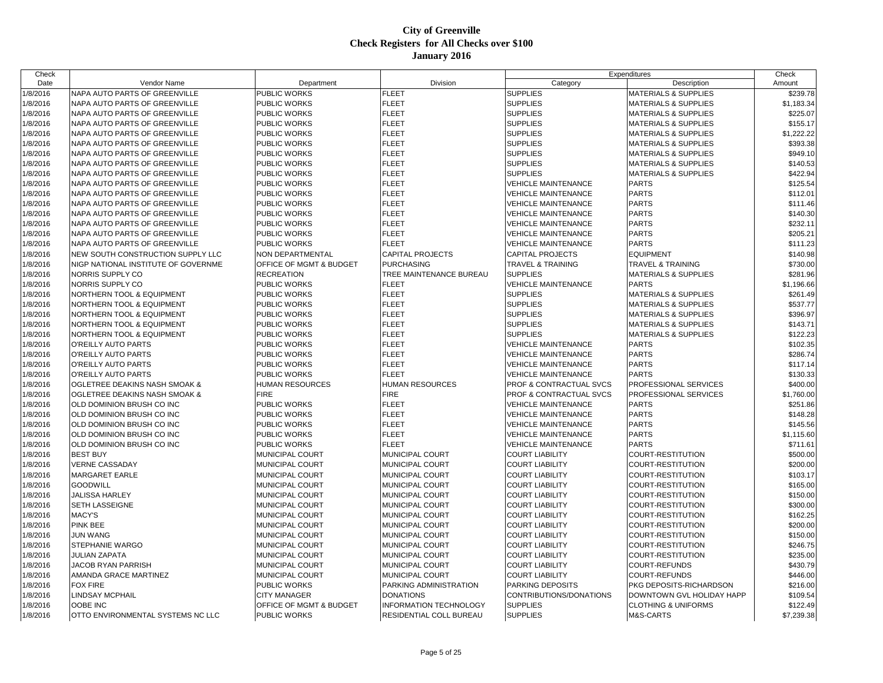| Check    |                                          |                         |                         |                                    | Expenditures                    | Check      |
|----------|------------------------------------------|-------------------------|-------------------------|------------------------------------|---------------------------------|------------|
| Date     | Vendor Name                              | Department              | Division                | Category                           | Description                     | Amount     |
| 1/8/2016 | NAPA AUTO PARTS OF GREENVILLE            | PUBLIC WORKS            | FLEET                   | <b>SUPPLIES</b>                    | <b>MATERIALS &amp; SUPPLIES</b> | \$239.78   |
| 1/8/2016 | NAPA AUTO PARTS OF GREENVILLE            | PUBLIC WORKS            | <b>FLEET</b>            | <b>SUPPLIES</b>                    | <b>MATERIALS &amp; SUPPLIES</b> | \$1,183.34 |
| 1/8/2016 | NAPA AUTO PARTS OF GREENVILLE            | PUBLIC WORKS            | <b>FLEET</b>            | <b>SUPPLIES</b>                    | <b>MATERIALS &amp; SUPPLIES</b> | \$225.07   |
| 1/8/2016 | NAPA AUTO PARTS OF GREENVILLE            | PUBLIC WORKS            | <b>FLEET</b>            | <b>SUPPLIES</b>                    | <b>MATERIALS &amp; SUPPLIES</b> | \$155.17   |
| 1/8/2016 | NAPA AUTO PARTS OF GREENVILLE            | PUBLIC WORKS            | <b>FLEET</b>            | <b>SUPPLIES</b>                    | <b>MATERIALS &amp; SUPPLIES</b> | \$1,222.22 |
| 1/8/2016 | NAPA AUTO PARTS OF GREENVILLE            | PUBLIC WORKS            | <b>FLEET</b>            | <b>SUPPLIES</b>                    | <b>MATERIALS &amp; SUPPLIES</b> | \$393.38   |
| 1/8/2016 | NAPA AUTO PARTS OF GREENVILLE            | PUBLIC WORKS            | <b>FLEET</b>            | <b>SUPPLIES</b>                    | <b>MATERIALS &amp; SUPPLIES</b> | \$949.10   |
| 1/8/2016 | NAPA AUTO PARTS OF GREENVILLE            | PUBLIC WORKS            | <b>FLEET</b>            | <b>SUPPLIES</b>                    | <b>MATERIALS &amp; SUPPLIES</b> | \$140.53   |
| 1/8/2016 | <b>NAPA AUTO PARTS OF GREENVILLE</b>     | PUBLIC WORKS            | FLEET                   | <b>SUPPLIES</b>                    | <b>MATERIALS &amp; SUPPLIES</b> | \$422.94   |
| 1/8/2016 | NAPA AUTO PARTS OF GREENVILLE            | PUBLIC WORKS            | <b>FLEET</b>            | <b>VEHICLE MAINTENANCE</b>         | <b>PARTS</b>                    | \$125.54   |
| 1/8/2016 | NAPA AUTO PARTS OF GREENVILLE            | PUBLIC WORKS            | <b>FLEET</b>            | <b>VEHICLE MAINTENANCE</b>         | <b>PARTS</b>                    | \$112.01   |
| 1/8/2016 | NAPA AUTO PARTS OF GREENVILLE            | PUBLIC WORKS            | FLEET                   | <b>VEHICLE MAINTENANCE</b>         | <b>PARTS</b>                    | \$111.46   |
| 1/8/2016 | NAPA AUTO PARTS OF GREENVILLE            | PUBLIC WORKS            | <b>FLEET</b>            | <b>VEHICLE MAINTENANCE</b>         | <b>PARTS</b>                    | \$140.30   |
| 1/8/2016 | NAPA AUTO PARTS OF GREENVILLE            | PUBLIC WORKS            | <b>FLEET</b>            | <b>VEHICLE MAINTENANCE</b>         | <b>PARTS</b>                    | \$232.11   |
| 1/8/2016 | NAPA AUTO PARTS OF GREENVILLE            | PUBLIC WORKS            | <b>FLEET</b>            | <b>VEHICLE MAINTENANCE</b>         | <b>PARTS</b>                    | \$205.21   |
| 1/8/2016 | NAPA AUTO PARTS OF GREENVILLE            | PUBLIC WORKS            | <b>FLEET</b>            | <b>VEHICLE MAINTENANCE</b>         | <b>PARTS</b>                    | \$111.23   |
| 1/8/2016 | NEW SOUTH CONSTRUCTION SUPPLY LLC        | NON DEPARTMENTAL        | <b>CAPITAL PROJECTS</b> | <b>CAPITAL PROJECTS</b>            | <b>EQUIPMENT</b>                | \$140.98   |
| 1/8/2016 | NIGP NATIONAL INSTITUTE OF GOVERNME      | OFFICE OF MGMT & BUDGET | <b>PURCHASING</b>       | <b>TRAVEL &amp; TRAINING</b>       | <b>TRAVEL &amp; TRAINING</b>    | \$730.00   |
| 1/8/2016 | NORRIS SUPPLY CO                         | <b>RECREATION</b>       | TREE MAINTENANCE BUREAU | <b>SUPPLIES</b>                    | <b>MATERIALS &amp; SUPPLIES</b> | \$281.96   |
| 1/8/2016 | NORRIS SUPPLY CO                         | PUBLIC WORKS            | <b>FLEET</b>            | <b>VEHICLE MAINTENANCE</b>         | <b>PARTS</b>                    | \$1,196.66 |
| 1/8/2016 | NORTHERN TOOL & EQUIPMENT                | PUBLIC WORKS            | <b>FLEET</b>            | <b>SUPPLIES</b>                    | <b>MATERIALS &amp; SUPPLIES</b> | \$261.49   |
| 1/8/2016 | NORTHERN TOOL & EQUIPMENT                | PUBLIC WORKS            | <b>FLEET</b>            | <b>SUPPLIES</b>                    | <b>MATERIALS &amp; SUPPLIES</b> | \$537.77   |
| 1/8/2016 | <b>NORTHERN TOOL &amp; EQUIPMENT</b>     | PUBLIC WORKS            | FLEET                   | <b>SUPPLIES</b>                    | <b>MATERIALS &amp; SUPPLIES</b> | \$396.97   |
| 1/8/2016 | <b>NORTHERN TOOL &amp; EQUIPMENT</b>     | PUBLIC WORKS            | FLEET                   | <b>SUPPLIES</b>                    | <b>MATERIALS &amp; SUPPLIES</b> | \$143.71   |
| 1/8/2016 | <b>NORTHERN TOOL &amp; EQUIPMENT</b>     | PUBLIC WORKS            | <b>FLEET</b>            | <b>SUPPLIES</b>                    | <b>MATERIALS &amp; SUPPLIES</b> | \$122.23   |
| 1/8/2016 | O'REILLY AUTO PARTS                      | PUBLIC WORKS            | FLEET                   | <b>VEHICLE MAINTENANCE</b>         | <b>PARTS</b>                    | \$102.35   |
| 1/8/2016 | <b>O'REILLY AUTO PARTS</b>               | PUBLIC WORKS            | FLEET                   | <b>VEHICLE MAINTENANCE</b>         | <b>PARTS</b>                    | \$286.74   |
| 1/8/2016 | <b>O'REILLY AUTO PARTS</b>               | PUBLIC WORKS            | <b>FLEET</b>            | <b>VEHICLE MAINTENANCE</b>         | <b>PARTS</b>                    | \$117.14   |
| 1/8/2016 | <b>O'REILLY AUTO PARTS</b>               | PUBLIC WORKS            | <b>FLEET</b>            | <b>VEHICLE MAINTENANCE</b>         | <b>PARTS</b>                    | \$130.33   |
| 1/8/2016 | <b>OGLETREE DEAKINS NASH SMOAK &amp;</b> | <b>HUMAN RESOURCES</b>  | <b>HUMAN RESOURCES</b>  | <b>PROF &amp; CONTRACTUAL SVCS</b> | PROFESSIONAL SERVICES           | \$400.00   |
| 1/8/2016 | <b>OGLETREE DEAKINS NASH SMOAK &amp;</b> | <b>FIRE</b>             | <b>FIRE</b>             | PROF & CONTRACTUAL SVCS            | PROFESSIONAL SERVICES           | \$1,760.00 |
| 1/8/2016 | OLD DOMINION BRUSH CO INC                | PUBLIC WORKS            | <b>FLEET</b>            | <b>VEHICLE MAINTENANCE</b>         | <b>PARTS</b>                    | \$251.86   |
| 1/8/2016 | OLD DOMINION BRUSH CO INC                | PUBLIC WORKS            | <b>FLEET</b>            | <b>VEHICLE MAINTENANCE</b>         | <b>PARTS</b>                    | \$148.28   |
| 1/8/2016 | OLD DOMINION BRUSH CO INC                | PUBLIC WORKS            | FLEET                   | <b>VEHICLE MAINTENANCE</b>         | <b>PARTS</b>                    | \$145.56   |
| 1/8/2016 | OLD DOMINION BRUSH CO INC                | PUBLIC WORKS            | FLEET                   | <b>VEHICLE MAINTENANCE</b>         | <b>PARTS</b>                    | \$1,115.60 |
| 1/8/2016 | OLD DOMINION BRUSH CO INC                | PUBLIC WORKS            | <b>FLEET</b>            | <b>VEHICLE MAINTENANCE</b>         | <b>PARTS</b>                    | \$711.61   |
| 1/8/2016 | <b>BEST BUY</b>                          | MUNICIPAL COURT         | MUNICIPAL COURT         | <b>COURT LIABILITY</b>             | COURT-RESTITUTION               | \$500.00   |
| 1/8/2016 | <b>VERNE CASSADAY</b>                    | MUNICIPAL COURT         | MUNICIPAL COURT         | <b>COURT LIABILITY</b>             | COURT-RESTITUTION               | \$200.00   |
| 1/8/2016 | <b>MARGARET EARLE</b>                    | MUNICIPAL COURT         | MUNICIPAL COURT         | <b>COURT LIABILITY</b>             | COURT-RESTITUTION               | \$103.17   |
| 1/8/2016 | <b>GOODWILL</b>                          | MUNICIPAL COURT         | MUNICIPAL COURT         | <b>COURT LIABILITY</b>             | COURT-RESTITUTION               | \$165.00   |
| 1/8/2016 | <b>JALISSA HARLEY</b>                    | MUNICIPAL COURT         | MUNICIPAL COURT         | <b>COURT LIABILITY</b>             | COURT-RESTITUTION               | \$150.00   |
| 1/8/2016 | <b>SETH LASSEIGNE</b>                    | MUNICIPAL COURT         | MUNICIPAL COURT         | <b>COURT LIABILITY</b>             | COURT-RESTITUTION               | \$300.00   |
| 1/8/2016 | <b>MACY'S</b>                            | MUNICIPAL COURT         | MUNICIPAL COURT         | <b>COURT LIABILITY</b>             | COURT-RESTITUTION               | \$162.25   |
| 1/8/2016 | PINK BEE                                 | MUNICIPAL COURT         | MUNICIPAL COURT         | <b>COURT LIABILITY</b>             | COURT-RESTITUTION               | \$200.00   |
| 1/8/2016 | <b>JUN WANG</b>                          | MUNICIPAL COURT         | <b>MUNICIPAL COURT</b>  | <b>COURT LIABILITY</b>             | COURT-RESTITUTION               | \$150.00   |
| 1/8/2016 | <b>STEPHANIE WARGO</b>                   | MUNICIPAL COURT         | MUNICIPAL COURT         | <b>COURT LIABILITY</b>             | COURT-RESTITUTION               | \$246.75   |
| 1/8/2016 | <b>JULIAN ZAPATA</b>                     | MUNICIPAL COURT         | MUNICIPAL COURT         | <b>COURT LIABILITY</b>             | COURT-RESTITUTION               | \$235.00   |
| 1/8/2016 | <b>JACOB RYAN PARRISH</b>                | MUNICIPAL COURT         | MUNICIPAL COURT         | <b>COURT LIABILITY</b>             | <b>COURT-REFUNDS</b>            | \$430.79   |
| 1/8/2016 | AMANDA GRACE MARTINEZ                    | MUNICIPAL COURT         | MUNICIPAL COURT         | <b>COURT LIABILITY</b>             | <b>COURT-REFUNDS</b>            | \$446.00   |
| 1/8/2016 | <b>FOX FIRE</b>                          | PUBLIC WORKS            | PARKING ADMINISTRATION  | <b>PARKING DEPOSITS</b>            | PKG DEPOSITS-RICHARDSON         | \$216.00   |
| 1/8/2016 | <b>LINDSAY MCPHAIL</b>                   | <b>CITY MANAGER</b>     | <b>DONATIONS</b>        | CONTRIBUTIONS/DONATIONS            | DOWNTOWN GVL HOLIDAY HAPP       | \$109.54   |
| 1/8/2016 | <b>OOBE INC</b>                          | OFFICE OF MGMT & BUDGET | INFORMATION TECHNOLOGY  | <b>SUPPLIES</b>                    | <b>CLOTHING &amp; UNIFORMS</b>  | \$122.49   |
| 1/8/2016 | OTTO ENVIRONMENTAL SYSTEMS NC LLC        | <b>PUBLIC WORKS</b>     | RESIDENTIAL COLL BUREAU | <b>SUPPLIES</b>                    | M&S-CARTS                       | \$7,239.38 |
|          |                                          |                         |                         |                                    |                                 |            |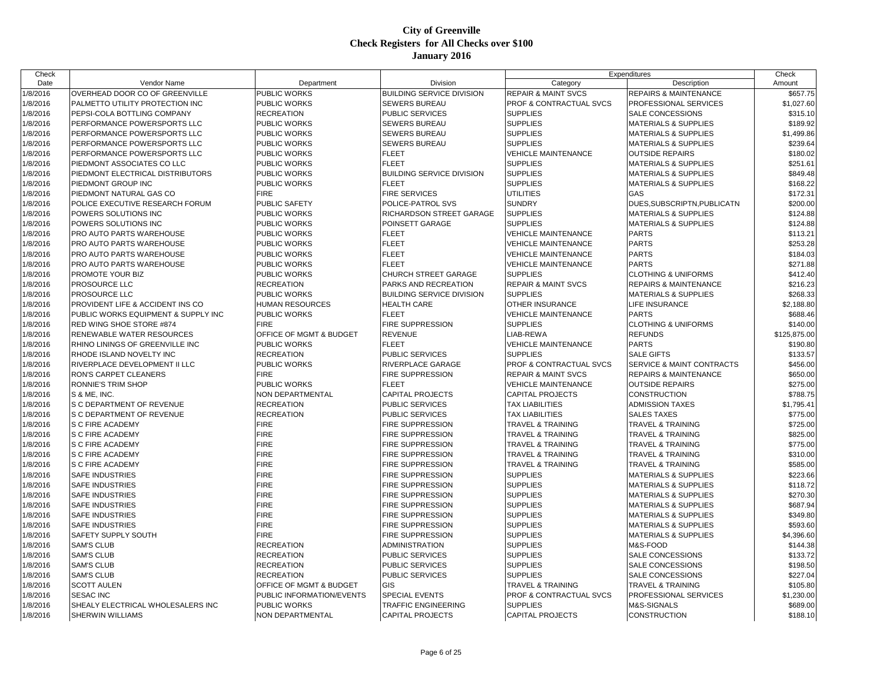| Check    |                                             |                                    |                                  |                                | Expenditures                         | Check        |
|----------|---------------------------------------------|------------------------------------|----------------------------------|--------------------------------|--------------------------------------|--------------|
| Date     | Vendor Name                                 | Department                         | Division                         | Category                       | Description                          | Amount       |
| 1/8/2016 | OVERHEAD DOOR CO OF GREENVILLE              | PUBLIC WORKS                       | BUILDING SERVICE DIVISION        | REPAIR & MAINT SVCS            | REPAIRS & MAINTENANCE                | \$657.75     |
| 1/8/2016 | PALMETTO UTILITY PROTECTION INC             | PUBLIC WORKS                       | SEWERS BUREAU                    | PROF & CONTRACTUAL SVCS        | <b>PROFESSIONAL SERVICES</b>         | \$1,027.60   |
| 1/8/2016 | PEPSI-COLA BOTTLING COMPANY                 | RECREATION                         | PUBLIC SERVICES                  | <b>SUPPLIES</b>                | <b>SALE CONCESSIONS</b>              | \$315.10     |
| 1/8/2016 | PERFORMANCE POWERSPORTS LLC                 | PUBLIC WORKS                       | SEWERS BUREAU                    | <b>SUPPLIES</b>                | <b>MATERIALS &amp; SUPPLIES</b>      | \$189.92     |
| 1/8/2016 | PERFORMANCE POWERSPORTS LLC                 | PUBLIC WORKS                       | SEWERS BUREAU                    | <b>SUPPLIES</b>                | <b>MATERIALS &amp; SUPPLIES</b>      | \$1,499.86   |
| 1/8/2016 | PERFORMANCE POWERSPORTS LLC                 | PUBLIC WORKS                       | SEWERS BUREAU                    | <b>SUPPLIES</b>                | <b>MATERIALS &amp; SUPPLIES</b>      | \$239.64     |
| 1/8/2016 | PERFORMANCE POWERSPORTS LLC                 | <b>PUBLIC WORKS</b>                | <b>FLEET</b>                     | <b>VEHICLE MAINTENANCE</b>     | <b>OUTSIDE REPAIRS</b>               | \$180.02     |
| 1/8/2016 | PIEDMONT ASSOCIATES CO LLC                  | PUBLIC WORKS                       | <b>FLEET</b>                     | <b>SUPPLIES</b>                | <b>MATERIALS &amp; SUPPLIES</b>      | \$251.61     |
| 1/8/2016 | PIEDMONT ELECTRICAL DISTRIBUTORS            | PUBLIC WORKS                       | <b>BUILDING SERVICE DIVISION</b> | <b>SUPPLIES</b>                | <b>MATERIALS &amp; SUPPLIES</b>      | \$849.48     |
| 1/8/2016 | PIEDMONT GROUP INC                          | PUBLIC WORKS                       | <b>FLEET</b>                     | <b>SUPPLIES</b>                | <b>MATERIALS &amp; SUPPLIES</b>      | \$168.22     |
| 1/8/2016 | PIEDMONT NATURAL GAS CO                     | <b>FIRE</b>                        | <b>FIRE SERVICES</b>             | UTILITIES                      | GAS                                  | \$172.31     |
| 1/8/2016 | POLICE EXECUTIVE RESEARCH FORUM             | PUBLIC SAFETY                      | POLICE-PATROL SVS                | <b>SUNDRY</b>                  | DUES, SUBSCRIPTN, PUBLICATN          | \$200.00     |
| 1/8/2016 | POWERS SOLUTIONS INC                        | PUBLIC WORKS                       | RICHARDSON STREET GARAGE         | <b>SUPPLIES</b>                | <b>MATERIALS &amp; SUPPLIES</b>      | \$124.88     |
| 1/8/2016 | POWERS SOLUTIONS INC                        | PUBLIC WORKS                       | POINSETT GARAGE                  | <b>SUPPLIES</b>                | <b>MATERIALS &amp; SUPPLIES</b>      | \$124.88     |
| 1/8/2016 | <b>PRO AUTO PARTS WAREHOUSE</b>             | PUBLIC WORKS                       | <b>FLEET</b>                     | <b>VEHICLE MAINTENANCE</b>     | <b>PARTS</b>                         | \$113.21     |
| 1/8/2016 | PRO AUTO PARTS WAREHOUSE                    | PUBLIC WORKS                       | <b>FLEET</b>                     | <b>VEHICLE MAINTENANCE</b>     | <b>PARTS</b>                         | \$253.28     |
| 1/8/2016 | PRO AUTO PARTS WAREHOUSE                    | PUBLIC WORKS                       | <b>FLEET</b>                     | <b>VEHICLE MAINTENANCE</b>     | <b>PARTS</b>                         | \$184.03     |
| 1/8/2016 | PRO AUTO PARTS WAREHOUSE                    | PUBLIC WORKS                       | <b>FLEET</b>                     | <b>VEHICLE MAINTENANCE</b>     | <b>PARTS</b>                         | \$271.88     |
| 1/8/2016 | <b>PROMOTE YOUR BIZ</b>                     | PUBLIC WORKS                       | CHURCH STREET GARAGE             | <b>SUPPLIES</b>                | <b>CLOTHING &amp; UNIFORMS</b>       | \$412.40     |
| 1/8/2016 | <b>PROSOURCE LLC</b>                        | <b>RECREATION</b>                  | PARKS AND RECREATION             | <b>REPAIR &amp; MAINT SVCS</b> | <b>REPAIRS &amp; MAINTENANCE</b>     | \$216.23     |
| 1/8/2016 | PROSOURCE LLC                               | <b>PUBLIC WORKS</b>                | <b>BUILDING SERVICE DIVISION</b> | <b>SUPPLIES</b>                | <b>MATERIALS &amp; SUPPLIES</b>      | \$268.33     |
| 1/8/2016 | <b>PROVIDENT LIFE &amp; ACCIDENT INS CO</b> | HUMAN RESOURCES                    | <b>HEALTH CARE</b>               | OTHER INSURANCE                | LIFE INSURANCE                       | \$2,188.80   |
| 1/8/2016 | PUBLIC WORKS EQUIPMENT & SUPPLY INC         | PUBLIC WORKS                       | <b>FLEET</b>                     | <b>VEHICLE MAINTENANCE</b>     | <b>PARTS</b>                         | \$688.46     |
| 1/8/2016 | <b>RED WING SHOE STORE #874</b>             | <b>FIRE</b>                        | FIRE SUPPRESSION                 | <b>SUPPLIES</b>                | <b>CLOTHING &amp; UNIFORMS</b>       | \$140.00     |
| 1/8/2016 | <b>RENEWABLE WATER RESOURCES</b>            | OFFICE OF MGMT & BUDGET            | <b>REVENUE</b>                   | LIAB-REWA                      | <b>REFUNDS</b>                       | \$125,875.00 |
| 1/8/2016 | RHINO LININGS OF GREENVILLE INC             | PUBLIC WORKS                       | <b>FLEET</b>                     | <b>VEHICLE MAINTENANCE</b>     | <b>PARTS</b>                         | \$190.80     |
| 1/8/2016 | RHODE ISLAND NOVELTY INC                    | <b>RECREATION</b>                  | <b>PUBLIC SERVICES</b>           | <b>SUPPLIES</b>                | <b>SALE GIFTS</b>                    | \$133.57     |
| 1/8/2016 | RIVERPLACE DEVELOPMENT II LLC               | PUBLIC WORKS                       | RIVERPLACE GARAGE                | PROF & CONTRACTUAL SVCS        | <b>SERVICE &amp; MAINT CONTRACTS</b> | \$456.00     |
| 1/8/2016 | RON'S CARPET CLEANERS                       | <b>FIRE</b>                        | FIRE SUPPRESSION                 | <b>REPAIR &amp; MAINT SVCS</b> | <b>REPAIRS &amp; MAINTENANCE</b>     | \$650.00     |
| 1/8/2016 | <b>RONNIE'S TRIM SHOP</b>                   | PUBLIC WORKS                       | <b>FLEET</b>                     | <b>VEHICLE MAINTENANCE</b>     | <b>OUTSIDE REPAIRS</b>               | \$275.00     |
| 1/8/2016 | S & ME, INC.                                | NON DEPARTMENTAL                   | <b>CAPITAL PROJECTS</b>          | <b>CAPITAL PROJECTS</b>        | <b>CONSTRUCTION</b>                  | \$788.75     |
| 1/8/2016 | S C DEPARTMENT OF REVENUE                   | <b>RECREATION</b>                  | PUBLIC SERVICES                  | <b>TAX LIABILITIES</b>         | <b>ADMISSION TAXES</b>               | \$1,795.41   |
| 1/8/2016 | <b>IS C DEPARTMENT OF REVENUE</b>           | <b>RECREATION</b>                  | PUBLIC SERVICES                  | <b>TAX LIABILITIES</b>         | <b>SALES TAXES</b>                   | \$775.00     |
| 1/8/2016 | S C FIRE ACADEMY                            | <b>FIRE</b>                        | FIRE SUPPRESSION                 | TRAVEL & TRAINING              | <b>TRAVEL &amp; TRAINING</b>         | \$725.00     |
| 1/8/2016 | <b>S C FIRE ACADEMY</b>                     | <b>FIRE</b>                        | FIRE SUPPRESSION                 | TRAVEL & TRAINING              | <b>TRAVEL &amp; TRAINING</b>         | \$825.00     |
| 1/8/2016 | <b>S C FIRE ACADEMY</b>                     | <b>FIRE</b>                        | <b>FIRE SUPPRESSION</b>          | TRAVEL & TRAINING              | <b>TRAVEL &amp; TRAINING</b>         | \$775.00     |
| 1/8/2016 | <b>S C FIRE ACADEMY</b>                     | <b>FIRE</b>                        | <b>FIRE SUPPRESSION</b>          | TRAVEL & TRAINING              | <b>TRAVEL &amp; TRAINING</b>         | \$310.00     |
| 1/8/2016 | <b>S C FIRE ACADEMY</b>                     | <b>FIRE</b>                        | <b>FIRE SUPPRESSION</b>          | TRAVEL & TRAINING              | <b>TRAVEL &amp; TRAINING</b>         | \$585.00     |
| 1/8/2016 | <b>SAFE INDUSTRIES</b>                      | <b>FIRE</b>                        | <b>FIRE SUPPRESSION</b>          | <b>SUPPLIES</b>                | <b>MATERIALS &amp; SUPPLIES</b>      | \$223.66     |
| 1/8/2016 | <b>SAFE INDUSTRIES</b>                      | <b>FIRE</b>                        | FIRE SUPPRESSION                 | <b>SUPPLIES</b>                | <b>MATERIALS &amp; SUPPLIES</b>      | \$118.72     |
| 1/8/2016 | <b>SAFE INDUSTRIES</b>                      | <b>FIRE</b>                        | <b>FIRE SUPPRESSION</b>          | <b>SUPPLIES</b>                | <b>MATERIALS &amp; SUPPLIES</b>      | \$270.30     |
| 1/8/2016 | <b>SAFE INDUSTRIES</b>                      | <b>FIRE</b>                        | <b>FIRE SUPPRESSION</b>          | <b>SUPPLIES</b>                | <b>MATERIALS &amp; SUPPLIES</b>      | \$687.94     |
| 1/8/2016 | <b>SAFE INDUSTRIES</b>                      | <b>FIRE</b>                        | <b>FIRE SUPPRESSION</b>          | <b>SUPPLIES</b>                | <b>MATERIALS &amp; SUPPLIES</b>      | \$349.80     |
| 1/8/2016 | <b>SAFE INDUSTRIES</b>                      | <b>FIRE</b>                        | FIRE SUPPRESSION                 | <b>SUPPLIES</b>                | <b>MATERIALS &amp; SUPPLIES</b>      | \$593.60     |
| 1/8/2016 | <b>SAFETY SUPPLY SOUTH</b>                  | <b>FIRE</b>                        | FIRE SUPPRESSION                 | <b>SUPPLIES</b>                | <b>MATERIALS &amp; SUPPLIES</b>      | \$4,396.60   |
| 1/8/2016 | <b>SAM'S CLUB</b>                           | RECREATION                         | ADMINISTRATION                   | <b>SUPPLIES</b>                | M&S-FOOD                             | \$144.38     |
| 1/8/2016 | <b>SAM'S CLUB</b>                           | <b>RECREATION</b>                  | PUBLIC SERVICES                  | <b>SUPPLIES</b>                | <b>SALE CONCESSIONS</b>              | \$133.72     |
| 1/8/2016 | <b>SAM'S CLUB</b>                           | <b>RECREATION</b>                  | PUBLIC SERVICES                  | <b>SUPPLIES</b>                | <b>SALE CONCESSIONS</b>              | \$198.50     |
| 1/8/2016 | <b>SAM'S CLUB</b>                           | <b>RECREATION</b>                  | <b>PUBLIC SERVICES</b>           | <b>SUPPLIES</b>                | <b>SALE CONCESSIONS</b>              | \$227.04     |
| 1/8/2016 | <b>SCOTT AULEN</b>                          | <b>OFFICE OF MGMT &amp; BUDGET</b> | GIS                              | TRAVEL & TRAINING              | <b>TRAVEL &amp; TRAINING</b>         | \$105.80     |
| 1/8/2016 | <b>SESAC INC</b>                            | PUBLIC INFORMATION/EVENTS          | <b>SPECIAL EVENTS</b>            | PROF & CONTRACTUAL SVCS        | PROFESSIONAL SERVICES                | \$1,230.00   |
| 1/8/2016 | SHEALY ELECTRICAL WHOLESALERS INC           | PUBLIC WORKS                       | TRAFFIC ENGINEERING              | <b>SUPPLIES</b>                | M&S-SIGNALS                          | \$689.00     |
| 1/8/2016 | <b>SHERWIN WILLIAMS</b>                     | <b>NON DEPARTMENTAL</b>            | <b>CAPITAL PROJECTS</b>          | <b>CAPITAL PROJECTS</b>        | <b>CONSTRUCTION</b>                  | \$188.10     |
|          |                                             |                                    |                                  |                                |                                      |              |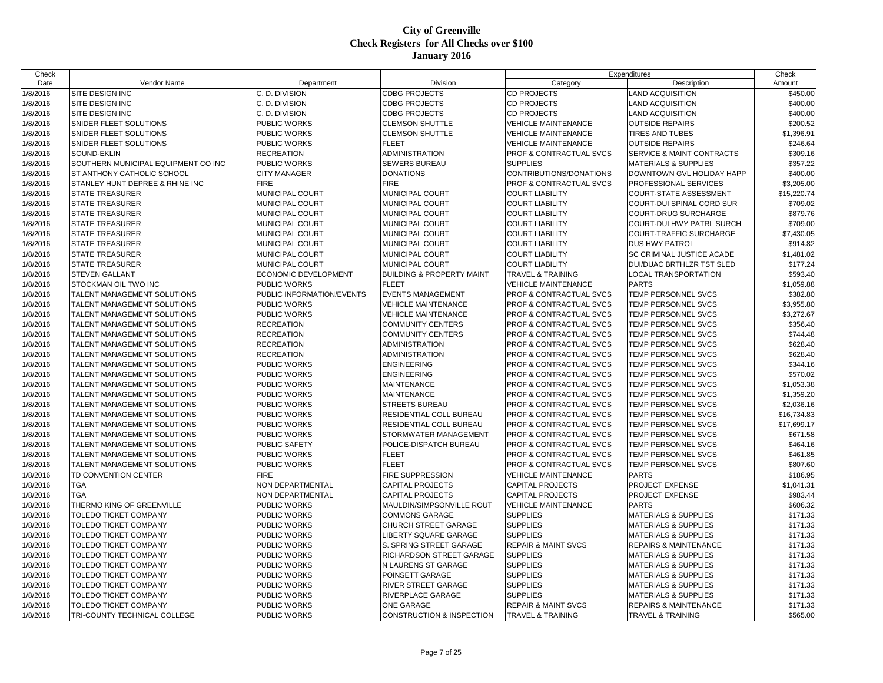| Check    |                                             |                           |                                      |                                    | Expenditures                     | Check       |
|----------|---------------------------------------------|---------------------------|--------------------------------------|------------------------------------|----------------------------------|-------------|
| Date     | Vendor Name                                 | Department                | Division                             | Category                           | Description                      | Amount      |
| 1/8/2016 | SITE DESIGN INC                             | C. D. DIVISION            | <b>CDBG PROJECTS</b>                 | <b>CD PROJECTS</b>                 | <b>AND ACQUISITION</b>           | \$450.00    |
| 1/8/2016 | SITE DESIGN INC                             | C. D. DIVISION            | <b>CDBG PROJECTS</b>                 | <b>CD PROJECTS</b>                 | LAND ACQUISITION                 | \$400.00    |
| 1/8/2016 | <b>SITE DESIGN INC</b>                      | C. D. DIVISION            | <b>CDBG PROJECTS</b>                 | <b>CD PROJECTS</b>                 | <b>LAND ACQUISITION</b>          | \$400.00    |
| 1/8/2016 | SNIDER FLEET SOLUTIONS                      | PUBLIC WORKS              | <b>CLEMSON SHUTTLE</b>               | <b>VEHICLE MAINTENANCE</b>         | <b>OUTSIDE REPAIRS</b>           | \$200.52    |
| 1/8/2016 | SNIDER FLEET SOLUTIONS                      | PUBLIC WORKS              | <b>CLEMSON SHUTTLE</b>               | <b>VEHICLE MAINTENANCE</b>         | TIRES AND TUBES                  | \$1,396.91  |
| 1/8/2016 | <b>SNIDER FLEET SOLUTIONS</b>               | PUBLIC WORKS              | <b>FLEET</b>                         | <b>VEHICLE MAINTENANCE</b>         | <b>OUTSIDE REPAIRS</b>           | \$246.64    |
| 1/8/2016 | SOUND-EKLIN                                 | <b>RECREATION</b>         | <b>ADMINISTRATION</b>                | <b>PROF &amp; CONTRACTUAL SVCS</b> | SERVICE & MAINT CONTRACTS        | \$309.16    |
| 1/8/2016 | SOUTHERN MUNICIPAL EQUIPMENT CO INC         | PUBLIC WORKS              | SEWERS BUREAU                        | <b>SUPPLIES</b>                    | <b>MATERIALS &amp; SUPPLIES</b>  | \$357.22    |
| 1/8/2016 | <b>ST ANTHONY CATHOLIC SCHOOL</b>           | <b>CITY MANAGER</b>       | <b>DONATIONS</b>                     | CONTRIBUTIONS/DONATIONS            | DOWNTOWN GVL HOLIDAY HAPP        | \$400.00    |
| 1/8/2016 | <b>ISTANLEY HUNT DEPREE &amp; RHINE INC</b> | <b>FIRE</b>               | <b>FIRE</b>                          | <b>PROF &amp; CONTRACTUAL SVCS</b> | PROFESSIONAL SERVICES            | \$3,205.00  |
| 1/8/2016 | <b>STATE TREASURER</b>                      | MUNICIPAL COURT           | MUNICIPAL COURT                      | <b>COURT LIABILITY</b>             | COURT-STATE ASSESSMENT           | \$15,220.74 |
| 1/8/2016 | <b>STATE TREASURER</b>                      | MUNICIPAL COURT           | MUNICIPAL COURT                      | <b>COURT LIABILITY</b>             | COURT-DUI SPINAL CORD SUR        | \$709.02    |
| 1/8/2016 | <b>STATE TREASURER</b>                      | MUNICIPAL COURT           | MUNICIPAL COURT                      | <b>COURT LIABILITY</b>             | COURT-DRUG SURCHARGE             | \$879.76    |
| 1/8/2016 | <b>STATE TREASURER</b>                      | MUNICIPAL COURT           | MUNICIPAL COURT                      | <b>COURT LIABILITY</b>             | COURT-DUI HWY PATRL SURCH        | \$709.00    |
| 1/8/2016 | <b>STATE TREASURER</b>                      | MUNICIPAL COURT           | MUNICIPAL COURT                      | <b>COURT LIABILITY</b>             | COURT-TRAFFIC SURCHARGE          | \$7,430.05  |
| 1/8/2016 | <b>STATE TREASURER</b>                      | MUNICIPAL COURT           | MUNICIPAL COURT                      | <b>COURT LIABILITY</b>             | DUS HWY PATROL                   | \$914.82    |
| 1/8/2016 | <b>STATE TREASURER</b>                      | MUNICIPAL COURT           | MUNICIPAL COURT                      | <b>COURT LIABILITY</b>             | SC CRIMINAL JUSTICE ACADE        | \$1,481.02  |
| 1/8/2016 | <b>STATE TREASURER</b>                      | MUNICIPAL COURT           | MUNICIPAL COURT                      | <b>COURT LIABILITY</b>             | DUI/DUAC BRTHLZR TST SLED        | \$177.24    |
| 1/8/2016 | <b>STEVEN GALLANT</b>                       | ECONOMIC DEVELOPMENT      | <b>BUILDING &amp; PROPERTY MAINT</b> | <b>TRAVEL &amp; TRAINING</b>       | <b>LOCAL TRANSPORTATION</b>      | \$593.40    |
| 1/8/2016 | <b>STOCKMAN OIL TWO INC</b>                 | PUBLIC WORKS              | <b>FLEET</b>                         | <b>VEHICLE MAINTENANCE</b>         | <b>PARTS</b>                     | \$1,059.88  |
| 1/8/2016 | TALENT MANAGEMENT SOLUTIONS                 | PUBLIC INFORMATION/EVENTS | <b>EVENTS MANAGEMENT</b>             | <b>PROF &amp; CONTRACTUAL SVCS</b> | TEMP PERSONNEL SVCS              | \$382.80    |
| 1/8/2016 | TALENT MANAGEMENT SOLUTIONS                 | PUBLIC WORKS              | <b>VEHICLE MAINTENANCE</b>           | PROF & CONTRACTUAL SVCS            | TEMP PERSONNEL SVCS              | \$3,955.80  |
| 1/8/2016 | TALENT MANAGEMENT SOLUTIONS                 | PUBLIC WORKS              | <b>VEHICLE MAINTENANCE</b>           | <b>PROF &amp; CONTRACTUAL SVCS</b> | TEMP PERSONNEL SVCS              | \$3,272.67  |
| 1/8/2016 | TALENT MANAGEMENT SOLUTIONS                 | <b>RECREATION</b>         | <b>COMMUNITY CENTERS</b>             | PROF & CONTRACTUAL SVCS            | TEMP PERSONNEL SVCS              | \$356.40    |
| 1/8/2016 | TALENT MANAGEMENT SOLUTIONS                 | RECREATION                | <b>COMMUNITY CENTERS</b>             | <b>PROF &amp; CONTRACTUAL SVCS</b> | TEMP PERSONNEL SVCS              | \$744.48    |
| 1/8/2016 | <b>TALENT MANAGEMENT SOLUTIONS</b>          | <b>RECREATION</b>         | ADMINISTRATION                       | <b>PROF &amp; CONTRACTUAL SVCS</b> | TEMP PERSONNEL SVCS              | \$628.40    |
| 1/8/2016 | TALENT MANAGEMENT SOLUTIONS                 | <b>RECREATION</b>         | <b>ADMINISTRATION</b>                | <b>PROF &amp; CONTRACTUAL SVCS</b> | TEMP PERSONNEL SVCS              | \$628.40    |
| 1/8/2016 | <b>TALENT MANAGEMENT SOLUTIONS</b>          | PUBLIC WORKS              | <b>ENGINEERING</b>                   | <b>PROF &amp; CONTRACTUAL SVCS</b> | TEMP PERSONNEL SVCS              | \$344.16    |
| 1/8/2016 | TALENT MANAGEMENT SOLUTIONS                 | PUBLIC WORKS              | <b>ENGINEERING</b>                   | <b>PROF &amp; CONTRACTUAL SVCS</b> | TEMP PERSONNEL SVCS              | \$570.02    |
| 1/8/2016 | <b>TALENT MANAGEMENT SOLUTIONS</b>          | PUBLIC WORKS              | <b>MAINTENANCE</b>                   | <b>PROF &amp; CONTRACTUAL SVCS</b> | TEMP PERSONNEL SVCS              | \$1,053.38  |
| 1/8/2016 | <b>TALENT MANAGEMENT SOLUTIONS</b>          | PUBLIC WORKS              | <b>MAINTENANCE</b>                   | <b>PROF &amp; CONTRACTUAL SVCS</b> | TEMP PERSONNEL SVCS              | \$1,359.20  |
| 1/8/2016 | TALENT MANAGEMENT SOLUTIONS                 | PUBLIC WORKS              | <b>STREETS BUREAU</b>                | <b>PROF &amp; CONTRACTUAL SVCS</b> | <b>TEMP PERSONNEL SVCS</b>       | \$2,036.16  |
| 1/8/2016 | TALENT MANAGEMENT SOLUTIONS                 | PUBLIC WORKS              | RESIDENTIAL COLL BUREAU              | PROF & CONTRACTUAL SVCS            | TEMP PERSONNEL SVCS              | \$16,734.83 |
| 1/8/2016 | <b>TALENT MANAGEMENT SOLUTIONS</b>          | PUBLIC WORKS              | RESIDENTIAL COLL BUREAU              | <b>PROF &amp; CONTRACTUAL SVCS</b> | TEMP PERSONNEL SVCS              | \$17,699.17 |
| 1/8/2016 | TALENT MANAGEMENT SOLUTIONS                 | PUBLIC WORKS              | STORMWATER MANAGEMENT                | PROF & CONTRACTUAL SVCS            | TEMP PERSONNEL SVCS              | \$671.58    |
| 1/8/2016 | TALENT MANAGEMENT SOLUTIONS                 | PUBLIC SAFETY             | POLICE-DISPATCH BUREAU               | <b>PROF &amp; CONTRACTUAL SVCS</b> | TEMP PERSONNEL SVCS              | \$464.16    |
| 1/8/2016 | <b>TALENT MANAGEMENT SOLUTIONS</b>          | PUBLIC WORKS              | <b>FLEET</b>                         | <b>PROF &amp; CONTRACTUAL SVCS</b> | TEMP PERSONNEL SVCS              | \$461.85    |
| 1/8/2016 | TALENT MANAGEMENT SOLUTIONS                 | PUBLIC WORKS              | <b>FLEET</b>                         | <b>PROF &amp; CONTRACTUAL SVCS</b> | TEMP PERSONNEL SVCS              | \$807.60    |
| 1/8/2016 | TD CONVENTION CENTER                        | <b>FIRE</b>               | FIRE SUPPRESSION                     | <b>VEHICLE MAINTENANCE</b>         | <b>PARTS</b>                     | \$186.95    |
| 1/8/2016 | <b>TGA</b>                                  | NON DEPARTMENTAL          | <b>CAPITAL PROJECTS</b>              | <b>CAPITAL PROJECTS</b>            | PROJECT EXPENSE                  | \$1,041.31  |
| 1/8/2016 | <b>TGA</b>                                  | NON DEPARTMENTAL          | <b>CAPITAL PROJECTS</b>              | <b>CAPITAL PROJECTS</b>            | PROJECT EXPENSE                  | \$983.44    |
| 1/8/2016 | THERMO KING OF GREENVILLE                   | PUBLIC WORKS              | MAULDIN/SIMPSONVILLE ROUT            | <b>VEHICLE MAINTENANCE</b>         | <b>PARTS</b>                     | \$606.32    |
| 1/8/2016 | <b>TOLEDO TICKET COMPANY</b>                | PUBLIC WORKS              | <b>COMMONS GARAGE</b>                | <b>SUPPLIES</b>                    | <b>MATERIALS &amp; SUPPLIES</b>  | \$171.33    |
| 1/8/2016 | TOLEDO TICKET COMPANY                       | PUBLIC WORKS              | CHURCH STREET GARAGE                 | <b>SUPPLIES</b>                    | <b>MATERIALS &amp; SUPPLIES</b>  | \$171.33    |
| 1/8/2016 | TOLEDO TICKET COMPANY                       | PUBLIC WORKS              | LIBERTY SQUARE GARAGE                | <b>SUPPLIES</b>                    | <b>MATERIALS &amp; SUPPLIES</b>  | \$171.33    |
| 1/8/2016 | <b>TOLEDO TICKET COMPANY</b>                | PUBLIC WORKS              | S. SPRING STREET GARAGE              | <b>REPAIR &amp; MAINT SVCS</b>     | <b>REPAIRS &amp; MAINTENANCE</b> | \$171.33    |
| 1/8/2016 | <b>TOLEDO TICKET COMPANY</b>                | PUBLIC WORKS              | RICHARDSON STREET GARAGE             | <b>SUPPLIES</b>                    | MATERIALS & SUPPLIES             | \$171.33    |
| 1/8/2016 | TOLEDO TICKET COMPANY                       | PUBLIC WORKS              | N LAURENS ST GARAGE                  | <b>SUPPLIES</b>                    | <b>MATERIALS &amp; SUPPLIES</b>  | \$171.33    |
| 1/8/2016 | <b>TOLEDO TICKET COMPANY</b>                | PUBLIC WORKS              | POINSETT GARAGE                      | <b>SUPPLIES</b>                    | <b>MATERIALS &amp; SUPPLIES</b>  | \$171.33    |
| 1/8/2016 | <b>TOLEDO TICKET COMPANY</b>                | PUBLIC WORKS              | RIVER STREET GARAGE                  | <b>SUPPLIES</b>                    | <b>MATERIALS &amp; SUPPLIES</b>  | \$171.33    |
| 1/8/2016 | TOLEDO TICKET COMPANY                       | PUBLIC WORKS              | RIVERPLACE GARAGE                    | <b>SUPPLIES</b>                    | MATERIALS & SUPPLIES             | \$171.33    |
| 1/8/2016 | <b>TOLEDO TICKET COMPANY</b>                | PUBLIC WORKS              | ONE GARAGE                           | <b>REPAIR &amp; MAINT SVCS</b>     | <b>REPAIRS &amp; MAINTENANCE</b> | \$171.33    |
| 1/8/2016 | <b>TRI-COUNTY TECHNICAL COLLEGE</b>         | <b>PUBLIC WORKS</b>       | <b>CONSTRUCTION &amp; INSPECTION</b> | <b>TRAVEL &amp; TRAINING</b>       | <b>TRAVEL &amp; TRAINING</b>     | \$565.00    |
|          |                                             |                           |                                      |                                    |                                  |             |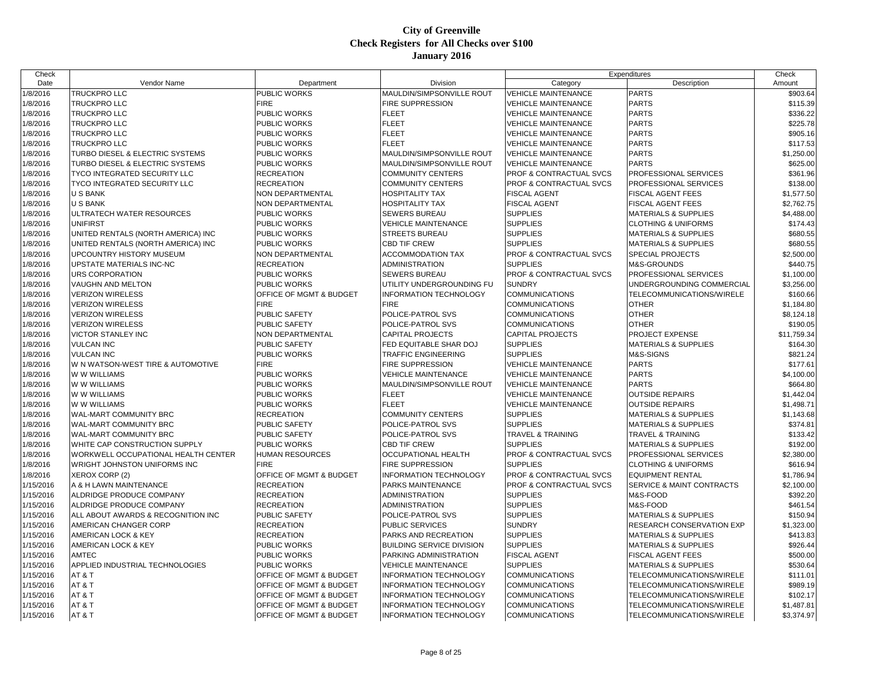| Check                  |                                            |                                                               |                                                         |                                                | Expenditures                                           | Check                |
|------------------------|--------------------------------------------|---------------------------------------------------------------|---------------------------------------------------------|------------------------------------------------|--------------------------------------------------------|----------------------|
| Date                   | Vendor Name                                | Department                                                    | Division                                                | Category                                       | Description                                            | Amount               |
| 1/8/2016               | <b>TRUCKPRO LLC</b>                        | PUBLIC WORKS                                                  | MAULDIN/SIMPSONVILLE ROUT                               | <b>VEHICLE MAINTENANCE</b>                     | <b>PARTS</b>                                           | \$903.64             |
| 1/8/2016               | <b>TRUCKPRO LLC</b>                        | <b>FIRE</b>                                                   | FIRE SUPPRESSION                                        | <b>VEHICLE MAINTENANCE</b>                     | <b>PARTS</b>                                           | \$115.39             |
| 1/8/2016               | <b>TRUCKPRO LLC</b>                        | PUBLIC WORKS                                                  | FLEET                                                   | <b>VEHICLE MAINTENANCE</b>                     | <b>PARTS</b>                                           | \$336.22             |
| 1/8/2016               | <b>TRUCKPRO LLC</b>                        | PUBLIC WORKS                                                  | <b>FLEET</b>                                            | <b>VEHICLE MAINTENANCE</b>                     | <b>PARTS</b>                                           | \$225.78             |
| 1/8/2016               | <b>TRUCKPRO LLC</b>                        | PUBLIC WORKS                                                  | <b>FLEET</b>                                            | <b>VEHICLE MAINTENANCE</b>                     | <b>PARTS</b>                                           | \$905.16             |
| 1/8/2016               | <b>TRUCKPRO LLC</b>                        | PUBLIC WORKS                                                  | FLEET                                                   | <b>VEHICLE MAINTENANCE</b>                     | <b>PARTS</b>                                           | \$117.53             |
| 1/8/2016               | TURBO DIESEL & ELECTRIC SYSTEMS            | PUBLIC WORKS                                                  | MAULDIN/SIMPSONVILLE ROUT                               | <b>VEHICLE MAINTENANCE</b>                     | <b>PARTS</b>                                           | \$1,250.00           |
| 1/8/2016               | TURBO DIESEL & ELECTRIC SYSTEMS            | PUBLIC WORKS                                                  | MAULDIN/SIMPSONVILLE ROUT                               | <b>VEHICLE MAINTENANCE</b>                     | <b>PARTS</b>                                           | \$625.00             |
| 1/8/2016               | <b>TYCO INTEGRATED SECURITY LLC</b>        | <b>RECREATION</b>                                             | <b>COMMUNITY CENTERS</b>                                | PROF & CONTRACTUAL SVCS                        | PROFESSIONAL SERVICES                                  | \$361.96             |
| 1/8/2016               | <b>TYCO INTEGRATED SECURITY LLC</b>        | <b>RECREATION</b>                                             | COMMUNITY CENTERS                                       | PROF & CONTRACTUAL SVCS                        | PROFESSIONAL SERVICES                                  | \$138.00             |
| 1/8/2016               | <b>U S BANK</b>                            | NON DEPARTMENTAL                                              | HOSPITALITY TAX                                         | <b>FISCAL AGENT</b>                            | <b>FISCAL AGENT FEES</b>                               | \$1,577.50           |
| 1/8/2016               | <b>U S BANK</b>                            | NON DEPARTMENTAL                                              | HOSPITALITY TAX                                         | <b>FISCAL AGENT</b>                            | <b>FISCAL AGENT FEES</b>                               | \$2,762.75           |
| 1/8/2016               | ULTRATECH WATER RESOURCES                  | PUBLIC WORKS                                                  | SEWERS BUREAU                                           | <b>SUPPLIES</b>                                | <b>MATERIALS &amp; SUPPLIES</b>                        | \$4,488.00           |
| 1/8/2016               | <b>UNIFIRST</b>                            | PUBLIC WORKS                                                  | <b>VEHICLE MAINTENANCE</b>                              | <b>SUPPLIES</b>                                | <b>CLOTHING &amp; UNIFORMS</b>                         | \$174.43             |
| 1/8/2016               | UNITED RENTALS (NORTH AMERICA) INC         | PUBLIC WORKS                                                  | STREETS BUREAU                                          | <b>SUPPLIES</b>                                | <b>MATERIALS &amp; SUPPLIES</b>                        | \$680.55             |
| 1/8/2016               | UNITED RENTALS (NORTH AMERICA) INC         | PUBLIC WORKS                                                  | CBD TIF CREW                                            | <b>SUPPLIES</b>                                | <b>MATERIALS &amp; SUPPLIES</b>                        | \$680.55             |
| 1/8/2016               | UPCOUNTRY HISTORY MUSEUM                   | NON DEPARTMENTAL                                              | <b>ACCOMMODATION TAX</b>                                | PROF & CONTRACTUAL SVCS                        | <b>SPECIAL PROJECTS</b>                                | \$2,500.00           |
| 1/8/2016               | UPSTATE MATERIALS INC-NC                   | <b>RECREATION</b>                                             | ADMINISTRATION                                          | <b>SUPPLIES</b>                                | M&S-GROUNDS                                            | \$440.75             |
| 1/8/2016               | <b>URS CORPORATION</b>                     | PUBLIC WORKS                                                  | <b>SEWERS BUREAU</b>                                    | PROF & CONTRACTUAL SVCS                        | PROFESSIONAL SERVICES                                  | \$1,100.00           |
| 1/8/2016               | VAUGHN AND MELTON                          | PUBLIC WORKS                                                  | UTILITY UNDERGROUNDING FU                               | <b>SUNDRY</b>                                  | UNDERGROUNDING COMMERCIAL                              | \$3,256.00           |
| 1/8/2016               | <b>VERIZON WIRELESS</b>                    | OFFICE OF MGMT & BUDGET                                       | INFORMATION TECHNOLOGY                                  | <b>COMMUNICATIONS</b>                          | <b>TELECOMMUNICATIONS/WIRELE</b>                       | \$160.66             |
| 1/8/2016               | <b>VERIZON WIRELESS</b>                    | <b>FIRE</b>                                                   | <b>FIRE</b>                                             | <b>COMMUNICATIONS</b>                          | <b>OTHER</b>                                           | \$1,184.80           |
| 1/8/2016               | <b>VERIZON WIRELESS</b>                    | PUBLIC SAFETY                                                 | POLICE-PATROL SVS                                       | <b>COMMUNICATIONS</b>                          | <b>OTHER</b>                                           | \$8,124.18           |
| 1/8/2016               | <b>VERIZON WIRELESS</b>                    | PUBLIC SAFETY                                                 | POLICE-PATROL SVS                                       | <b>COMMUNICATIONS</b>                          | <b>OTHER</b>                                           | \$190.05             |
| 1/8/2016               | <b>VICTOR STANLEY INC</b>                  | NON DEPARTMENTAL                                              | <b>CAPITAL PROJECTS</b>                                 | <b>CAPITAL PROJECTS</b>                        | <b>PROJECT EXPENSE</b>                                 | \$11,759.34          |
| 1/8/2016               | <b>VULCAN INC</b>                          | <b>PUBLIC SAFETY</b>                                          | FED EQUITABLE SHAR DOJ                                  | <b>SUPPLIES</b>                                | <b>MATERIALS &amp; SUPPLIES</b>                        | \$164.30             |
| 1/8/2016               | <b>VULCAN INC</b>                          | PUBLIC WORKS                                                  | TRAFFIC ENGINEERING                                     | <b>SUPPLIES</b>                                | M&S-SIGNS                                              | \$821.24             |
| 1/8/2016               | W N WATSON-WEST TIRE & AUTOMOTIVE          | <b>FIRE</b>                                                   | FIRE SUPPRESSION                                        | <b>VEHICLE MAINTENANCE</b>                     | <b>PARTS</b>                                           | \$177.61             |
| 1/8/2016               | W W WILLIAMS                               | PUBLIC WORKS                                                  | <b>VEHICLE MAINTENANCE</b>                              | <b>VEHICLE MAINTENANCE</b>                     | <b>PARTS</b>                                           | \$4,100.00           |
| 1/8/2016               | W W WILLIAMS                               | PUBLIC WORKS                                                  | MAULDIN/SIMPSONVILLE ROUT                               | <b>VEHICLE MAINTENANCE</b>                     | <b>PARTS</b>                                           | \$664.80             |
| 1/8/2016               | W W WILLIAMS                               | PUBLIC WORKS                                                  | <b>FLEET</b>                                            | <b>VEHICLE MAINTENANCE</b>                     | <b>OUTSIDE REPAIRS</b>                                 | \$1,442.04           |
| 1/8/2016               | W W WILLIAMS                               | PUBLIC WORKS                                                  | <b>FLEET</b>                                            | <b>VEHICLE MAINTENANCE</b>                     | <b>OUTSIDE REPAIRS</b>                                 | \$1,498.71           |
| 1/8/2016               | <b>WAL-MART COMMUNITY BRC</b>              | RECREATION                                                    | COMMUNITY CENTERS                                       | <b>SUPPLIES</b>                                | MATERIALS & SUPPLIES                                   | \$1,143.68           |
| 1/8/2016               | <b>WAL-MART COMMUNITY BRC</b>              | PUBLIC SAFETY                                                 | POLICE-PATROL SVS                                       | <b>SUPPLIES</b>                                | <b>MATERIALS &amp; SUPPLIES</b>                        | \$374.81             |
| 1/8/2016               | <b>WAL-MART COMMUNITY BRC</b>              | <b>PUBLIC SAFETY</b>                                          | POLICE-PATROL SVS                                       | <b>TRAVEL &amp; TRAINING</b>                   | <b>TRAVEL &amp; TRAINING</b>                           | \$133.42             |
| 1/8/2016               | WHITE CAP CONSTRUCTION SUPPLY              | <b>PUBLIC WORKS</b>                                           | CBD TIF CREW                                            | <b>SUPPLIES</b>                                | <b>MATERIALS &amp; SUPPLIES</b>                        | \$192.00             |
| 1/8/2016               | <b>WORKWELL OCCUPATIONAL HEALTH CENTER</b> | HUMAN RESOURCES                                               | OCCUPATIONAL HEALTH                                     | PROF & CONTRACTUAL SVCS                        | PROFESSIONAL SERVICES                                  | \$2,380.00           |
| 1/8/2016               | <b>WRIGHT JOHNSTON UNIFORMS INC</b>        | <b>FIRE</b>                                                   | FIRE SUPPRESSION                                        | <b>SUPPLIES</b>                                | <b>CLOTHING &amp; UNIFORMS</b>                         | \$616.94             |
| 1/8/2016               | XEROX CORP (2)                             | OFFICE OF MGMT & BUDGET                                       | <b>INFORMATION TECHNOLOGY</b>                           | PROF & CONTRACTUAL SVCS                        | <b>EQUIPMENT RENTAL</b>                                | \$1,786.94           |
| 1/15/2016              | A & H LAWN MAINTENANCE                     | <b>RECREATION</b>                                             | PARKS MAINTENANCE                                       | PROF & CONTRACTUAL SVCS                        | SERVICE & MAINT CONTRACTS                              | \$2,100.00           |
| 1/15/2016              | ALDRIDGE PRODUCE COMPANY                   | <b>RECREATION</b>                                             | ADMINISTRATION                                          | <b>SUPPLIES</b>                                | M&S-FOOD                                               | \$392.20             |
| 1/15/2016              | ALDRIDGE PRODUCE COMPANY                   | RECREATION                                                    | ADMINISTRATION                                          | <b>SUPPLIES</b>                                | M&S-FOOD                                               | \$461.54             |
| 1/15/2016              | ALL ABOUT AWARDS & RECOGNITION INC         | PUBLIC SAFETY                                                 | POLICE-PATROL SVS                                       | <b>SUPPLIES</b>                                | <b>MATERIALS &amp; SUPPLIES</b>                        | \$150.94             |
| 1/15/2016              | AMERICAN CHANGER CORP                      | <b>RECREATION</b>                                             | PUBLIC SERVICES                                         | <b>SUNDRY</b>                                  | RESEARCH CONSERVATION EXP                              | \$1,323.00           |
| 1/15/2016              | AMERICAN LOCK & KEY                        | <b>RECREATION</b>                                             | PARKS AND RECREATION                                    | <b>SUPPLIES</b>                                | <b>MATERIALS &amp; SUPPLIES</b>                        | \$413.83             |
| 1/15/2016              | <b>AMERICAN LOCK &amp; KEY</b>             | PUBLIC WORKS                                                  | BUILDING SERVICE DIVISION                               | <b>SUPPLIES</b>                                | <b>MATERIALS &amp; SUPPLIES</b>                        | \$926.44             |
| 1/15/2016              | <b>AMTEC</b>                               | PUBLIC WORKS                                                  | PARKING ADMINISTRATION                                  | <b>FISCAL AGENT</b>                            | <b>FISCAL AGENT FEES</b>                               | \$500.00             |
| 1/15/2016              | APPLIED INDUSTRIAL TECHNOLOGIES            | PUBLIC WORKS                                                  | <b>VEHICLE MAINTENANCE</b>                              | <b>SUPPLIES</b>                                | <b>MATERIALS &amp; SUPPLIES</b>                        | \$530.64             |
| 1/15/2016              | AT&T                                       | OFFICE OF MGMT & BUDGET                                       | <b>INFORMATION TECHNOLOGY</b>                           | <b>COMMUNICATIONS</b>                          | TELECOMMUNICATIONS/WIRELE                              | \$111.01             |
| 1/15/2016              | AT&T<br>AT&T                               | <b>OFFICE OF MGMT &amp; BUDGET</b><br>OFFICE OF MGMT & BUDGET | <b>INFORMATION TECHNOLOGY</b><br>INFORMATION TECHNOLOGY | <b>COMMUNICATIONS</b><br><b>COMMUNICATIONS</b> | TELECOMMUNICATIONS/WIRELE<br>TELECOMMUNICATIONS/WIRELE | \$989.19<br>\$102.17 |
| 1/15/2016<br>1/15/2016 | AT&T                                       | OFFICE OF MGMT & BUDGET                                       | INFORMATION TECHNOLOGY                                  | <b>COMMUNICATIONS</b>                          | TELECOMMUNICATIONS/WIRELE                              | \$1,487.81           |
| 1/15/2016              | AT&T                                       | OFFICE OF MGMT & BUDGET                                       | <b>INFORMATION TECHNOLOGY</b>                           | <b>COMMUNICATIONS</b>                          | TELECOMMUNICATIONS/WIRELE                              | \$3,374.97           |
|                        |                                            |                                                               |                                                         |                                                |                                                        |                      |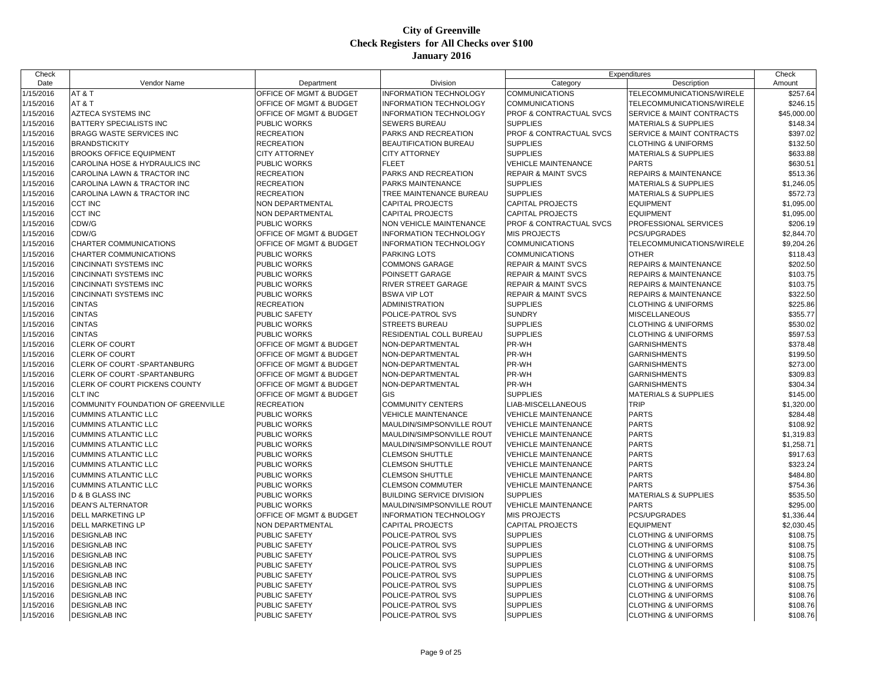| Check     |                                    |                         |                               |                                | Expenditures                         | Check       |
|-----------|------------------------------------|-------------------------|-------------------------------|--------------------------------|--------------------------------------|-------------|
| Date      | Vendor Name                        | Department              | Division                      | Category                       | Description                          | Amount      |
| 1/15/2016 | AT&T                               | OFFICE OF MGMT & BUDGET | <b>INFORMATION TECHNOLOGY</b> | <b>COMMUNICATIONS</b>          | TELECOMMUNICATIONS/WIRELE            | \$257.64    |
| 1/15/2016 | AT&T                               | OFFICE OF MGMT & BUDGET | <b>INFORMATION TECHNOLOGY</b> | <b>COMMUNICATIONS</b>          | TELECOMMUNICATIONS/WIRELE            | \$246.15    |
| 1/15/2016 | <b>AZTECA SYSTEMS INC</b>          | OFFICE OF MGMT & BUDGET | <b>INFORMATION TECHNOLOGY</b> | PROF & CONTRACTUAL SVCS        | <b>SERVICE &amp; MAINT CONTRACTS</b> | \$45,000.00 |
| 1/15/2016 | BATTERY SPECIALISTS INC            | PUBLIC WORKS            | SEWERS BUREAU                 | <b>SUPPLIES</b>                | MATERIALS & SUPPLIES                 | \$148.34    |
| 1/15/2016 | <b>BRAGG WASTE SERVICES INC</b>    | <b>RECREATION</b>       | PARKS AND RECREATION          | PROF & CONTRACTUAL SVCS        | SERVICE & MAINT CONTRACTS            | \$397.02    |
| 1/15/2016 | <b>BRANDSTICKITY</b>               | <b>RECREATION</b>       | BEAUTIFICATION BUREAU         | <b>SUPPLIES</b>                | <b>CLOTHING &amp; UNIFORMS</b>       | \$132.50    |
| 1/15/2016 | <b>BROOKS OFFICE EQUIPMENT</b>     | <b>CITY ATTORNEY</b>    | <b>CITY ATTORNEY</b>          | <b>SUPPLIES</b>                | <b>MATERIALS &amp; SUPPLIES</b>      | \$633.88    |
| 1/15/2016 | CAROLINA HOSE & HYDRAULICS INC     | PUBLIC WORKS            | <b>FLEET</b>                  | <b>VEHICLE MAINTENANCE</b>     | <b>PARTS</b>                         | \$630.51    |
| 1/15/2016 | CAROLINA LAWN & TRACTOR INC        | <b>RECREATION</b>       | PARKS AND RECREATION          | <b>REPAIR &amp; MAINT SVCS</b> | <b>REPAIRS &amp; MAINTENANCE</b>     | \$513.36    |
| 1/15/2016 | CAROLINA LAWN & TRACTOR INC        | <b>RECREATION</b>       | PARKS MAINTENANCE             | <b>SUPPLIES</b>                | <b>MATERIALS &amp; SUPPLIES</b>      | \$1,246.05  |
| 1/15/2016 | CAROLINA LAWN & TRACTOR INC        | RECREATION              | TREE MAINTENANCE BUREAU       | <b>SUPPLIES</b>                | <b>MATERIALS &amp; SUPPLIES</b>      | \$572.73    |
| 1/15/2016 | <b>CCT INC</b>                     | <b>NON DEPARTMENTAL</b> | CAPITAL PROJECTS              | <b>CAPITAL PROJECTS</b>        | <b>EQUIPMENT</b>                     | \$1,095.00  |
| 1/15/2016 | <b>CCT INC</b>                     | NON DEPARTMENTAL        | CAPITAL PROJECTS              | <b>CAPITAL PROJECTS</b>        | <b>EQUIPMENT</b>                     | \$1,095.00  |
| 1/15/2016 | CDW/G                              | PUBLIC WORKS            | NON VEHICLE MAINTENANCE       | PROF & CONTRACTUAL SVCS        | PROFESSIONAL SERVICES                | \$206.19    |
| 1/15/2016 | CDW/G                              | OFFICE OF MGMT & BUDGET | <b>INFORMATION TECHNOLOGY</b> | <b>MIS PROJECTS</b>            | PCS/UPGRADES                         | \$2,844.70  |
| 1/15/2016 | CHARTER COMMUNICATIONS             | OFFICE OF MGMT & BUDGET | <b>INFORMATION TECHNOLOGY</b> | <b>COMMUNICATIONS</b>          | TELECOMMUNICATIONS/WIRELE            | \$9,204.26  |
| 1/15/2016 | CHARTER COMMUNICATIONS             | PUBLIC WORKS            | PARKING LOTS                  | <b>COMMUNICATIONS</b>          | <b>OTHER</b>                         | \$118.43    |
| 1/15/2016 | CINCINNATI SYSTEMS INC             | PUBLIC WORKS            | <b>COMMONS GARAGE</b>         | <b>REPAIR &amp; MAINT SVCS</b> | <b>REPAIRS &amp; MAINTENANCE</b>     | \$202.50    |
| 1/15/2016 | CINCINNATI SYSTEMS INC             | PUBLIC WORKS            | POINSETT GARAGE               | <b>REPAIR &amp; MAINT SVCS</b> | <b>REPAIRS &amp; MAINTENANCE</b>     | \$103.75    |
| 1/15/2016 | CINCINNATI SYSTEMS INC             | PUBLIC WORKS            | RIVER STREET GARAGE           | <b>REPAIR &amp; MAINT SVCS</b> | <b>REPAIRS &amp; MAINTENANCE</b>     | \$103.75    |
| 1/15/2016 | CINCINNATI SYSTEMS INC             | PUBLIC WORKS            | <b>BSWA VIP LOT</b>           | <b>REPAIR &amp; MAINT SVCS</b> | <b>REPAIRS &amp; MAINTENANCE</b>     | \$322.50    |
| 1/15/2016 | <b>CINTAS</b>                      | <b>RECREATION</b>       | <b>ADMINISTRATION</b>         | <b>SUPPLIES</b>                | <b>CLOTHING &amp; UNIFORMS</b>       | \$225.86    |
| 1/15/2016 | <b>CINTAS</b>                      | <b>PUBLIC SAFETY</b>    | POLICE-PATROL SVS             | <b>SUNDRY</b>                  | <b>MISCELLANEOUS</b>                 | \$355.77    |
| 1/15/2016 | <b>CINTAS</b>                      | PUBLIC WORKS            | <b>STREETS BUREAU</b>         | <b>SUPPLIES</b>                | <b>CLOTHING &amp; UNIFORMS</b>       | \$530.02    |
| 1/15/2016 | CINTAS                             | PUBLIC WORKS            | RESIDENTIAL COLL BUREAU       | <b>SUPPLIES</b>                | <b>CLOTHING &amp; UNIFORMS</b>       | \$597.53    |
| 1/15/2016 | <b>CLERK OF COURT</b>              | OFFICE OF MGMT & BUDGET | NON-DEPARTMENTAL              | PR-WH                          | <b>GARNISHMENTS</b>                  | \$378.48    |
| 1/15/2016 | <b>CLERK OF COURT</b>              | OFFICE OF MGMT & BUDGET | NON-DEPARTMENTAL              | PR-WH                          | <b>GARNISHMENTS</b>                  | \$199.50    |
| 1/15/2016 | CLERK OF COURT -SPARTANBURG        | OFFICE OF MGMT & BUDGET | NON-DEPARTMENTAL              | PR-WH                          | <b>GARNISHMENTS</b>                  | \$273.00    |
| 1/15/2016 | CLERK OF COURT -SPARTANBURG        | OFFICE OF MGMT & BUDGET | NON-DEPARTMENTAL              | PR-WH                          | <b>GARNISHMENTS</b>                  | \$309.83    |
| 1/15/2016 | CLERK OF COURT PICKENS COUNTY      | OFFICE OF MGMT & BUDGET | NON-DEPARTMENTAL              | PR-WH                          | <b>GARNISHMENTS</b>                  | \$304.34    |
| 1/15/2016 | <b>CLT INC</b>                     | OFFICE OF MGMT & BUDGET | GIS                           | <b>SUPPLIES</b>                | <b>MATERIALS &amp; SUPPLIES</b>      | \$145.00    |
| 1/15/2016 | COMMUNITY FOUNDATION OF GREENVILLE | <b>RECREATION</b>       | <b>COMMUNITY CENTERS</b>      | LIAB-MISCELLANEOUS             | <b>TRIP</b>                          | \$1,320.00  |
| 1/15/2016 | <b>CUMMINS ATLANTIC LLC</b>        | PUBLIC WORKS            | <b>VEHICLE MAINTENANCE</b>    | VEHICLE MAINTENANCE            | <b>PARTS</b>                         | \$284.48    |
| 1/15/2016 | <b>CUMMINS ATLANTIC LLC</b>        | PUBLIC WORKS            | MAULDIN/SIMPSONVILLE ROUT     | <b>VEHICLE MAINTENANCE</b>     | <b>PARTS</b>                         | \$108.92    |
| 1/15/2016 | <b>CUMMINS ATLANTIC LLC</b>        | PUBLIC WORKS            | MAULDIN/SIMPSONVILLE ROUT     | <b>VEHICLE MAINTENANCE</b>     | <b>PARTS</b>                         | \$1,319.83  |
| 1/15/2016 | <b>CUMMINS ATLANTIC LLC</b>        | <b>PUBLIC WORKS</b>     | MAULDIN/SIMPSONVILLE ROUT     | <b>VEHICLE MAINTENANCE</b>     | <b>PARTS</b>                         | \$1,258.71  |
| 1/15/2016 | <b>CUMMINS ATLANTIC LLC</b>        | PUBLIC WORKS            | <b>CLEMSON SHUTTLE</b>        | <b>VEHICLE MAINTENANCE</b>     | <b>PARTS</b>                         | \$917.63    |
| 1/15/2016 | <b>CUMMINS ATLANTIC LLC</b>        | PUBLIC WORKS            | <b>CLEMSON SHUTTLE</b>        | <b>VEHICLE MAINTENANCE</b>     | <b>PARTS</b>                         | \$323.24    |
| 1/15/2016 | <b>CUMMINS ATLANTIC LLC</b>        | PUBLIC WORKS            | <b>CLEMSON SHUTTLE</b>        | VEHICLE MAINTENANCE            | <b>PARTS</b>                         | \$484.80    |
| 1/15/2016 | <b>CUMMINS ATLANTIC LLC</b>        | PUBLIC WORKS            | <b>CLEMSON COMMUTER</b>       | <b>VEHICLE MAINTENANCE</b>     | <b>PARTS</b>                         | \$754.36    |
| 1/15/2016 | D & B GLASS INC                    | PUBLIC WORKS            | BUILDING SERVICE DIVISION     | <b>SUPPLIES</b>                | <b>MATERIALS &amp; SUPPLIES</b>      | \$535.50    |
| 1/15/2016 | <b>DEAN'S ALTERNATOR</b>           | <b>PUBLIC WORKS</b>     | MAULDIN/SIMPSONVILLE ROUT     | <b>VEHICLE MAINTENANCE</b>     | <b>PARTS</b>                         | \$295.00    |
| 1/15/2016 | DELL MARKETING LP                  | OFFICE OF MGMT & BUDGET | <b>INFORMATION TECHNOLOGY</b> | <b>MIS PROJECTS</b>            | PCS/UPGRADES                         | \$1,336.44  |
| 1/15/2016 | DELL MARKETING LP                  | NON DEPARTMENTAL        | <b>CAPITAL PROJECTS</b>       | <b>CAPITAL PROJECTS</b>        | <b>EQUIPMENT</b>                     | \$2,030.45  |
| 1/15/2016 | <b>DESIGNLAB INC</b>               | PUBLIC SAFETY           | POLICE-PATROL SVS             | <b>SUPPLIES</b>                | <b>CLOTHING &amp; UNIFORMS</b>       | \$108.75    |
| 1/15/2016 | <b>DESIGNLAB INC</b>               | PUBLIC SAFETY           | POLICE-PATROL SVS             | <b>SUPPLIES</b>                | <b>CLOTHING &amp; UNIFORMS</b>       | \$108.75    |
| 1/15/2016 | <b>DESIGNLAB INC</b>               | <b>PUBLIC SAFETY</b>    | POLICE-PATROL SVS             | <b>SUPPLIES</b>                | <b>CLOTHING &amp; UNIFORMS</b>       | \$108.75    |
| 1/15/2016 | <b>DESIGNLAB INC</b>               | <b>PUBLIC SAFETY</b>    | POLICE-PATROL SVS             | <b>SUPPLIES</b>                | <b>CLOTHING &amp; UNIFORMS</b>       | \$108.75    |
| 1/15/2016 | <b>DESIGNLAB INC</b>               | PUBLIC SAFETY           | POLICE-PATROL SVS             | <b>SUPPLIES</b>                | <b>CLOTHING &amp; UNIFORMS</b>       | \$108.75    |
| 1/15/2016 | <b>DESIGNLAB INC</b>               | <b>PUBLIC SAFETY</b>    | POLICE-PATROL SVS             | <b>SUPPLIES</b>                | <b>CLOTHING &amp; UNIFORMS</b>       | \$108.75    |
| 1/15/2016 | <b>DESIGNLAB INC</b>               | PUBLIC SAFETY           | POLICE-PATROL SVS             | <b>SUPPLIES</b>                | <b>CLOTHING &amp; UNIFORMS</b>       | \$108.76    |
| 1/15/2016 | <b>DESIGNLAB INC</b>               | PUBLIC SAFETY           | POLICE-PATROL SVS             | <b>SUPPLIES</b>                | <b>CLOTHING &amp; UNIFORMS</b>       | \$108.76    |
| 1/15/2016 | <b>DESIGNLAB INC</b>               | <b>PUBLIC SAFETY</b>    | POLICE-PATROL SVS             | <b>SUPPLIES</b>                | <b>CLOTHING &amp; UNIFORMS</b>       | \$108.76    |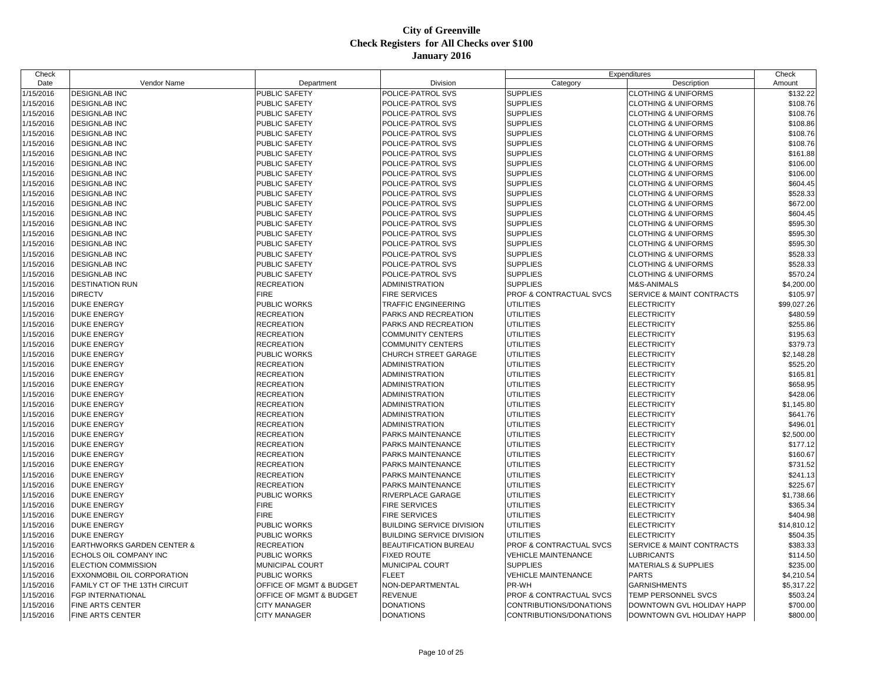| Check     |                                       |                         |                                  |                                    | Expenditures                    | Check       |
|-----------|---------------------------------------|-------------------------|----------------------------------|------------------------------------|---------------------------------|-------------|
| Date      | Vendor Name                           | Department              | Division                         | Category                           | Description                     | Amount      |
| 1/15/2016 | <b>DESIGNLAB INC</b>                  | <b>PUBLIC SAFETY</b>    | POLICE-PATROL SVS                | <b>SUPPLIES</b>                    | <b>CLOTHING &amp; UNIFORMS</b>  | \$132.22    |
| 1/15/2016 | <b>DESIGNLAB INC</b>                  | <b>PUBLIC SAFETY</b>    | POLICE-PATROL SVS                | <b>SUPPLIES</b>                    | <b>CLOTHING &amp; UNIFORMS</b>  | \$108.76    |
| 1/15/2016 | <b>DESIGNLAB INC</b>                  | PUBLIC SAFETY           | POLICE-PATROL SVS                | <b>SUPPLIES</b>                    | <b>CLOTHING &amp; UNIFORMS</b>  | \$108.76    |
| 1/15/2016 | <b>DESIGNLAB INC</b>                  | PUBLIC SAFETY           | POLICE-PATROL SVS                | <b>SUPPLIES</b>                    | <b>CLOTHING &amp; UNIFORMS</b>  | \$108.86    |
| 1/15/2016 | <b>DESIGNLAB INC</b>                  | <b>PUBLIC SAFETY</b>    | POLICE-PATROL SVS                | <b>SUPPLIES</b>                    | <b>CLOTHING &amp; UNIFORMS</b>  | \$108.76    |
| 1/15/2016 | <b>DESIGNLAB INC</b>                  | <b>PUBLIC SAFETY</b>    | POLICE-PATROL SVS                | <b>SUPPLIES</b>                    | <b>CLOTHING &amp; UNIFORMS</b>  | \$108.76    |
| 1/15/2016 | <b>DESIGNLAB INC</b>                  | PUBLIC SAFETY           | POLICE-PATROL SVS                | <b>SUPPLIES</b>                    | <b>CLOTHING &amp; UNIFORMS</b>  | \$161.88    |
| 1/15/2016 | <b>DESIGNLAB INC</b>                  | <b>PUBLIC SAFETY</b>    | POLICE-PATROL SVS                | <b>SUPPLIES</b>                    | <b>CLOTHING &amp; UNIFORMS</b>  | \$106.00    |
| 1/15/2016 | <b>DESIGNLAB INC</b>                  | PUBLIC SAFETY           | POLICE-PATROL SVS                | <b>SUPPLIES</b>                    | <b>CLOTHING &amp; UNIFORMS</b>  | \$106.00    |
| 1/15/2016 | <b>DESIGNLAB INC</b>                  | <b>PUBLIC SAFETY</b>    | POLICE-PATROL SVS                | <b>SUPPLIES</b>                    | <b>CLOTHING &amp; UNIFORMS</b>  | \$604.45    |
| 1/15/2016 | <b>DESIGNLAB INC</b>                  | PUBLIC SAFETY           | POLICE-PATROL SVS                | <b>SUPPLIES</b>                    | <b>CLOTHING &amp; UNIFORMS</b>  | \$528.33    |
| 1/15/2016 | <b>DESIGNLAB INC</b>                  | <b>PUBLIC SAFETY</b>    | POLICE-PATROL SVS                | <b>SUPPLIES</b>                    | <b>CLOTHING &amp; UNIFORMS</b>  | \$672.00    |
| 1/15/2016 | <b>DESIGNLAB INC</b>                  | <b>PUBLIC SAFETY</b>    | POLICE-PATROL SVS                | <b>SUPPLIES</b>                    | <b>CLOTHING &amp; UNIFORMS</b>  | \$604.45    |
| 1/15/2016 | <b>DESIGNLAB INC</b>                  | PUBLIC SAFETY           | POLICE-PATROL SVS                | <b>SUPPLIES</b>                    | <b>CLOTHING &amp; UNIFORMS</b>  | \$595.30    |
| 1/15/2016 | <b>DESIGNLAB INC</b>                  | <b>PUBLIC SAFETY</b>    | POLICE-PATROL SVS                | <b>SUPPLIES</b>                    | <b>CLOTHING &amp; UNIFORMS</b>  | \$595.30    |
| 1/15/2016 | <b>DESIGNLAB INC</b>                  | PUBLIC SAFETY           | POLICE-PATROL SVS                | <b>SUPPLIES</b>                    | <b>CLOTHING &amp; UNIFORMS</b>  | \$595.30    |
| 1/15/2016 | <b>DESIGNLAB INC</b>                  | <b>PUBLIC SAFETY</b>    | POLICE-PATROL SVS                | <b>SUPPLIES</b>                    | <b>CLOTHING &amp; UNIFORMS</b>  | \$528.33    |
| 1/15/2016 | <b>DESIGNLAB INC</b>                  | PUBLIC SAFETY           | POLICE-PATROL SVS                | <b>SUPPLIES</b>                    | <b>CLOTHING &amp; UNIFORMS</b>  | \$528.33    |
| 1/15/2016 | <b>DESIGNLAB INC</b>                  | <b>PUBLIC SAFETY</b>    | POLICE-PATROL SVS                | <b>SUPPLIES</b>                    | <b>CLOTHING &amp; UNIFORMS</b>  | \$570.24    |
| 1/15/2016 | <b>DESTINATION RUN</b>                | <b>RECREATION</b>       | <b>ADMINISTRATION</b>            | <b>SUPPLIES</b>                    | M&S-ANIMALS                     | \$4,200.00  |
| 1/15/2016 | <b>DIRECTV</b>                        | <b>FIRE</b>             | <b>FIRE SERVICES</b>             | <b>PROF &amp; CONTRACTUAL SVCS</b> | SERVICE & MAINT CONTRACTS       | \$105.97    |
| 1/15/2016 | <b>DUKE ENERGY</b>                    | <b>PUBLIC WORKS</b>     | TRAFFIC ENGINEERING              | UTILITIES                          | <b>ELECTRICITY</b>              | \$99,027.26 |
| 1/15/2016 | <b>DUKE ENERGY</b>                    | <b>RECREATION</b>       | PARKS AND RECREATION             | <b>UTILITIES</b>                   | <b>ELECTRICITY</b>              | \$480.59    |
| 1/15/2016 | <b>DUKE ENERGY</b>                    | <b>RECREATION</b>       | PARKS AND RECREATION             | UTILITIES                          | <b>ELECTRICITY</b>              | \$255.86    |
| 1/15/2016 | <b>DUKE ENERGY</b>                    | <b>RECREATION</b>       | <b>COMMUNITY CENTERS</b>         | UTILITIES                          | <b>ELECTRICITY</b>              | \$195.63    |
| 1/15/2016 | <b>DUKE ENERGY</b>                    | <b>RECREATION</b>       | <b>COMMUNITY CENTERS</b>         | UTILITIES                          | <b>ELECTRICITY</b>              | \$379.73    |
| 1/15/2016 | <b>DUKE ENERGY</b>                    | <b>PUBLIC WORKS</b>     | CHURCH STREET GARAGE             | <b>UTILITIES</b>                   | <b>ELECTRICITY</b>              | \$2,148.28  |
| 1/15/2016 | <b>DUKE ENERGY</b>                    | <b>RECREATION</b>       | <b>ADMINISTRATION</b>            | UTILITIES                          | <b>ELECTRICITY</b>              | \$525.20    |
| 1/15/2016 | <b>DUKE ENERGY</b>                    | <b>RECREATION</b>       | ADMINISTRATION                   | UTILITIES                          | <b>ELECTRICITY</b>              | \$165.81    |
| 1/15/2016 | <b>DUKE ENERGY</b>                    | <b>RECREATION</b>       | <b>ADMINISTRATION</b>            | <b>UTILITIES</b>                   | <b>ELECTRICITY</b>              | \$658.95    |
| 1/15/2016 | <b>DUKE ENERGY</b>                    | <b>RECREATION</b>       | ADMINISTRATION                   | UTILITIES                          | <b>ELECTRICITY</b>              | \$428.06    |
| 1/15/2016 | <b>DUKE ENERGY</b>                    | <b>RECREATION</b>       | ADMINISTRATION                   | UTILITIES                          | <b>ELECTRICITY</b>              | \$1,145.80  |
| 1/15/2016 | <b>DUKE ENERGY</b>                    | <b>RECREATION</b>       | ADMINISTRATION                   | <b>UTILITIES</b>                   | <b>ELECTRICITY</b>              | \$641.76    |
| 1/15/2016 | <b>DUKE ENERGY</b>                    | <b>RECREATION</b>       | ADMINISTRATION                   | UTILITIES                          | <b>ELECTRICITY</b>              | \$496.01    |
| 1/15/2016 | <b>DUKE ENERGY</b>                    | <b>RECREATION</b>       | PARKS MAINTENANCE                | UTILITIES                          | <b>ELECTRICITY</b>              | \$2,500.00  |
| 1/15/2016 | <b>DUKE ENERGY</b>                    | <b>RECREATION</b>       | PARKS MAINTENANCE                | UTILITIES                          | <b>ELECTRICITY</b>              | \$177.12    |
| 1/15/2016 | <b>DUKE ENERGY</b>                    | <b>RECREATION</b>       | PARKS MAINTENANCE                | <b>UTILITIES</b>                   | <b>ELECTRICITY</b>              | \$160.67    |
| 1/15/2016 | <b>DUKE ENERGY</b>                    | <b>RECREATION</b>       | PARKS MAINTENANCE                | UTILITIES                          | <b>ELECTRICITY</b>              | \$731.52    |
| 1/15/2016 | <b>DUKE ENERGY</b>                    | <b>RECREATION</b>       | PARKS MAINTENANCE                | UTILITIES                          | <b>ELECTRICITY</b>              | \$241.13    |
| 1/15/2016 | <b>DUKE ENERGY</b>                    | <b>RECREATION</b>       | PARKS MAINTENANCE                | UTILITIES                          | <b>ELECTRICITY</b>              | \$225.67    |
| 1/15/2016 | <b>DUKE ENERGY</b>                    | <b>PUBLIC WORKS</b>     | RIVERPLACE GARAGE                | <b>UTILITIES</b>                   | <b>ELECTRICITY</b>              | \$1,738.66  |
| 1/15/2016 | <b>DUKE ENERGY</b>                    | <b>FIRE</b>             | <b>FIRE SERVICES</b>             | UTILITIES                          | ELECTRICITY                     | \$365.34    |
| 1/15/2016 | <b>DUKE ENERGY</b>                    | <b>FIRE</b>             | <b>FIRE SERVICES</b>             | UTILITIES                          | <b>ELECTRICITY</b>              | \$404.98    |
| 1/15/2016 | <b>DUKE ENERGY</b>                    | <b>PUBLIC WORKS</b>     | <b>BUILDING SERVICE DIVISION</b> | <b>UTILITIES</b>                   | <b>ELECTRICITY</b>              | \$14,810.12 |
| 1/15/2016 | <b>DUKE ENERGY</b>                    | PUBLIC WORKS            | BUILDING SERVICE DIVISION        | UTILITIES                          | <b>ELECTRICITY</b>              | \$504.35    |
| 1/15/2016 | <b>EARTHWORKS GARDEN CENTER &amp;</b> | <b>RECREATION</b>       | BEAUTIFICATION BUREAU            | PROF & CONTRACTUAL SVCS            | SERVICE & MAINT CONTRACTS       | \$383.33    |
| 1/15/2016 | ECHOLS OIL COMPANY INC                | PUBLIC WORKS            | <b>FIXED ROUTE</b>               | <b>VEHICLE MAINTENANCE</b>         | LUBRICANTS                      | \$114.50    |
| 1/15/2016 | <b>ELECTION COMMISSION</b>            | MUNICIPAL COURT         | MUNICIPAL COURT                  | <b>SUPPLIES</b>                    | <b>MATERIALS &amp; SUPPLIES</b> | \$235.00    |
| 1/15/2016 | EXXONMOBIL OIL CORPORATION            | <b>PUBLIC WORKS</b>     | <b>FLEET</b>                     | <b>VEHICLE MAINTENANCE</b>         | <b>PARTS</b>                    | \$4,210.54  |
| 1/15/2016 | FAMILY CT OF THE 13TH CIRCUIT         | OFFICE OF MGMT & BUDGET | NON-DEPARTMENTAL                 | PR-WH                              | GARNISHMENTS                    | \$5,317.22  |
| 1/15/2016 | <b>FGP INTERNATIONAL</b>              | OFFICE OF MGMT & BUDGET | <b>REVENUE</b>                   | PROF & CONTRACTUAL SVCS            | TEMP PERSONNEL SVCS             | \$503.24    |
| 1/15/2016 | <b>FINE ARTS CENTER</b>               | <b>CITY MANAGER</b>     | <b>DONATIONS</b>                 | CONTRIBUTIONS/DONATIONS            | DOWNTOWN GVL HOLIDAY HAPP       | \$700.00    |
| 1/15/2016 | FINE ARTS CENTER                      | <b>CITY MANAGER</b>     | <b>DONATIONS</b>                 | CONTRIBUTIONS/DONATIONS            | DOWNTOWN GVL HOLIDAY HAPP       | \$800.00    |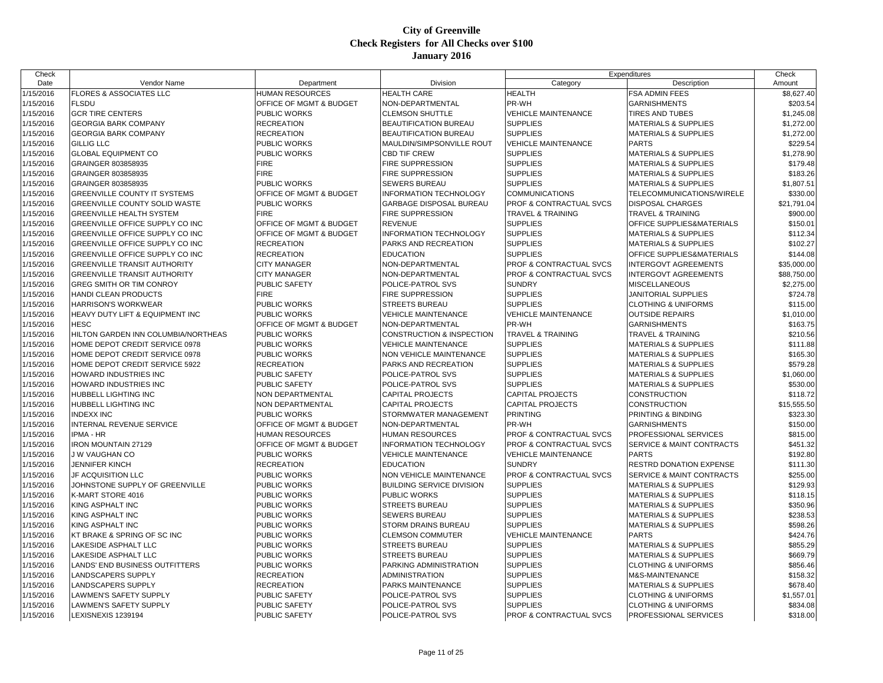| Check     |                                        |                         |                                  |                                    | Expenditures                         | Check       |
|-----------|----------------------------------------|-------------------------|----------------------------------|------------------------------------|--------------------------------------|-------------|
| Date      | Vendor Name                            | Department              | Division                         | Category                           | Description                          | Amount      |
| 1/15/2016 | <b>FLORES &amp; ASSOCIATES LLC</b>     | HUMAN RESOURCES         | <b>HEALTH CARE</b>               | <b>HEALTH</b>                      | FSA ADMIN FEES                       | \$8,627.40  |
| 1/15/2016 | <b>FLSDU</b>                           | OFFICE OF MGMT & BUDGET | NON-DEPARTMENTAL                 | PR-WH                              | <b>GARNISHMENTS</b>                  | \$203.54    |
| 1/15/2016 | <b>GCR TIRE CENTERS</b>                | PUBLIC WORKS            | <b>CLEMSON SHUTTLE</b>           | <b>VEHICLE MAINTENANCE</b>         | <b>TIRES AND TUBES</b>               | \$1,245.08  |
| 1/15/2016 | <b>GEORGIA BARK COMPANY</b>            | <b>RECREATION</b>       | BEAUTIFICATION BUREAU            | <b>SUPPLIES</b>                    | <b>MATERIALS &amp; SUPPLIES</b>      | \$1,272.00  |
| 1/15/2016 | <b>GEORGIA BARK COMPANY</b>            | <b>RECREATION</b>       | BEAUTIFICATION BUREAU            | <b>SUPPLIES</b>                    | <b>MATERIALS &amp; SUPPLIES</b>      | \$1,272.00  |
| 1/15/2016 | <b>GILLIG LLC</b>                      | PUBLIC WORKS            | MAULDIN/SIMPSONVILLE ROUT        | <b>VEHICLE MAINTENANCE</b>         | <b>PARTS</b>                         | \$229.54    |
| 1/15/2016 | <b>GLOBAL EQUIPMENT CO</b>             | PUBLIC WORKS            | <b>CBD TIF CREW</b>              | <b>SUPPLIES</b>                    | <b>MATERIALS &amp; SUPPLIES</b>      | \$1,278.90  |
| 1/15/2016 | GRAINGER 803858935                     | <b>FIRE</b>             | FIRE SUPPRESSION                 | <b>SUPPLIES</b>                    | <b>MATERIALS &amp; SUPPLIES</b>      | \$179.48    |
| 1/15/2016 | GRAINGER 803858935                     | <b>FIRE</b>             | FIRE SUPPRESSION                 | <b>SUPPLIES</b>                    | <b>MATERIALS &amp; SUPPLIES</b>      | \$183.26    |
| 1/15/2016 | GRAINGER 803858935                     | PUBLIC WORKS            | SEWERS BUREAU                    | <b>SUPPLIES</b>                    | <b>MATERIALS &amp; SUPPLIES</b>      | \$1,807.51  |
| 1/15/2016 | <b>GREENVILLE COUNTY IT SYSTEMS</b>    | OFFICE OF MGMT & BUDGET | <b>INFORMATION TECHNOLOGY</b>    | <b>COMMUNICATIONS</b>              | TELECOMMUNICATIONS/WIRELE            | \$330.00    |
| 1/15/2016 | <b>GREENVILLE COUNTY SOLID WASTE</b>   | PUBLIC WORKS            | GARBAGE DISPOSAL BUREAU          | PROF & CONTRACTUAL SVCS            | <b>DISPOSAL CHARGES</b>              | \$21,791.04 |
| 1/15/2016 | <b>GREENVILLE HEALTH SYSTEM</b>        | <b>FIRE</b>             | FIRE SUPPRESSION                 | <b>TRAVEL &amp; TRAINING</b>       | <b>TRAVEL &amp; TRAINING</b>         | \$900.00    |
| 1/15/2016 | <b>GREENVILLE OFFICE SUPPLY CO INC</b> | OFFICE OF MGMT & BUDGET | <b>REVENUE</b>                   | <b>SUPPLIES</b>                    | OFFICE SUPPLIES&MATERIALS            | \$150.01    |
| 1/15/2016 | <b>GREENVILLE OFFICE SUPPLY CO INC</b> | OFFICE OF MGMT & BUDGET | INFORMATION TECHNOLOGY           | <b>SUPPLIES</b>                    | <b>MATERIALS &amp; SUPPLIES</b>      | \$112.34    |
| 1/15/2016 | GREENVILLE OFFICE SUPPLY CO INC        | <b>RECREATION</b>       | PARKS AND RECREATION             | <b>SUPPLIES</b>                    | <b>MATERIALS &amp; SUPPLIES</b>      | \$102.27    |
| 1/15/2016 | <b>GREENVILLE OFFICE SUPPLY CO INC</b> | <b>RECREATION</b>       | <b>EDUCATION</b>                 | <b>SUPPLIES</b>                    | OFFICE SUPPLIES&MATERIALS            | \$144.08    |
| 1/15/2016 | <b>GREENVILLE TRANSIT AUTHORITY</b>    | <b>CITY MANAGER</b>     | NON-DEPARTMENTAL                 | PROF & CONTRACTUAL SVCS            | <b>INTERGOVT AGREEMENTS</b>          | \$35,000.00 |
| 1/15/2016 | <b>GREENVILLE TRANSIT AUTHORITY</b>    | <b>CITY MANAGER</b>     | NON-DEPARTMENTAL                 | PROF & CONTRACTUAL SVCS            | <b>INTERGOVT AGREEMENTS</b>          | \$88,750.00 |
| 1/15/2016 | <b>GREG SMITH OR TIM CONROY</b>        | <b>PUBLIC SAFETY</b>    | POLICE-PATROL SVS                | <b>SUNDRY</b>                      | <b>MISCELLANEOUS</b>                 | \$2,275.00  |
| 1/15/2016 | HANDI CLEAN PRODUCTS                   | <b>FIRE</b>             | FIRE SUPPRESSION                 | <b>SUPPLIES</b>                    | JANITORIAL SUPPLIES                  | \$724.78    |
| 1/15/2016 | <b>HARRISON'S WORKWEAR</b>             | PUBLIC WORKS            | <b>STREETS BUREAU</b>            | <b>SUPPLIES</b>                    | <b>CLOTHING &amp; UNIFORMS</b>       | \$115.00    |
| 1/15/2016 | HEAVY DUTY LIFT & EQUIPMENT INC        | PUBLIC WORKS            | <b>VEHICLE MAINTENANCE</b>       | <b>VEHICLE MAINTENANCE</b>         | <b>OUTSIDE REPAIRS</b>               | \$1,010.00  |
| 1/15/2016 | <b>HESC</b>                            | OFFICE OF MGMT & BUDGET | NON-DEPARTMENTAL                 | PR-WH                              | <b>GARNISHMENTS</b>                  | \$163.75    |
| 1/15/2016 | HILTON GARDEN INN COLUMBIA/NORTHEAS    | PUBLIC WORKS            | CONSTRUCTION & INSPECTION        | TRAVEL & TRAINING                  | <b>TRAVEL &amp; TRAINING</b>         | \$210.56    |
| 1/15/2016 | HOME DEPOT CREDIT SERVICE 0978         | PUBLIC WORKS            | <b>VEHICLE MAINTENANCE</b>       | <b>SUPPLIES</b>                    | <b>MATERIALS &amp; SUPPLIES</b>      | \$111.88    |
| 1/15/2016 | HOME DEPOT CREDIT SERVICE 0978         | PUBLIC WORKS            | NON VEHICLE MAINTENANCE          | <b>SUPPLIES</b>                    | <b>MATERIALS &amp; SUPPLIES</b>      | \$165.30    |
| 1/15/2016 | HOME DEPOT CREDIT SERVICE 5922         | <b>RECREATION</b>       | PARKS AND RECREATION             | <b>SUPPLIES</b>                    | <b>MATERIALS &amp; SUPPLIES</b>      | \$579.28    |
| 1/15/2016 | <b>HOWARD INDUSTRIES INC</b>           | PUBLIC SAFETY           | POLICE-PATROL SVS                | <b>SUPPLIES</b>                    | <b>MATERIALS &amp; SUPPLIES</b>      | \$1,060.00  |
| 1/15/2016 | HOWARD INDUSTRIES INC                  | <b>PUBLIC SAFETY</b>    | POLICE-PATROL SVS                | <b>SUPPLIES</b>                    | <b>MATERIALS &amp; SUPPLIES</b>      | \$530.00    |
| 1/15/2016 | <b>HUBBELL LIGHTING INC</b>            | NON DEPARTMENTAL        | <b>CAPITAL PROJECTS</b>          | <b>CAPITAL PROJECTS</b>            | <b>CONSTRUCTION</b>                  | \$118.72    |
| 1/15/2016 | HUBBELL LIGHTING INC                   | NON DEPARTMENTAL        | <b>CAPITAL PROJECTS</b>          | <b>CAPITAL PROJECTS</b>            | CONSTRUCTION                         | \$15,555.50 |
| 1/15/2016 | <b>INDEXX INC</b>                      | PUBLIC WORKS            | STORMWATER MANAGEMENT            | <b>PRINTING</b>                    | PRINTING & BINDING                   | \$323.30    |
| 1/15/2016 | INTERNAL REVENUE SERVICE               | OFFICE OF MGMT & BUDGET | NON-DEPARTMENTAL                 | PR-WH                              | <b>GARNISHMENTS</b>                  | \$150.00    |
| 1/15/2016 | <b>IPMA - HR</b>                       | HUMAN RESOURCES         | <b>HUMAN RESOURCES</b>           | PROF & CONTRACTUAL SVCS            | PROFESSIONAL SERVICES                | \$815.00    |
| 1/15/2016 | <b>IRON MOUNTAIN 27129</b>             | OFFICE OF MGMT & BUDGET | <b>INFORMATION TECHNOLOGY</b>    | <b>PROF &amp; CONTRACTUAL SVCS</b> | <b>SERVICE &amp; MAINT CONTRACTS</b> | \$451.32    |
| 1/15/2016 | J W VAUGHAN CO                         | PUBLIC WORKS            | <b>VEHICLE MAINTENANCE</b>       | <b>VEHICLE MAINTENANCE</b>         | <b>PARTS</b>                         | \$192.80    |
| 1/15/2016 | <b>JENNIFER KINCH</b>                  | <b>RECREATION</b>       | <b>EDUCATION</b>                 | <b>SUNDRY</b>                      | RESTRD DONATION EXPENSE              | \$111.30    |
| 1/15/2016 | <b>JF ACQUISITION LLC</b>              | PUBLIC WORKS            | NON VEHICLE MAINTENANCE          | PROF & CONTRACTUAL SVCS            | <b>SERVICE &amp; MAINT CONTRACTS</b> | \$255.00    |
| 1/15/2016 | JOHNSTONE SUPPLY OF GREENVILLE         | PUBLIC WORKS            | <b>BUILDING SERVICE DIVISION</b> | <b>SUPPLIES</b>                    | <b>MATERIALS &amp; SUPPLIES</b>      | \$129.93    |
| 1/15/2016 | K-MART STORE 4016                      | PUBLIC WORKS            | PUBLIC WORKS                     | <b>SUPPLIES</b>                    | <b>MATERIALS &amp; SUPPLIES</b>      | \$118.15    |
| 1/15/2016 | KING ASPHALT INC                       | PUBLIC WORKS            | STREETS BUREAU                   | <b>SUPPLIES</b>                    | <b>MATERIALS &amp; SUPPLIES</b>      | \$350.96    |
| 1/15/2016 | KING ASPHALT INC                       | PUBLIC WORKS            | SEWERS BUREAU                    | <b>SUPPLIES</b>                    | <b>MATERIALS &amp; SUPPLIES</b>      | \$238.53    |
| 1/15/2016 | KING ASPHALT INC                       | PUBLIC WORKS            | STORM DRAINS BUREAU              | <b>SUPPLIES</b>                    | <b>MATERIALS &amp; SUPPLIES</b>      | \$598.26    |
| 1/15/2016 | KT BRAKE & SPRING OF SC INC            | PUBLIC WORKS            | <b>CLEMSON COMMUTER</b>          | <b>VEHICLE MAINTENANCE</b>         | <b>PARTS</b>                         | \$424.76    |
| 1/15/2016 | <b>LAKESIDE ASPHALT LLC</b>            | PUBLIC WORKS            | <b>STREETS BUREAU</b>            | <b>SUPPLIES</b>                    | <b>MATERIALS &amp; SUPPLIES</b>      | \$855.29    |
| 1/15/2016 | <b>LAKESIDE ASPHALT LLC</b>            | PUBLIC WORKS            | <b>STREETS BUREAU</b>            | <b>SUPPLIES</b>                    | <b>MATERIALS &amp; SUPPLIES</b>      | \$669.79    |
| 1/15/2016 | LANDS' END BUSINESS OUTFITTERS         | PUBLIC WORKS            | PARKING ADMINISTRATION           | <b>SUPPLIES</b>                    | <b>CLOTHING &amp; UNIFORMS</b>       | \$856.46    |
| 1/15/2016 | LANDSCAPERS SUPPLY                     | <b>RECREATION</b>       | <b>ADMINISTRATION</b>            | <b>SUPPLIES</b>                    | M&S-MAINTENANCE                      | \$158.32    |
| 1/15/2016 | LANDSCAPERS SUPPLY                     | <b>RECREATION</b>       | PARKS MAINTENANCE                | <b>SUPPLIES</b>                    | <b>MATERIALS &amp; SUPPLIES</b>      | \$678.40    |
| 1/15/2016 | LAWMEN'S SAFETY SUPPLY                 | <b>PUBLIC SAFETY</b>    | POLICE-PATROL SVS                | <b>SUPPLIES</b>                    | <b>CLOTHING &amp; UNIFORMS</b>       | \$1,557.01  |
| 1/15/2016 | LAWMEN'S SAFETY SUPPLY                 | <b>PUBLIC SAFETY</b>    | POLICE-PATROL SVS                | <b>SUPPLIES</b>                    | <b>CLOTHING &amp; UNIFORMS</b>       | \$834.08    |
| 1/15/2016 | LEXISNEXIS 1239194                     | <b>PUBLIC SAFETY</b>    | POLICE-PATROL SVS                | PROF & CONTRACTUAL SVCS            | <b>PROFESSIONAL SERVICES</b>         | \$318.00    |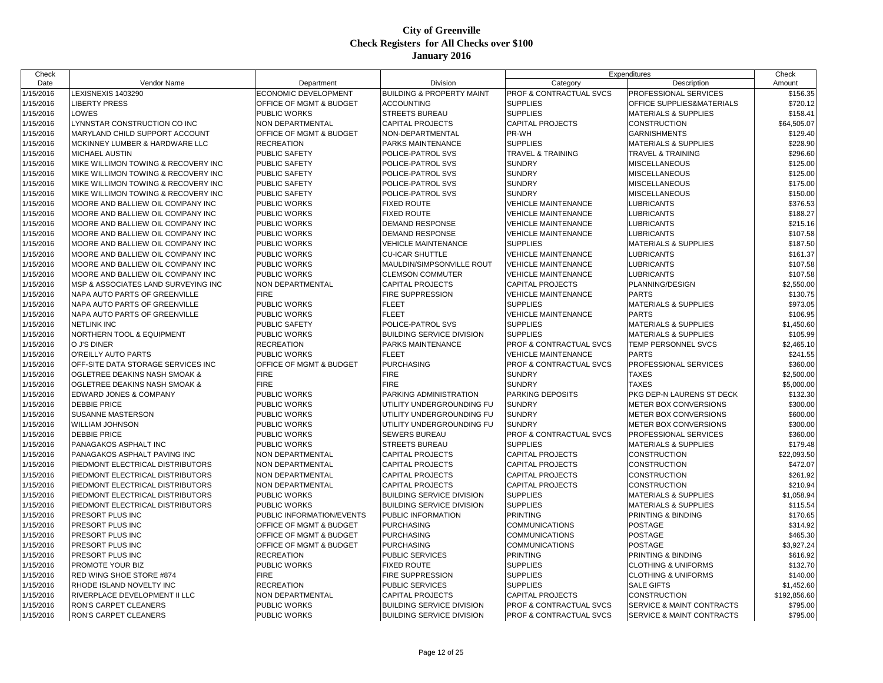| Check     |                                                 |                           |                                      |                                    | Expenditures                         | Check        |
|-----------|-------------------------------------------------|---------------------------|--------------------------------------|------------------------------------|--------------------------------------|--------------|
| Date      | Vendor Name                                     | Department                | Division                             | Category                           | Description                          | Amount       |
| 1/15/2016 | LEXISNEXIS 1403290                              | ECONOMIC DEVELOPMENT      | <b>BUILDING &amp; PROPERTY MAINT</b> | PROF & CONTRACTUAL SVCS            | PROFESSIONAL SERVICES                | \$156.35     |
| 1/15/2016 | <b>LIBERTY PRESS</b>                            | OFFICE OF MGMT & BUDGET   | <b>ACCOUNTING</b>                    | <b>SUPPLIES</b>                    | OFFICE SUPPLIES&MATERIALS            | \$720.12     |
| 1/15/2016 | LOWES                                           | PUBLIC WORKS              | <b>STREETS BUREAU</b>                | <b>SUPPLIES</b>                    | <b>MATERIALS &amp; SUPPLIES</b>      | \$158.41     |
| 1/15/2016 | LYNNSTAR CONSTRUCTION CO INC                    | NON DEPARTMENTAL          | <b>CAPITAL PROJECTS</b>              | <b>CAPITAL PROJECTS</b>            | <b>CONSTRUCTION</b>                  | \$64,505.07  |
| 1/15/2016 | MARYLAND CHILD SUPPORT ACCOUNT                  | OFFICE OF MGMT & BUDGET   | NON-DEPARTMENTAL                     | PR-WH                              | <b>GARNISHMENTS</b>                  | \$129.40     |
| 1/15/2016 | MCKINNEY LUMBER & HARDWARE LLC                  | <b>RECREATION</b>         | <b>PARKS MAINTENANCE</b>             | <b>SUPPLIES</b>                    | <b>MATERIALS &amp; SUPPLIES</b>      | \$228.90     |
| 1/15/2016 | <b>MICHAEL AUSTIN</b>                           | PUBLIC SAFETY             | POLICE-PATROL SVS                    | <b>TRAVEL &amp; TRAINING</b>       | TRAVEL & TRAINING                    | \$296.60     |
| 1/15/2016 | MIKE WILLIMON TOWING & RECOVERY INC             | PUBLIC SAFETY             | POLICE-PATROL SVS                    | <b>SUNDRY</b>                      | MISCELLANEOUS                        | \$125.00     |
| 1/15/2016 | MIKE WILLIMON TOWING & RECOVERY INC             | PUBLIC SAFETY             | POLICE-PATROL SVS                    | <b>SUNDRY</b>                      | MISCELLANEOUS                        | \$125.00     |
| 1/15/2016 | <b>IMIKE WILLIMON TOWING &amp; RECOVERY INC</b> | <b>PUBLIC SAFETY</b>      | POLICE-PATROL SVS                    | <b>SUNDRY</b>                      | <b>MISCELLANEOUS</b>                 | \$175.00     |
| 1/15/2016 | MIKE WILLIMON TOWING & RECOVERY INC             | <b>PUBLIC SAFETY</b>      | POLICE-PATROL SVS                    | <b>SUNDRY</b>                      | MISCELLANEOUS                        | \$150.00     |
| 1/15/2016 | MOORE AND BALLIEW OIL COMPANY INC               | PUBLIC WORKS              | <b>FIXED ROUTE</b>                   | <b>VEHICLE MAINTENANCE</b>         | LUBRICANTS                           | \$376.53     |
| 1/15/2016 | MOORE AND BALLIEW OIL COMPANY INC               | PUBLIC WORKS              | <b>FIXED ROUTE</b>                   | <b>VEHICLE MAINTENANCE</b>         | LUBRICANTS                           | \$188.27     |
| 1/15/2016 | MOORE AND BALLIEW OIL COMPANY INC               | PUBLIC WORKS              | <b>DEMAND RESPONSE</b>               | <b>VEHICLE MAINTENANCE</b>         | <b>LUBRICANTS</b>                    | \$215.16     |
| 1/15/2016 | MOORE AND BALLIEW OIL COMPANY INC               | PUBLIC WORKS              | <b>DEMAND RESPONSE</b>               | <b>VEHICLE MAINTENANCE</b>         | <b>LUBRICANTS</b>                    | \$107.58     |
| 1/15/2016 | MOORE AND BALLIEW OIL COMPANY INC               | PUBLIC WORKS              | <b>VEHICLE MAINTENANCE</b>           | <b>SUPPLIES</b>                    | <b>MATERIALS &amp; SUPPLIES</b>      | \$187.50     |
| 1/15/2016 | MOORE AND BALLIEW OIL COMPANY INC               | PUBLIC WORKS              | <b>CU-ICAR SHUTTLE</b>               | <b>VEHICLE MAINTENANCE</b>         | <b>LUBRICANTS</b>                    | \$161.37     |
| 1/15/2016 | MOORE AND BALLIEW OIL COMPANY INC               | PUBLIC WORKS              | MAULDIN/SIMPSONVILLE ROUT            | <b>VEHICLE MAINTENANCE</b>         | LUBRICANTS                           | \$107.58     |
| 1/15/2016 | MOORE AND BALLIEW OIL COMPANY INC               | PUBLIC WORKS              | <b>CLEMSON COMMUTER</b>              | <b>VEHICLE MAINTENANCE</b>         | <b>LUBRICANTS</b>                    | \$107.58     |
| 1/15/2016 | MSP & ASSOCIATES LAND SURVEYING INC             | NON DEPARTMENTAL          | <b>CAPITAL PROJECTS</b>              | <b>CAPITAL PROJECTS</b>            | PLANNING/DESIGN                      | \$2,550.00   |
| 1/15/2016 | NAPA AUTO PARTS OF GREENVILLE                   | <b>FIRE</b>               | FIRE SUPPRESSION                     | <b>VEHICLE MAINTENANCE</b>         | <b>PARTS</b>                         | \$130.75     |
| 1/15/2016 | NAPA AUTO PARTS OF GREENVILLE                   | PUBLIC WORKS              | <b>FLEET</b>                         | <b>SUPPLIES</b>                    | MATERIALS & SUPPLIES                 | \$973.05     |
| 1/15/2016 | NAPA AUTO PARTS OF GREENVILLE                   | PUBLIC WORKS              | <b>FLEET</b>                         | <b>VEHICLE MAINTENANCE</b>         | <b>PARTS</b>                         | \$106.95     |
| 1/15/2016 | <b>NETLINK INC</b>                              | PUBLIC SAFETY             | POLICE-PATROL SVS                    | <b>SUPPLIES</b>                    | <b>MATERIALS &amp; SUPPLIES</b>      | \$1,450.60   |
| 1/15/2016 | <b>NORTHERN TOOL &amp; EQUIPMENT</b>            | PUBLIC WORKS              | <b>BUILDING SERVICE DIVISION</b>     | <b>SUPPLIES</b>                    | <b>MATERIALS &amp; SUPPLIES</b>      | \$105.99     |
| 1/15/2016 | O J'S DINER                                     | <b>RECREATION</b>         | <b>PARKS MAINTENANCE</b>             | PROF & CONTRACTUAL SVCS            | TEMP PERSONNEL SVCS                  | \$2,465.10   |
| 1/15/2016 | <b>O'REILLY AUTO PARTS</b>                      | PUBLIC WORKS              | <b>FLEET</b>                         | <b>VEHICLE MAINTENANCE</b>         | <b>PARTS</b>                         | \$241.55     |
| 1/15/2016 | OFF-SITE DATA STORAGE SERVICES INC              | OFFICE OF MGMT & BUDGET   | <b>PURCHASING</b>                    | PROF & CONTRACTUAL SVCS            | PROFESSIONAL SERVICES                | \$360.00     |
| 1/15/2016 | <b>IOGLETREE DEAKINS NASH SMOAK &amp;</b>       | <b>FIRE</b>               | <b>FIRE</b>                          | <b>SUNDRY</b>                      | <b>TAXES</b>                         | \$2,500.00   |
| 1/15/2016 | <b>OGLETREE DEAKINS NASH SMOAK &amp;</b>        | <b>FIRE</b>               | <b>FIRE</b>                          | <b>SUNDRY</b>                      | <b>TAXES</b>                         | \$5,000.00   |
| 1/15/2016 | EDWARD JONES & COMPANY                          | PUBLIC WORKS              | PARKING ADMINISTRATION               | <b>PARKING DEPOSITS</b>            | PKG DEP-N LAURENS ST DECK            | \$132.30     |
| 1/15/2016 | <b>DEBBIE PRICE</b>                             | PUBLIC WORKS              | UTILITY UNDERGROUNDING FU            | <b>SUNDRY</b>                      | METER BOX CONVERSIONS                | \$300.00     |
| 1/15/2016 | <b>SUSANNE MASTERSON</b>                        | <b>PUBLIC WORKS</b>       | UTILITY UNDERGROUNDING FU            | <b>SUNDRY</b>                      | <b>METER BOX CONVERSIONS</b>         | \$600.00     |
| 1/15/2016 | <b>WILLIAM JOHNSON</b>                          | PUBLIC WORKS              | UTILITY UNDERGROUNDING FU            | <b>SUNDRY</b>                      | METER BOX CONVERSIONS                | \$300.00     |
| 1/15/2016 | <b>DEBBIE PRICE</b>                             | PUBLIC WORKS              | <b>SEWERS BUREAU</b>                 | PROF & CONTRACTUAL SVCS            | PROFESSIONAL SERVICES                | \$360.00     |
| 1/15/2016 | PANAGAKOS ASPHALT INC                           | PUBLIC WORKS              | <b>STREETS BUREAU</b>                | <b>SUPPLIES</b>                    | <b>MATERIALS &amp; SUPPLIES</b>      | \$179.48     |
| 1/15/2016 | PANAGAKOS ASPHALT PAVING INC                    | NON DEPARTMENTAL          | <b>CAPITAL PROJECTS</b>              | <b>CAPITAL PROJECTS</b>            | CONSTRUCTION                         | \$22,093.50  |
| 1/15/2016 | PIEDMONT ELECTRICAL DISTRIBUTORS                | NON DEPARTMENTAL          | <b>CAPITAL PROJECTS</b>              | <b>CAPITAL PROJECTS</b>            | <b>CONSTRUCTION</b>                  | \$472.07     |
| 1/15/2016 | PIEDMONT ELECTRICAL DISTRIBUTORS                | NON DEPARTMENTAL          | <b>CAPITAL PROJECTS</b>              | <b>CAPITAL PROJECTS</b>            | CONSTRUCTION                         | \$261.92     |
| 1/15/2016 | PIEDMONT ELECTRICAL DISTRIBUTORS                | <b>NON DEPARTMENTAL</b>   | <b>CAPITAL PROJECTS</b>              | <b>CAPITAL PROJECTS</b>            | <b>CONSTRUCTION</b>                  | \$210.94     |
| 1/15/2016 | PIEDMONT ELECTRICAL DISTRIBUTORS                | PUBLIC WORKS              | <b>BUILDING SERVICE DIVISION</b>     | <b>SUPPLIES</b>                    | MATERIALS & SUPPLIES                 | \$1,058.94   |
| 1/15/2016 | PIEDMONT ELECTRICAL DISTRIBUTORS                | PUBLIC WORKS              | <b>BUILDING SERVICE DIVISION</b>     | <b>SUPPLIES</b>                    | <b>MATERIALS &amp; SUPPLIES</b>      | \$115.54     |
| 1/15/2016 | <b>PRESORT PLUS INC</b>                         | PUBLIC INFORMATION/EVENTS | PUBLIC INFORMATION                   | <b>PRINTING</b>                    | PRINTING & BINDING                   | \$170.65     |
| 1/15/2016 | <b>PRESORT PLUS INC</b>                         | OFFICE OF MGMT & BUDGET   | <b>PURCHASING</b>                    | <b>COMMUNICATIONS</b>              | <b>POSTAGE</b>                       | \$314.92     |
| 1/15/2016 | <b>PRESORT PLUS INC</b>                         | OFFICE OF MGMT & BUDGET   | <b>PURCHASING</b>                    | <b>COMMUNICATIONS</b>              | <b>POSTAGE</b>                       | \$465.30     |
| 1/15/2016 | <b>PRESORT PLUS INC</b>                         | OFFICE OF MGMT & BUDGET   | <b>PURCHASING</b>                    | <b>COMMUNICATIONS</b>              | <b>POSTAGE</b>                       | \$3,927.24   |
| 1/15/2016 | <b>PRESORT PLUS INC</b>                         | <b>RECREATION</b>         | <b>PUBLIC SERVICES</b>               | <b>PRINTING</b>                    | PRINTING & BINDING                   | \$616.92     |
| 1/15/2016 | <b>PROMOTE YOUR BIZ</b>                         | PUBLIC WORKS              | <b>FIXED ROUTE</b>                   | <b>SUPPLIES</b>                    | <b>CLOTHING &amp; UNIFORMS</b>       | \$132.70     |
| 1/15/2016 | RED WING SHOE STORE #874                        | <b>FIRE</b>               | <b>FIRE SUPPRESSION</b>              | <b>SUPPLIES</b>                    | <b>CLOTHING &amp; UNIFORMS</b>       | \$140.00     |
| 1/15/2016 | RHODE ISLAND NOVELTY INC                        | <b>RECREATION</b>         | <b>PUBLIC SERVICES</b>               | <b>SUPPLIES</b>                    | <b>SALE GIFTS</b>                    | \$1,452.60   |
| 1/15/2016 | RIVERPLACE DEVELOPMENT II LLC                   | NON DEPARTMENTAL          | <b>CAPITAL PROJECTS</b>              | <b>CAPITAL PROJECTS</b>            | <b>CONSTRUCTION</b>                  | \$192,856.60 |
| 1/15/2016 | <b>RON'S CARPET CLEANERS</b>                    | <b>PUBLIC WORKS</b>       | <b>BUILDING SERVICE DIVISION</b>     | <b>PROF &amp; CONTRACTUAL SVCS</b> | <b>SERVICE &amp; MAINT CONTRACTS</b> | \$795.00     |
| 1/15/2016 | RON'S CARPET CLEANERS                           | PUBLIC WORKS              | <b>BUILDING SERVICE DIVISION</b>     | PROF & CONTRACTUAL SVCS            | SERVICE & MAINT CONTRACTS            | \$795.00     |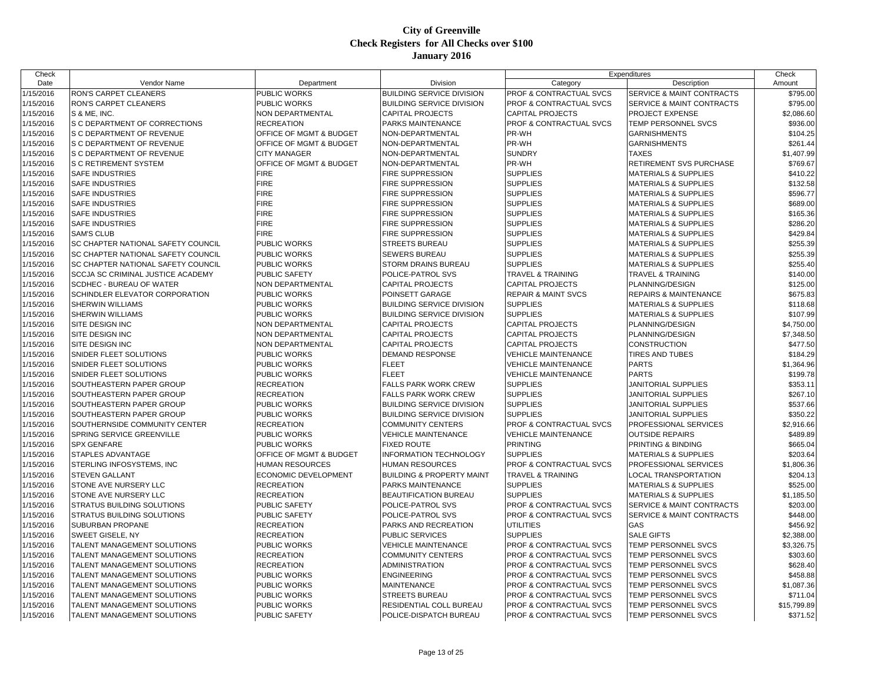| Check     |                                           |                         |                                      |                                    | Expenditures                         | Check       |
|-----------|-------------------------------------------|-------------------------|--------------------------------------|------------------------------------|--------------------------------------|-------------|
| Date      | Vendor Name                               | Department              | Division                             | Category                           | Description                          | Amount      |
| 1/15/2016 | <b>RON'S CARPET CLEANERS</b>              | PUBLIC WORKS            | <b>BUILDING SERVICE DIVISION</b>     | <b>PROF &amp; CONTRACTUAL SVCS</b> | SERVICE & MAINT CONTRACTS            | \$795.00    |
| 1/15/2016 | RON'S CARPET CLEANERS                     | PUBLIC WORKS            | <b>BUILDING SERVICE DIVISION</b>     | <b>PROF &amp; CONTRACTUAL SVCS</b> | <b>SERVICE &amp; MAINT CONTRACTS</b> | \$795.00    |
| 1/15/2016 | S & ME. INC.                              | NON DEPARTMENTAL        | <b>CAPITAL PROJECTS</b>              | <b>CAPITAL PROJECTS</b>            | PROJECT EXPENSE                      | \$2,086.60  |
| 1/15/2016 | S C DEPARTMENT OF CORRECTIONS             | <b>RECREATION</b>       | PARKS MAINTENANCE                    | <b>PROF &amp; CONTRACTUAL SVCS</b> | TEMP PERSONNEL SVCS                  | \$936.00    |
| 1/15/2016 | S C DEPARTMENT OF REVENUE                 | OFFICE OF MGMT & BUDGET | NON-DEPARTMENTAL                     | PR-WH                              | <b>GARNISHMENTS</b>                  | \$104.25    |
| 1/15/2016 | S C DEPARTMENT OF REVENUE                 | OFFICE OF MGMT & BUDGET | NON-DEPARTMENTAL                     | PR-WH                              | <b>GARNISHMENTS</b>                  | \$261.44    |
| 1/15/2016 | <b>S C DEPARTMENT OF REVENUE</b>          | <b>CITY MANAGER</b>     | NON-DEPARTMENTAL                     | <b>SUNDRY</b>                      | <b>TAXES</b>                         | \$1,407.99  |
| 1/15/2016 | <b>S C RETIREMENT SYSTEM</b>              | OFFICE OF MGMT & BUDGET | NON-DEPARTMENTAL                     | PR-WH                              | RETIREMENT SVS PURCHASE              | \$769.67    |
| 1/15/2016 | <b>SAFE INDUSTRIES</b>                    | <b>FIRE</b>             | FIRE SUPPRESSION                     | <b>SUPPLIES</b>                    | <b>MATERIALS &amp; SUPPLIES</b>      | \$410.22    |
| 1/15/2016 | <b>SAFE INDUSTRIES</b>                    | <b>FIRE</b>             | FIRE SUPPRESSION                     | <b>SUPPLIES</b>                    | <b>MATERIALS &amp; SUPPLIES</b>      | \$132.58    |
| 1/15/2016 | <b>SAFE INDUSTRIES</b>                    | <b>FIRE</b>             | FIRE SUPPRESSION                     | <b>SUPPLIES</b>                    | <b>MATERIALS &amp; SUPPLIES</b>      | \$596.77    |
| 1/15/2016 | <b>SAFE INDUSTRIES</b>                    | <b>FIRE</b>             | FIRE SUPPRESSION                     | <b>SUPPLIES</b>                    | MATERIALS & SUPPLIES                 | \$689.00    |
| 1/15/2016 | <b>SAFE INDUSTRIES</b>                    | <b>FIRE</b>             | FIRE SUPPRESSION                     | <b>SUPPLIES</b>                    | <b>MATERIALS &amp; SUPPLIES</b>      | \$165.36    |
| 1/15/2016 | <b>SAFE INDUSTRIES</b>                    | <b>FIRE</b>             | FIRE SUPPRESSION                     | <b>SUPPLIES</b>                    | <b>MATERIALS &amp; SUPPLIES</b>      | \$286.20    |
| 1/15/2016 | <b>SAM'S CLUB</b>                         | <b>FIRE</b>             | FIRE SUPPRESSION                     | <b>SUPPLIES</b>                    | <b>MATERIALS &amp; SUPPLIES</b>      | \$429.84    |
| 1/15/2016 | <b>SC CHAPTER NATIONAL SAFETY COUNCIL</b> | PUBLIC WORKS            | <b>STREETS BUREAU</b>                | <b>SUPPLIES</b>                    | <b>MATERIALS &amp; SUPPLIES</b>      | \$255.39    |
| 1/15/2016 | <b>SC CHAPTER NATIONAL SAFETY COUNCIL</b> | PUBLIC WORKS            | SEWERS BUREAU                        | <b>SUPPLIES</b>                    | MATERIALS & SUPPLIES                 | \$255.39    |
| 1/15/2016 | <b>SC CHAPTER NATIONAL SAFETY COUNCIL</b> | PUBLIC WORKS            | STORM DRAINS BUREAU                  | <b>SUPPLIES</b>                    | <b>MATERIALS &amp; SUPPLIES</b>      | \$255.40    |
| 1/15/2016 | <b>SCCJA SC CRIMINAL JUSTICE ACADEMY</b>  | PUBLIC SAFETY           | POLICE-PATROL SVS                    | <b>TRAVEL &amp; TRAINING</b>       | <b>TRAVEL &amp; TRAINING</b>         | \$140.00    |
| 1/15/2016 | SCDHEC - BUREAU OF WATER                  | NON DEPARTMENTAL        | <b>CAPITAL PROJECTS</b>              | <b>CAPITAL PROJECTS</b>            | PLANNING/DESIGN                      | \$125.00    |
| 1/15/2016 | <b>SCHINDLER ELEVATOR CORPORATION</b>     | PUBLIC WORKS            | POINSETT GARAGE                      | <b>REPAIR &amp; MAINT SVCS</b>     | REPAIRS & MAINTENANCE                | \$675.83    |
| 1/15/2016 | <b>SHERWIN WILLIAMS</b>                   | PUBLIC WORKS            | <b>BUILDING SERVICE DIVISION</b>     | <b>SUPPLIES</b>                    | <b>MATERIALS &amp; SUPPLIES</b>      | \$118.68    |
| 1/15/2016 | <b>SHERWIN WILLIAMS</b>                   | PUBLIC WORKS            | <b>BUILDING SERVICE DIVISION</b>     | <b>SUPPLIES</b>                    | <b>MATERIALS &amp; SUPPLIES</b>      | \$107.99    |
| 1/15/2016 | SITE DESIGN INC                           | NON DEPARTMENTAL        | <b>CAPITAL PROJECTS</b>              | <b>CAPITAL PROJECTS</b>            | PLANNING/DESIGN                      | \$4,750.00  |
| 1/15/2016 | <b>SITE DESIGN INC</b>                    | <b>NON DEPARTMENTAL</b> | <b>CAPITAL PROJECTS</b>              | <b>CAPITAL PROJECTS</b>            | PLANNING/DESIGN                      | \$7,348.50  |
| 1/15/2016 | SITE DESIGN INC                           | <b>NON DEPARTMENTAL</b> | <b>CAPITAL PROJECTS</b>              | <b>CAPITAL PROJECTS</b>            | CONSTRUCTION                         | \$477.50    |
| 1/15/2016 | SNIDER FLEET SOLUTIONS                    | PUBLIC WORKS            | <b>DEMAND RESPONSE</b>               | <b>VEHICLE MAINTENANCE</b>         | <b>TIRES AND TUBES</b>               | \$184.29    |
| 1/15/2016 | SNIDER FLEET SOLUTIONS                    | PUBLIC WORKS            | <b>FLEET</b>                         | <b>VEHICLE MAINTENANCE</b>         | <b>PARTS</b>                         | \$1,364.96  |
| 1/15/2016 | <b>SNIDER FLEET SOLUTIONS</b>             | PUBLIC WORKS            | <b>FLEET</b>                         | <b>VEHICLE MAINTENANCE</b>         | <b>PARTS</b>                         | \$199.78    |
| 1/15/2016 | <b>SOUTHEASTERN PAPER GROUP</b>           | <b>RECREATION</b>       | FALLS PARK WORK CREW                 | <b>SUPPLIES</b>                    | JANITORIAL SUPPLIES                  | \$353.11    |
| 1/15/2016 | <b>SOUTHEASTERN PAPER GROUP</b>           | <b>RECREATION</b>       | FALLS PARK WORK CREW                 | <b>SUPPLIES</b>                    | JANITORIAL SUPPLIES                  | \$267.10    |
| 1/15/2016 | SOUTHEASTERN PAPER GROUP                  | PUBLIC WORKS            | <b>BUILDING SERVICE DIVISION</b>     | <b>SUPPLIES</b>                    | JANITORIAL SUPPLIES                  | \$537.66    |
| 1/15/2016 | <b>SOUTHEASTERN PAPER GROUP</b>           | PUBLIC WORKS            | <b>BUILDING SERVICE DIVISION</b>     | <b>SUPPLIES</b>                    | JANITORIAL SUPPLIES                  | \$350.22    |
| 1/15/2016 | SOUTHERNSIDE COMMUNITY CENTER             | <b>RECREATION</b>       | <b>COMMUNITY CENTERS</b>             | <b>PROF &amp; CONTRACTUAL SVCS</b> | PROFESSIONAL SERVICES                | \$2,916.66  |
| 1/15/2016 | SPRING SERVICE GREENVILLE                 | PUBLIC WORKS            | <b>VEHICLE MAINTENANCE</b>           | <b>VEHICLE MAINTENANCE</b>         | <b>OUTSIDE REPAIRS</b>               | \$489.89    |
| 1/15/2016 | <b>SPX GENFARE</b>                        | PUBLIC WORKS            | <b>FIXED ROUTE</b>                   | <b>PRINTING</b>                    | PRINTING & BINDING                   | \$665.04    |
| 1/15/2016 | STAPLES ADVANTAGE                         | OFFICE OF MGMT & BUDGET | INFORMATION TECHNOLOGY               | <b>SUPPLIES</b>                    | <b>MATERIALS &amp; SUPPLIES</b>      | \$203.64    |
| 1/15/2016 | STERLING INFOSYSTEMS, INC                 | HUMAN RESOURCES         | <b>HUMAN RESOURCES</b>               | PROF & CONTRACTUAL SVCS            | PROFESSIONAL SERVICES                | \$1,806.36  |
| 1/15/2016 | <b>STEVEN GALLANT</b>                     | ECONOMIC DEVELOPMENT    | <b>BUILDING &amp; PROPERTY MAINT</b> | <b>TRAVEL &amp; TRAINING</b>       | LOCAL TRANSPORTATION                 | \$204.13    |
| 1/15/2016 | <b>STONE AVE NURSERY LLC</b>              | RECREATION              | PARKS MAINTENANCE                    | <b>SUPPLIES</b>                    | <b>MATERIALS &amp; SUPPLIES</b>      | \$525.00    |
| 1/15/2016 | <b>STONE AVE NURSERY LLC</b>              | <b>RECREATION</b>       | BEAUTIFICATION BUREAU                | <b>SUPPLIES</b>                    | <b>MATERIALS &amp; SUPPLIES</b>      | \$1,185.50  |
| 1/15/2016 | STRATUS BUILDING SOLUTIONS                | PUBLIC SAFETY           | POLICE-PATROL SVS                    | <b>PROF &amp; CONTRACTUAL SVCS</b> | SERVICE & MAINT CONTRACTS            | \$203.00    |
| 1/15/2016 | <b>STRATUS BUILDING SOLUTIONS</b>         | PUBLIC SAFETY           | POLICE-PATROL SVS                    | PROF & CONTRACTUAL SVCS            | SERVICE & MAINT CONTRACTS            | \$448.00    |
| 1/15/2016 | <b>SUBURBAN PROPANE</b>                   | RECREATION              | PARKS AND RECREATION                 | <b>UTILITIES</b>                   | GAS                                  | \$456.92    |
| 1/15/2016 | <b>SWEET GISELE, NY</b>                   | <b>RECREATION</b>       | PUBLIC SERVICES                      | <b>SUPPLIES</b>                    | <b>SALE GIFTS</b>                    | \$2,388.00  |
| 1/15/2016 | <b>TALENT MANAGEMENT SOLUTIONS</b>        | PUBLIC WORKS            | <b>VEHICLE MAINTENANCE</b>           | <b>PROF &amp; CONTRACTUAL SVCS</b> | TEMP PERSONNEL SVCS                  | \$3,326.75  |
| 1/15/2016 | <b>TALENT MANAGEMENT SOLUTIONS</b>        | <b>RECREATION</b>       | <b>COMMUNITY CENTERS</b>             | <b>PROF &amp; CONTRACTUAL SVCS</b> | TEMP PERSONNEL SVCS                  | \$303.60    |
| 1/15/2016 | TALENT MANAGEMENT SOLUTIONS               | <b>RECREATION</b>       | <b>ADMINISTRATION</b>                | <b>PROF &amp; CONTRACTUAL SVCS</b> | TEMP PERSONNEL SVCS                  | \$628.40    |
| 1/15/2016 | TALENT MANAGEMENT SOLUTIONS               | PUBLIC WORKS            | <b>ENGINEERING</b>                   | <b>PROF &amp; CONTRACTUAL SVCS</b> | TEMP PERSONNEL SVCS                  | \$458.88    |
| 1/15/2016 | TALENT MANAGEMENT SOLUTIONS               | PUBLIC WORKS            | <b>MAINTENANCE</b>                   | <b>PROF &amp; CONTRACTUAL SVCS</b> | TEMP PERSONNEL SVCS                  | \$1,087.36  |
| 1/15/2016 | TALENT MANAGEMENT SOLUTIONS               | PUBLIC WORKS            | <b>STREETS BUREAU</b>                | PROF & CONTRACTUAL SVCS            | <b>TEMP PERSONNEL SVCS</b>           | \$711.04    |
| 1/15/2016 | TALENT MANAGEMENT SOLUTIONS               | PUBLIC WORKS            | RESIDENTIAL COLL BUREAU              | <b>PROF &amp; CONTRACTUAL SVCS</b> | TEMP PERSONNEL SVCS                  | \$15,799.89 |
| 1/15/2016 | <b>TALENT MANAGEMENT SOLUTIONS</b>        | <b>PUBLIC SAFETY</b>    | POLICE-DISPATCH BUREAU               | <b>PROF &amp; CONTRACTUAL SVCS</b> | TEMP PERSONNEL SVCS                  | \$371.52    |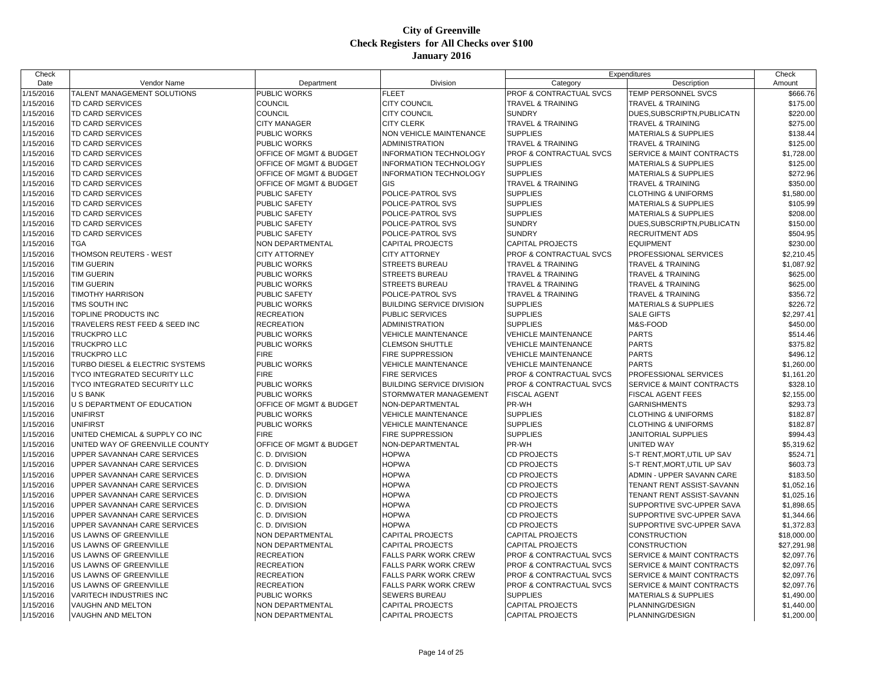| Check     |                                 |                         |                               |                              | Expenditures                         | Check       |
|-----------|---------------------------------|-------------------------|-------------------------------|------------------------------|--------------------------------------|-------------|
| Date      | Vendor Name                     | Department              | Division                      | Category                     | Description                          | Amount      |
| 1/15/2016 | TALENT MANAGEMENT SOLUTIONS     | PUBLIC WORKS            | FLEET                         | PROF & CONTRACTUAL SVCS      | TEMP PERSONNEL SVCS                  | \$666.76    |
| 1/15/2016 | <b>TD CARD SERVICES</b>         | <b>COUNCIL</b>          | <b>CITY COUNCIL</b>           | <b>TRAVEL &amp; TRAINING</b> | <b>TRAVEL &amp; TRAINING</b>         | \$175.00    |
| 1/15/2016 | <b>TD CARD SERVICES</b>         | <b>COUNCIL</b>          | <b>CITY COUNCIL</b>           | <b>SUNDRY</b>                | DUES, SUBSCRIPTN, PUBLICATN          | \$220.00    |
| 1/15/2016 | <b>TD CARD SERVICES</b>         | <b>CITY MANAGER</b>     | <b>CITY CLERK</b>             | <b>TRAVEL &amp; TRAINING</b> | <b>TRAVEL &amp; TRAINING</b>         | \$275.00    |
| 1/15/2016 | TD CARD SERVICES                | <b>PUBLIC WORKS</b>     | NON VEHICLE MAINTENANCE       | <b>SUPPLIES</b>              | <b>MATERIALS &amp; SUPPLIES</b>      | \$138.44    |
| 1/15/2016 | <b>TD CARD SERVICES</b>         | PUBLIC WORKS            | <b>ADMINISTRATION</b>         | <b>TRAVEL &amp; TRAINING</b> | <b>TRAVEL &amp; TRAINING</b>         | \$125.00    |
| 1/15/2016 | <b>TD CARD SERVICES</b>         | OFFICE OF MGMT & BUDGET | <b>INFORMATION TECHNOLOGY</b> | PROF & CONTRACTUAL SVCS      | SERVICE & MAINT CONTRACTS            | \$1,728.00  |
| 1/15/2016 | <b>TD CARD SERVICES</b>         | OFFICE OF MGMT & BUDGET | <b>INFORMATION TECHNOLOGY</b> | <b>SUPPLIES</b>              | <b>MATERIALS &amp; SUPPLIES</b>      | \$125.00    |
| 1/15/2016 | <b>TD CARD SERVICES</b>         | OFFICE OF MGMT & BUDGET | INFORMATION TECHNOLOGY        | <b>SUPPLIES</b>              | <b>MATERIALS &amp; SUPPLIES</b>      | \$272.96    |
| 1/15/2016 | TD CARD SERVICES                | OFFICE OF MGMT & BUDGET | <b>GIS</b>                    | <b>TRAVEL &amp; TRAINING</b> | <b>TRAVEL &amp; TRAINING</b>         | \$350.00    |
| 1/15/2016 | <b>TD CARD SERVICES</b>         | <b>PUBLIC SAFETY</b>    | POLICE-PATROL SVS             | <b>SUPPLIES</b>              | <b>CLOTHING &amp; UNIFORMS</b>       | \$1,580.00  |
| 1/15/2016 | <b>TD CARD SERVICES</b>         | <b>PUBLIC SAFETY</b>    | POLICE-PATROL SVS             | <b>SUPPLIES</b>              | <b>MATERIALS &amp; SUPPLIES</b>      | \$105.99    |
| 1/15/2016 | <b>TD CARD SERVICES</b>         | PUBLIC SAFETY           | POLICE-PATROL SVS             | <b>SUPPLIES</b>              | <b>MATERIALS &amp; SUPPLIES</b>      | \$208.00    |
| 1/15/2016 | <b>TD CARD SERVICES</b>         | <b>PUBLIC SAFETY</b>    | POLICE-PATROL SVS             | <b>SUNDRY</b>                | DUES, SUBSCRIPTN, PUBLICATN          | \$150.00    |
| 1/15/2016 | <b>TD CARD SERVICES</b>         | PUBLIC SAFETY           | POLICE-PATROL SVS             | <b>SUNDRY</b>                | <b>RECRUITMENT ADS</b>               | \$504.95    |
| 1/15/2016 | <b>TGA</b>                      | NON DEPARTMENTAL        | CAPITAL PROJECTS              | <b>CAPITAL PROJECTS</b>      | <b>EQUIPMENT</b>                     | \$230.00    |
| 1/15/2016 | THOMSON REUTERS - WEST          | <b>CITY ATTORNEY</b>    | CITY ATTORNEY                 | PROF & CONTRACTUAL SVCS      | PROFESSIONAL SERVICES                | \$2,210.45  |
| 1/15/2016 | <b>TIM GUERIN</b>               | PUBLIC WORKS            | STREETS BUREAU                | <b>TRAVEL &amp; TRAINING</b> | <b>TRAVEL &amp; TRAINING</b>         | \$1,087.92  |
| 1/15/2016 | <b>TIM GUERIN</b>               | PUBLIC WORKS            | STREETS BUREAU                | <b>TRAVEL &amp; TRAINING</b> | <b>TRAVEL &amp; TRAINING</b>         | \$625.00    |
| 1/15/2016 | <b>TIM GUERIN</b>               | PUBLIC WORKS            | STREETS BUREAU                | <b>TRAVEL &amp; TRAINING</b> | <b>TRAVEL &amp; TRAINING</b>         | \$625.00    |
| 1/15/2016 | <b>TIMOTHY HARRISON</b>         | PUBLIC SAFETY           | POLICE-PATROL SVS             | <b>TRAVEL &amp; TRAINING</b> | TRAVEL & TRAINING                    | \$356.72    |
| 1/15/2016 | TMS SOUTH INC                   | PUBLIC WORKS            | BUILDING SERVICE DIVISION     | <b>SUPPLIES</b>              | <b>MATERIALS &amp; SUPPLIES</b>      | \$226.72    |
| 1/15/2016 | TOPLINE PRODUCTS INC            | <b>RECREATION</b>       | PUBLIC SERVICES               | <b>SUPPLIES</b>              | <b>SALE GIFTS</b>                    | \$2,297.41  |
| 1/15/2016 | TRAVELERS REST FEED & SEED INC  | <b>RECREATION</b>       | ADMINISTRATION                | <b>SUPPLIES</b>              | M&S-FOOD                             | \$450.00    |
| 1/15/2016 | <b>TRUCKPRO LLC</b>             | PUBLIC WORKS            | <b>VEHICLE MAINTENANCE</b>    | <b>VEHICLE MAINTENANCE</b>   | <b>PARTS</b>                         | \$514.46    |
| 1/15/2016 | <b>TRUCKPRO LLC</b>             | PUBLIC WORKS            | <b>CLEMSON SHUTTLE</b>        | <b>VEHICLE MAINTENANCE</b>   | <b>PARTS</b>                         | \$375.82    |
| 1/15/2016 | <b>TRUCKPRO LLC</b>             | <b>FIRE</b>             | FIRE SUPPRESSION              | VEHICLE MAINTENANCE          | <b>PARTS</b>                         | \$496.12    |
| 1/15/2016 | TURBO DIESEL & ELECTRIC SYSTEMS | PUBLIC WORKS            | VEHICLE MAINTENANCE           | <b>VEHICLE MAINTENANCE</b>   | <b>PARTS</b>                         | \$1,260.00  |
| 1/15/2016 | TYCO INTEGRATED SECURITY LLC    | <b>FIRE</b>             | <b>FIRE SERVICES</b>          | PROF & CONTRACTUAL SVCS      | PROFESSIONAL SERVICES                | \$1,161.20  |
| 1/15/2016 | TYCO INTEGRATED SECURITY LLC    | PUBLIC WORKS            | BUILDING SERVICE DIVISION     | PROF & CONTRACTUAL SVCS      | <b>SERVICE &amp; MAINT CONTRACTS</b> | \$328.10    |
| 1/15/2016 | <b>U S BANK</b>                 | PUBLIC WORKS            | STORMWATER MANAGEMENT         | <b>FISCAL AGENT</b>          | <b>FISCAL AGENT FEES</b>             | \$2,155.00  |
| 1/15/2016 | U S DEPARTMENT OF EDUCATION     | OFFICE OF MGMT & BUDGET | NON-DEPARTMENTAL              | PR-WH                        | <b>GARNISHMENTS</b>                  | \$293.73    |
| 1/15/2016 | <b>UNIFIRST</b>                 | PUBLIC WORKS            | <b>VEHICLE MAINTENANCE</b>    | <b>SUPPLIES</b>              | <b>CLOTHING &amp; UNIFORMS</b>       | \$182.87    |
| 1/15/2016 | <b>UNIFIRST</b>                 | PUBLIC WORKS            | <b>VEHICLE MAINTENANCE</b>    | <b>SUPPLIES</b>              | <b>CLOTHING &amp; UNIFORMS</b>       | \$182.87    |
| 1/15/2016 | UNITED CHEMICAL & SUPPLY CO INC | <b>FIRE</b>             | FIRE SUPPRESSION              | <b>SUPPLIES</b>              | JANITORIAL SUPPLIES                  | \$994.43    |
| 1/15/2016 | UNITED WAY OF GREENVILLE COUNTY | OFFICE OF MGMT & BUDGET | NON-DEPARTMENTAL              | PR-WH                        | UNITED WAY                           | \$5,319.62  |
| 1/15/2016 | UPPER SAVANNAH CARE SERVICES    | C. D. DIVISION          | <b>HOPWA</b>                  | <b>CD PROJECTS</b>           | S-T RENT, MORT, UTIL UP SAV          | \$524.71    |
| 1/15/2016 | UPPER SAVANNAH CARE SERVICES    | C. D. DIVISION          | <b>HOPWA</b>                  | <b>CD PROJECTS</b>           | S-T RENT, MORT, UTIL UP SAV          | \$603.73    |
| 1/15/2016 | UPPER SAVANNAH CARE SERVICES    | C. D. DIVISION          | <b>HOPWA</b>                  | <b>CD PROJECTS</b>           | ADMIN - UPPER SAVANN CARE            | \$183.50    |
| 1/15/2016 | UPPER SAVANNAH CARE SERVICES    | C. D. DIVISION          | HOPWA                         | <b>CD PROJECTS</b>           | TENANT RENT ASSIST-SAVANN            | \$1,052.16  |
| 1/15/2016 | UPPER SAVANNAH CARE SERVICES    | C. D. DIVISION          | <b>HOPWA</b>                  | <b>CD PROJECTS</b>           | TENANT RENT ASSIST-SAVANN            | \$1,025.16  |
| 1/15/2016 | UPPER SAVANNAH CARE SERVICES    | C. D. DIVISION          | <b>HOPWA</b>                  | <b>CD PROJECTS</b>           | SUPPORTIVE SVC-UPPER SAVA            | \$1,898.65  |
| 1/15/2016 | UPPER SAVANNAH CARE SERVICES    | C. D. DIVISION          | <b>HOPWA</b>                  | <b>CD PROJECTS</b>           | SUPPORTIVE SVC-UPPER SAVA            | \$1,344.66  |
| 1/15/2016 | UPPER SAVANNAH CARE SERVICES    | C. D. DIVISION          | <b>HOPWA</b>                  | <b>CD PROJECTS</b>           | SUPPORTIVE SVC-UPPER SAVA            | \$1,372.83  |
| 1/15/2016 | US LAWNS OF GREENVILLE          | NON DEPARTMENTAL        | <b>CAPITAL PROJECTS</b>       | <b>CAPITAL PROJECTS</b>      | <b>CONSTRUCTION</b>                  | \$18,000.00 |
| 1/15/2016 | US LAWNS OF GREENVILLE          | NON DEPARTMENTAL        | <b>CAPITAL PROJECTS</b>       | <b>CAPITAL PROJECTS</b>      | <b>CONSTRUCTION</b>                  | \$27,291.98 |
| 1/15/2016 | US LAWNS OF GREENVILLE          | <b>RECREATION</b>       | FALLS PARK WORK CREW          | PROF & CONTRACTUAL SVCS      | <b>SERVICE &amp; MAINT CONTRACTS</b> | \$2,097.76  |
| 1/15/2016 | US LAWNS OF GREENVILLE          | <b>RECREATION</b>       | FALLS PARK WORK CREW          | PROF & CONTRACTUAL SVCS      | <b>SERVICE &amp; MAINT CONTRACTS</b> | \$2,097.76  |
| 1/15/2016 | US LAWNS OF GREENVILLE          | <b>RECREATION</b>       | FALLS PARK WORK CREW          | PROF & CONTRACTUAL SVCS      | SERVICE & MAINT CONTRACTS            | \$2,097.76  |
| 1/15/2016 | US LAWNS OF GREENVILLE          | <b>RECREATION</b>       | FALLS PARK WORK CREW          | PROF & CONTRACTUAL SVCS      | SERVICE & MAINT CONTRACTS            | \$2,097.76  |
| 1/15/2016 | <b>VARITECH INDUSTRIES INC</b>  | PUBLIC WORKS            | SEWERS BUREAU                 | <b>SUPPLIES</b>              | <b>MATERIALS &amp; SUPPLIES</b>      | \$1,490.00  |
| 1/15/2016 | VAUGHN AND MELTON               | NON DEPARTMENTAL        | <b>CAPITAL PROJECTS</b>       | <b>CAPITAL PROJECTS</b>      | PLANNING/DESIGN                      | \$1,440.00  |
| 1/15/2016 | VAUGHN AND MELTON               | <b>NON DEPARTMENTAL</b> | <b>CAPITAL PROJECTS</b>       | <b>CAPITAL PROJECTS</b>      | PLANNING/DESIGN                      | \$1,200.00  |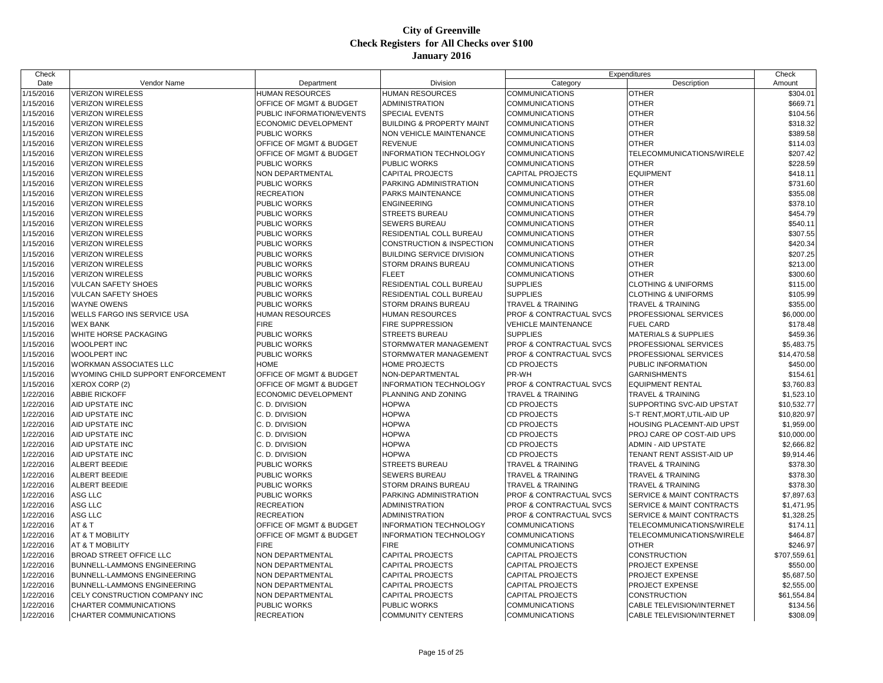| Check     |                                   |                                    |                                      |                                    | Expenditures                     | Check        |
|-----------|-----------------------------------|------------------------------------|--------------------------------------|------------------------------------|----------------------------------|--------------|
| Date      | Vendor Name                       | Department                         | Division                             | Category                           | Description                      | Amount       |
| 1/15/2016 | <b>VERIZON WIRELESS</b>           | HUMAN RESOURCES                    | <b>HUMAN RESOURCES</b>               | <b>COMMUNICATIONS</b>              | <b>OTHER</b>                     | \$304.01     |
| 1/15/2016 | <b>VERIZON WIRELESS</b>           | OFFICE OF MGMT & BUDGET            | <b>ADMINISTRATION</b>                | <b>COMMUNICATIONS</b>              | <b>OTHER</b>                     | \$669.71     |
| 1/15/2016 | <b>VERIZON WIRELESS</b>           | PUBLIC INFORMATION/EVENTS          | <b>SPECIAL EVENTS</b>                | <b>COMMUNICATIONS</b>              | <b>OTHER</b>                     | \$104.56     |
| 1/15/2016 | <b>VERIZON WIRELESS</b>           | <b>ECONOMIC DEVELOPMENT</b>        | <b>BUILDING &amp; PROPERTY MAINT</b> | <b>COMMUNICATIONS</b>              | <b>OTHER</b>                     | \$318.32     |
| 1/15/2016 | <b>VERIZON WIRELESS</b>           | PUBLIC WORKS                       | NON VEHICLE MAINTENANCE              | <b>COMMUNICATIONS</b>              | <b>OTHER</b>                     | \$389.58     |
| 1/15/2016 | <b>VERIZON WIRELESS</b>           | OFFICE OF MGMT & BUDGET            | <b>REVENUE</b>                       | <b>COMMUNICATIONS</b>              | <b>OTHER</b>                     | \$114.03     |
| 1/15/2016 | <b>VERIZON WIRELESS</b>           | OFFICE OF MGMT & BUDGET            | <b>INFORMATION TECHNOLOGY</b>        | <b>COMMUNICATIONS</b>              | TELECOMMUNICATIONS/WIRELE        | \$207.42     |
| 1/15/2016 | <b>VERIZON WIRELESS</b>           | PUBLIC WORKS                       | PUBLIC WORKS                         | <b>COMMUNICATIONS</b>              | <b>OTHER</b>                     | \$228.59     |
| 1/15/2016 | <b>VERIZON WIRELESS</b>           | NON DEPARTMENTAL                   | CAPITAL PROJECTS                     | <b>CAPITAL PROJECTS</b>            | <b>EQUIPMENT</b>                 | \$418.11     |
| 1/15/2016 | <b>VERIZON WIRELESS</b>           | PUBLIC WORKS                       | PARKING ADMINISTRATION               | <b>COMMUNICATIONS</b>              | <b>OTHER</b>                     | \$731.60     |
| 1/15/2016 | <b>VERIZON WIRELESS</b>           | <b>RECREATION</b>                  | PARKS MAINTENANCE                    | <b>COMMUNICATIONS</b>              | <b>OTHER</b>                     | \$355.08     |
| 1/15/2016 | <b>VERIZON WIRELESS</b>           | PUBLIC WORKS                       | <b>ENGINEERING</b>                   | <b>COMMUNICATIONS</b>              | <b>OTHER</b>                     | \$378.10     |
| 1/15/2016 | <b>VERIZON WIRELESS</b>           | PUBLIC WORKS                       | <b>STREETS BUREAU</b>                | <b>COMMUNICATIONS</b>              | <b>OTHER</b>                     | \$454.79     |
| 1/15/2016 | <b>VERIZON WIRELESS</b>           | PUBLIC WORKS                       | <b>SEWERS BUREAU</b>                 | <b>COMMUNICATIONS</b>              | <b>OTHER</b>                     | \$540.11     |
| 1/15/2016 | <b>VERIZON WIRELESS</b>           | PUBLIC WORKS                       | RESIDENTIAL COLL BUREAU              | <b>COMMUNICATIONS</b>              | <b>OTHER</b>                     | \$307.55     |
| 1/15/2016 | <b>VERIZON WIRELESS</b>           | PUBLIC WORKS                       | CONSTRUCTION & INSPECTION            | <b>COMMUNICATIONS</b>              | <b>OTHER</b>                     | \$420.34     |
| 1/15/2016 | <b>VERIZON WIRELESS</b>           | PUBLIC WORKS                       | <b>BUILDING SERVICE DIVISION</b>     | <b>COMMUNICATIONS</b>              | <b>OTHER</b>                     | \$207.25     |
| 1/15/2016 | <b>VERIZON WIRELESS</b>           | PUBLIC WORKS                       | STORM DRAINS BUREAU                  | <b>COMMUNICATIONS</b>              | <b>OTHER</b>                     | \$213.00     |
| 1/15/2016 | <b>VERIZON WIRELESS</b>           | PUBLIC WORKS                       | <b>FLEET</b>                         | <b>COMMUNICATIONS</b>              | <b>OTHER</b>                     | \$300.60     |
| 1/15/2016 | <b>VULCAN SAFETY SHOES</b>        | PUBLIC WORKS                       | RESIDENTIAL COLL BUREAU              | <b>SUPPLIES</b>                    | <b>CLOTHING &amp; UNIFORMS</b>   | \$115.00     |
| 1/15/2016 | <b>VULCAN SAFETY SHOES</b>        | PUBLIC WORKS                       | RESIDENTIAL COLL BUREAU              | <b>SUPPLIES</b>                    | <b>CLOTHING &amp; UNIFORMS</b>   | \$105.99     |
| 1/15/2016 | WAYNE OWENS                       | PUBLIC WORKS                       | STORM DRAINS BUREAU                  | <b>TRAVEL &amp; TRAINING</b>       | <b>TRAVEL &amp; TRAINING</b>     | \$355.00     |
| 1/15/2016 | WELLS FARGO INS SERVICE USA       | HUMAN RESOURCES                    | HUMAN RESOURCES                      | PROF & CONTRACTUAL SVCS            | PROFESSIONAL SERVICES            | \$6,000.00   |
| 1/15/2016 | <b>WEX BANK</b>                   | <b>FIRE</b>                        | FIRE SUPPRESSION                     | <b>VEHICLE MAINTENANCE</b>         | <b>FUEL CARD</b>                 | \$178.48     |
| 1/15/2016 | WHITE HORSE PACKAGING             | PUBLIC WORKS                       | <b>STREETS BUREAU</b>                | <b>SUPPLIES</b>                    | <b>MATERIALS &amp; SUPPLIES</b>  | \$459.36     |
| 1/15/2016 | <b>WOOLPERT INC</b>               | PUBLIC WORKS                       | STORMWATER MANAGEMENT                | PROF & CONTRACTUAL SVCS            | PROFESSIONAL SERVICES            | \$5,483.75   |
|           | WOOLPERT INC                      | PUBLIC WORKS                       | STORMWATER MANAGEMENT                | PROF & CONTRACTUAL SVCS            | PROFESSIONAL SERVICES            | \$14,470.58  |
| 1/15/2016 |                                   | <b>HOME</b>                        | <b>HOME PROJECTS</b>                 | <b>CD PROJECTS</b>                 |                                  |              |
| 1/15/2016 | WORKMAN ASSOCIATES LLC            |                                    |                                      | PR-WH                              | PUBLIC INFORMATION               | \$450.00     |
| 1/15/2016 | WYOMING CHILD SUPPORT ENFORCEMENT | OFFICE OF MGMT & BUDGET            | NON-DEPARTMENTAL                     |                                    | <b>GARNISHMENTS</b>              | \$154.61     |
| 1/15/2016 | XEROX CORP (2)                    | OFFICE OF MGMT & BUDGET            | <b>INFORMATION TECHNOLOGY</b>        | PROF & CONTRACTUAL SVCS            | <b>EQUIPMENT RENTAL</b>          | \$3,760.83   |
| 1/22/2016 | ABBIE RICKOFF                     | <b>ECONOMIC DEVELOPMENT</b>        | PLANNING AND ZONING                  | <b>TRAVEL &amp; TRAINING</b>       | <b>TRAVEL &amp; TRAINING</b>     | \$1,523.10   |
| 1/22/2016 | AID UPSTATE INC                   | C. D. DIVISION                     | <b>HOPWA</b>                         | <b>CD PROJECTS</b>                 | SUPPORTING SVC-AID UPSTAT        | \$10,532.77  |
| 1/22/2016 | AID UPSTATE INC                   | C. D. DIVISION                     | <b>HOPWA</b>                         | <b>CD PROJECTS</b>                 | S-T RENT, MORT, UTIL-AID UP      | \$10,820.97  |
| 1/22/2016 | AID UPSTATE INC                   | C. D. DIVISION                     | <b>HOPWA</b>                         | <b>CD PROJECTS</b>                 | HOUSING PLACEMNT-AID UPST        | \$1,959.00   |
| 1/22/2016 | AID UPSTATE INC                   | C. D. DIVISION                     | <b>HOPWA</b>                         | <b>CD PROJECTS</b>                 | PROJ CARE OP COST-AID UPS        | \$10,000.00  |
| 1/22/2016 | AID UPSTATE INC                   | C. D. DIVISION                     | <b>HOPWA</b>                         | <b>CD PROJECTS</b>                 | ADMIN - AID UPSTATE              | \$2,666.82   |
| 1/22/2016 | AID UPSTATE INC                   | C. D. DIVISION                     | <b>HOPWA</b>                         | <b>CD PROJECTS</b>                 | TENANT RENT ASSIST-AID UP        | \$9,914.46   |
| 1/22/2016 | ALBERT BEEDIE                     | PUBLIC WORKS                       | <b>STREETS BUREAU</b>                | <b>TRAVEL &amp; TRAINING</b>       | <b>TRAVEL &amp; TRAINING</b>     | \$378.30     |
| 1/22/2016 | ALBERT BEEDIE                     | PUBLIC WORKS                       | SEWERS BUREAU                        | <b>TRAVEL &amp; TRAINING</b>       | TRAVEL & TRAINING                | \$378.30     |
| 1/22/2016 | ALBERT BEEDIE                     | PUBLIC WORKS                       | STORM DRAINS BUREAU                  | TRAVEL & TRAINING                  | <b>TRAVEL &amp; TRAINING</b>     | \$378.30     |
| 1/22/2016 | ASG LLC                           | PUBLIC WORKS                       | PARKING ADMINISTRATION               | PROF & CONTRACTUAL SVCS            | SERVICE & MAINT CONTRACTS        | \$7,897.63   |
| 1/22/2016 | ASG LLC                           | <b>RECREATION</b>                  | <b>ADMINISTRATION</b>                | <b>PROF &amp; CONTRACTUAL SVCS</b> | SERVICE & MAINT CONTRACTS        | \$1,471.95   |
| 1/22/2016 | ASG LLC                           | <b>RECREATION</b>                  | ADMINISTRATION                       | PROF & CONTRACTUAL SVCS            | SERVICE & MAINT CONTRACTS        | \$1,328.25   |
| 1/22/2016 | AT&T                              | <b>OFFICE OF MGMT &amp; BUDGET</b> | <b>INFORMATION TECHNOLOGY</b>        | <b>COMMUNICATIONS</b>              | TELECOMMUNICATIONS/WIRELE        | \$174.11     |
| 1/22/2016 | AT & T MOBILITY                   | OFFICE OF MGMT & BUDGET            | <b>INFORMATION TECHNOLOGY</b>        | <b>COMMUNICATIONS</b>              | TELECOMMUNICATIONS/WIRELE        | \$464.87     |
| 1/22/2016 | AT & T MOBILITY                   | <b>FIRE</b>                        | <b>FIRE</b>                          | <b>COMMUNICATIONS</b>              | <b>OTHER</b>                     | \$246.97     |
| 1/22/2016 | <b>BROAD STREET OFFICE LLC</b>    | NON DEPARTMENTAL                   | <b>CAPITAL PROJECTS</b>              | <b>CAPITAL PROJECTS</b>            | <b>CONSTRUCTION</b>              | \$707,559.61 |
| 1/22/2016 | BUNNELL-LAMMONS ENGINEERING       | NON DEPARTMENTAL                   | <b>CAPITAL PROJECTS</b>              | <b>CAPITAL PROJECTS</b>            | PROJECT EXPENSE                  | \$550.00     |
| 1/22/2016 | BUNNELL-LAMMONS ENGINEERING       | NON DEPARTMENTAL                   | CAPITAL PROJECTS                     | CAPITAL PROJECTS                   | PROJECT EXPENSE                  | \$5,687.50   |
| 1/22/2016 | BUNNELL-LAMMONS ENGINEERING       | NON DEPARTMENTAL                   | CAPITAL PROJECTS                     | <b>CAPITAL PROJECTS</b>            | PROJECT EXPENSE                  | \$2,555.00   |
| 1/22/2016 | CELY CONSTRUCTION COMPANY INC     | <b>NON DEPARTMENTAL</b>            | <b>CAPITAL PROJECTS</b>              | <b>CAPITAL PROJECTS</b>            | CONSTRUCTION                     | \$61,554.84  |
| 1/22/2016 | CHARTER COMMUNICATIONS            | PUBLIC WORKS                       | PUBLIC WORKS                         | <b>COMMUNICATIONS</b>              | CABLE TELEVISION/INTERNET        | \$134.56     |
| 1/22/2016 | CHARTER COMMUNICATIONS            | <b>RECREATION</b>                  | <b>COMMUNITY CENTERS</b>             | <b>COMMUNICATIONS</b>              | <b>CABLE TELEVISION/INTERNET</b> | \$308.09     |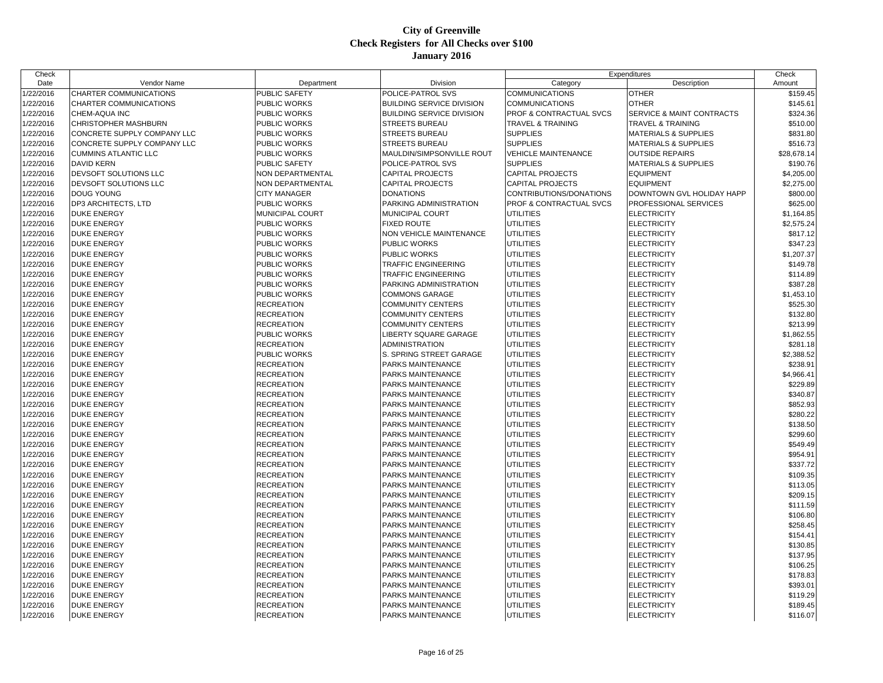| Check     |                             |                      |                                  |                                    | Expenditures                         | Check       |
|-----------|-----------------------------|----------------------|----------------------------------|------------------------------------|--------------------------------------|-------------|
| Date      | Vendor Name                 | Department           | Division                         | Category                           | Description                          | Amount      |
| 1/22/2016 | CHARTER COMMUNICATIONS      | PUBLIC SAFETY        | POLICE-PATROL SVS                | <b>COMMUNICATIONS</b>              | <b>OTHER</b>                         | \$159.45    |
| 1/22/2016 | CHARTER COMMUNICATIONS      | PUBLIC WORKS         | <b>BUILDING SERVICE DIVISION</b> | <b>COMMUNICATIONS</b>              | <b>OTHER</b>                         | \$145.61    |
| 1/22/2016 | CHEM-AQUA INC               | PUBLIC WORKS         | <b>BUILDING SERVICE DIVISION</b> | <b>PROF &amp; CONTRACTUAL SVCS</b> | <b>SERVICE &amp; MAINT CONTRACTS</b> | \$324.36    |
| 1/22/2016 | CHRISTOPHER MASHBURN        | PUBLIC WORKS         | <b>STREETS BUREAU</b>            | TRAVEL & TRAINING                  | <b>TRAVEL &amp; TRAINING</b>         | \$510.00    |
| 1/22/2016 | CONCRETE SUPPLY COMPANY LLC | PUBLIC WORKS         | STREETS BUREAU                   | <b>SUPPLIES</b>                    | <b>MATERIALS &amp; SUPPLIES</b>      | \$831.80    |
| 1/22/2016 | CONCRETE SUPPLY COMPANY LLC | PUBLIC WORKS         | STREETS BUREAU                   | <b>SUPPLIES</b>                    | <b>MATERIALS &amp; SUPPLIES</b>      | \$516.73    |
| 1/22/2016 | CUMMINS ATLANTIC LLC        | PUBLIC WORKS         | MAULDIN/SIMPSONVILLE ROUT        | <b>VEHICLE MAINTENANCE</b>         | <b>OUTSIDE REPAIRS</b>               | \$28,678.14 |
| 1/22/2016 | <b>DAVID KERN</b>           | <b>PUBLIC SAFETY</b> | POLICE-PATROL SVS                | <b>SUPPLIES</b>                    | <b>MATERIALS &amp; SUPPLIES</b>      | \$190.76    |
| 1/22/2016 | DEVSOFT SOLUTIONS LLC       | NON DEPARTMENTAL     | CAPITAL PROJECTS                 | <b>CAPITAL PROJECTS</b>            | <b>EQUIPMENT</b>                     | \$4,205.00  |
| 1/22/2016 | DEVSOFT SOLUTIONS LLC       | NON DEPARTMENTAL     | <b>CAPITAL PROJECTS</b>          | <b>CAPITAL PROJECTS</b>            | <b>EQUIPMENT</b>                     | \$2,275.00  |
| 1/22/2016 | DOUG YOUNG                  | <b>CITY MANAGER</b>  | <b>DONATIONS</b>                 | CONTRIBUTIONS/DONATIONS            | DOWNTOWN GVL HOLIDAY HAPP            | \$800.00    |
| 1/22/2016 | DP3 ARCHITECTS, LTD         | PUBLIC WORKS         | PARKING ADMINISTRATION           | PROF & CONTRACTUAL SVCS            | PROFESSIONAL SERVICES                | \$625.00    |
| 1/22/2016 | DUKE ENERGY                 | MUNICIPAL COURT      | MUNICIPAL COURT                  | UTILITIES                          | <b>ELECTRICITY</b>                   | \$1,164.85  |
| 1/22/2016 | <b>DUKE ENERGY</b>          | PUBLIC WORKS         | <b>FIXED ROUTE</b>               | UTILITIES                          | <b>ELECTRICITY</b>                   | \$2,575.24  |
| 1/22/2016 | <b>DUKE ENERGY</b>          | PUBLIC WORKS         | NON VEHICLE MAINTENANCE          | UTILITIES                          | <b>ELECTRICITY</b>                   | \$817.12    |
| 1/22/2016 | <b>DUKE ENERGY</b>          | PUBLIC WORKS         | PUBLIC WORKS                     | UTILITIES                          | <b>ELECTRICITY</b>                   | \$347.23    |
| 1/22/2016 | <b>DUKE ENERGY</b>          | PUBLIC WORKS         | PUBLIC WORKS                     | UTILITIES                          | <b>ELECTRICITY</b>                   | \$1,207.37  |
| 1/22/2016 | <b>DUKE ENERGY</b>          | PUBLIC WORKS         | TRAFFIC ENGINEERING              | UTILITIES                          | <b>ELECTRICITY</b>                   | \$149.78    |
| 1/22/2016 | <b>DUKE ENERGY</b>          | PUBLIC WORKS         | TRAFFIC ENGINEERING              | UTILITIES                          | <b>ELECTRICITY</b>                   | \$114.89    |
| 1/22/2016 | <b>DUKE ENERGY</b>          | PUBLIC WORKS         | PARKING ADMINISTRATION           | UTILITIES                          | <b>ELECTRICITY</b>                   | \$387.28    |
| 1/22/2016 | <b>DUKE ENERGY</b>          | PUBLIC WORKS         | <b>COMMONS GARAGE</b>            | UTILITIES                          | <b>ELECTRICITY</b>                   | \$1,453.10  |
| 1/22/2016 | <b>DUKE ENERGY</b>          | <b>RECREATION</b>    | <b>COMMUNITY CENTERS</b>         | UTILITIES                          | <b>ELECTRICITY</b>                   | \$525.30    |
| 1/22/2016 | <b>DUKE ENERGY</b>          | <b>RECREATION</b>    | <b>COMMUNITY CENTERS</b>         | UTILITIES                          | <b>ELECTRICITY</b>                   | \$132.80    |
| 1/22/2016 | <b>DUKE ENERGY</b>          | <b>RECREATION</b>    | <b>COMMUNITY CENTERS</b>         | UTILITIES                          | <b>ELECTRICITY</b>                   | \$213.99    |
| 1/22/2016 | <b>DUKE ENERGY</b>          | PUBLIC WORKS         | LIBERTY SQUARE GARAGE            | UTILITIES                          | <b>ELECTRICITY</b>                   | \$1,862.55  |
| 1/22/2016 | <b>DUKE ENERGY</b>          | <b>RECREATION</b>    | <b>ADMINISTRATION</b>            | <b>UTILITIES</b>                   | <b>ELECTRICITY</b>                   | \$281.18    |
| 1/22/2016 | <b>DUKE ENERGY</b>          | <b>PUBLIC WORKS</b>  | S. SPRING STREET GARAGE          | UTILITIES                          | <b>ELECTRICITY</b>                   | \$2,388.52  |
| 1/22/2016 | <b>DUKE ENERGY</b>          | <b>RECREATION</b>    | PARKS MAINTENANCE                | UTILITIES                          | <b>ELECTRICITY</b>                   | \$238.91    |
| 1/22/2016 | <b>DUKE ENERGY</b>          | <b>RECREATION</b>    | PARKS MAINTENANCE                | UTILITIES                          | <b>ELECTRICITY</b>                   | \$4,966.4   |
| 1/22/2016 | <b>DUKE ENERGY</b>          | <b>RECREATION</b>    | PARKS MAINTENANCE                | UTILITIES                          | <b>ELECTRICITY</b>                   | \$229.89    |
| 1/22/2016 | <b>DUKE ENERGY</b>          | <b>RECREATION</b>    | PARKS MAINTENANCE                | UTILITIES                          | <b>ELECTRICITY</b>                   | \$340.87    |
| 1/22/2016 | <b>DUKE ENERGY</b>          | <b>RECREATION</b>    | PARKS MAINTENANCE                | UTILITIES                          | <b>ELECTRICITY</b>                   | \$852.93    |
| 1/22/2016 | <b>DUKE ENERGY</b>          | <b>RECREATION</b>    | PARKS MAINTENANCE                | UTILITIES                          | <b>ELECTRICITY</b>                   | \$280.22    |
| 1/22/2016 | <b>DUKE ENERGY</b>          | <b>RECREATION</b>    | PARKS MAINTENANCE                | UTILITIES                          | <b>ELECTRICITY</b>                   | \$138.50    |
| 1/22/2016 | <b>DUKE ENERGY</b>          | <b>RECREATION</b>    | PARKS MAINTENANCE                | UTILITIES                          | <b>ELECTRICITY</b>                   | \$299.60    |
| 1/22/2016 | <b>DUKE ENERGY</b>          | <b>RECREATION</b>    | PARKS MAINTENANCE                | UTILITIES                          | <b>ELECTRICITY</b>                   | \$549.49    |
| 1/22/2016 | <b>DUKE ENERGY</b>          | <b>RECREATION</b>    | PARKS MAINTENANCE                | UTILITIES                          | <b>ELECTRICITY</b>                   | \$954.91    |
| 1/22/2016 | <b>DUKE ENERGY</b>          | <b>RECREATION</b>    | PARKS MAINTENANCE                | UTILITIES                          | <b>ELECTRICITY</b>                   | \$337.72    |
| 1/22/2016 | <b>DUKE ENERGY</b>          | <b>RECREATION</b>    | PARKS MAINTENANCE                | UTILITIES                          | <b>ELECTRICITY</b>                   | \$109.35    |
| 1/22/2016 | <b>DUKE ENERGY</b>          | <b>RECREATION</b>    | PARKS MAINTENANCE                | UTILITIES                          | <b>ELECTRICITY</b>                   | \$113.05    |
| 1/22/2016 | <b>DUKE ENERGY</b>          | <b>RECREATION</b>    | PARKS MAINTENANCE                | UTILITIES                          | <b>ELECTRICITY</b>                   | \$209.15    |
| 1/22/2016 | <b>DUKE ENERGY</b>          | <b>RECREATION</b>    | PARKS MAINTENANCE                | UTILITIES                          | <b>ELECTRICITY</b>                   | \$111.59    |
| 1/22/2016 | <b>DUKE ENERGY</b>          | <b>RECREATION</b>    | PARKS MAINTENANCE                | UTILITIES                          | <b>ELECTRICITY</b>                   | \$106.80    |
| 1/22/2016 | <b>DUKE ENERGY</b>          | <b>RECREATION</b>    | PARKS MAINTENANCE                | UTILITIES                          | <b>ELECTRICITY</b>                   | \$258.45    |
| 1/22/2016 | <b>DUKE ENERGY</b>          | <b>RECREATION</b>    | PARKS MAINTENANCE                | UTILITIES                          | <b>ELECTRICITY</b>                   | \$154.41    |
| 1/22/2016 | <b>DUKE ENERGY</b>          | <b>RECREATION</b>    | PARKS MAINTENANCE                | UTILITIES                          | <b>ELECTRICITY</b>                   | \$130.85    |
| 1/22/2016 | <b>DUKE ENERGY</b>          | <b>RECREATION</b>    | PARKS MAINTENANCE                | UTILITIES                          | <b>ELECTRICITY</b>                   | \$137.95    |
| 1/22/2016 | <b>DUKE ENERGY</b>          | <b>RECREATION</b>    | PARKS MAINTENANCE                | UTILITIES                          | <b>ELECTRICITY</b>                   | \$106.25    |
| 1/22/2016 | <b>DUKE ENERGY</b>          | <b>RECREATION</b>    | PARKS MAINTENANCE                | UTILITIES                          | <b>ELECTRICITY</b>                   | \$178.83    |
| 1/22/2016 | <b>DUKE ENERGY</b>          | RECREATION           | PARKS MAINTENANCE                | UTILITIES                          | <b>ELECTRICITY</b>                   | \$393.01    |
| 1/22/2016 | <b>DUKE ENERGY</b>          | <b>RECREATION</b>    | PARKS MAINTENANCE                | UTILITIES                          | <b>ELECTRICITY</b>                   | \$119.29    |
| 1/22/2016 | <b>DUKE ENERGY</b>          | <b>RECREATION</b>    | PARKS MAINTENANCE                | UTILITIES                          | <b>ELECTRICITY</b>                   | \$189.45    |
|           | <b>DUKE ENERGY</b>          |                      | PARKS MAINTENANCE                | <b>UTILITIES</b>                   | <b>ELECTRICITY</b>                   | \$116.07    |
| 1/22/2016 |                             | <b>RECREATION</b>    |                                  |                                    |                                      |             |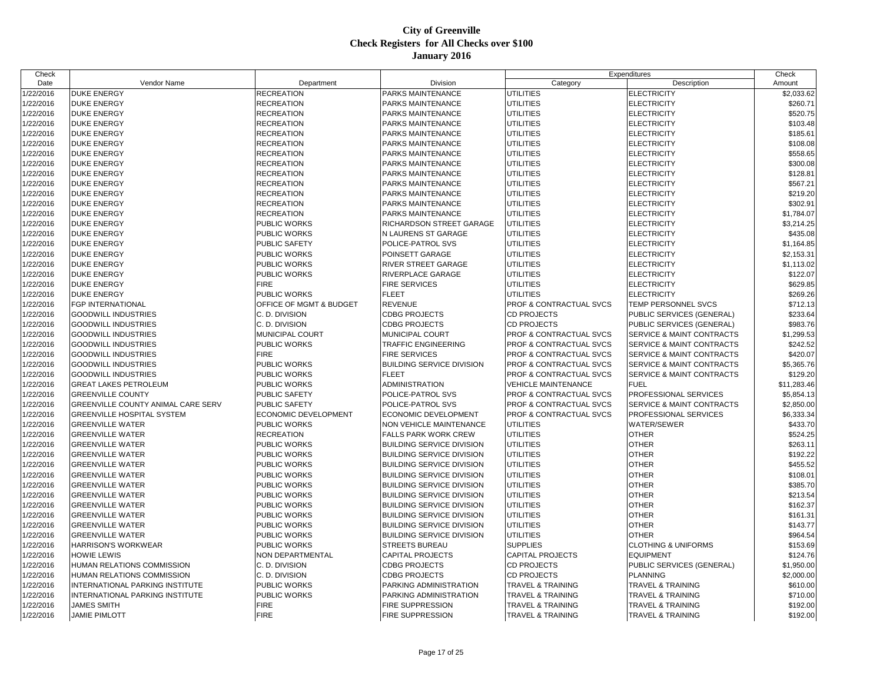| Check     |                                           |                         |                                  |                                    | Expenditures                         | Check       |
|-----------|-------------------------------------------|-------------------------|----------------------------------|------------------------------------|--------------------------------------|-------------|
| Date      | Vendor Name                               | Department              | Division                         | Category                           | Description                          | Amount      |
| 1/22/2016 | <b>DUKE ENERGY</b>                        | <b>RECREATION</b>       | PARKS MAINTENANCE                | <b>UTILITIES</b>                   | <b>ELECTRICITY</b>                   | \$2,033.62  |
| 1/22/2016 | <b>DUKE ENERGY</b>                        | <b>RECREATION</b>       | PARKS MAINTENANCE                | <b>UTILITIES</b>                   | <b>ELECTRICITY</b>                   | \$260.71    |
| 1/22/2016 | <b>DUKE ENERGY</b>                        | <b>RECREATION</b>       | PARKS MAINTENANCE                | <b>UTILITIES</b>                   | <b>ELECTRICITY</b>                   | \$520.75    |
| 1/22/2016 | <b>DUKE ENERGY</b>                        | <b>RECREATION</b>       | PARKS MAINTENANCE                | <b>UTILITIES</b>                   | <b>ELECTRICITY</b>                   | \$103.48    |
| 1/22/2016 | <b>DUKE ENERGY</b>                        | <b>RECREATION</b>       | PARKS MAINTENANCE                | <b>UTILITIES</b>                   | <b>ELECTRICITY</b>                   | \$185.61    |
| 1/22/2016 | <b>DUKE ENERGY</b>                        | RECREATION              | PARKS MAINTENANCE                | UTILITIES                          | <b>ELECTRICITY</b>                   | \$108.08    |
| 1/22/2016 | <b>DUKE ENERGY</b>                        | <b>RECREATION</b>       | PARKS MAINTENANCE                | UTILITIES                          | <b>ELECTRICITY</b>                   | \$558.65    |
| 1/22/2016 | <b>DUKE ENERGY</b>                        | <b>RECREATION</b>       | PARKS MAINTENANCE                | UTILITIES                          | <b>ELECTRICITY</b>                   | \$300.08    |
| 1/22/2016 | <b>DUKE ENERGY</b>                        | <b>RECREATION</b>       | PARKS MAINTENANCE                | <b>UTILITIES</b>                   | <b>ELECTRICITY</b>                   | \$128.81    |
| 1/22/2016 | <b>DUKE ENERGY</b>                        | <b>RECREATION</b>       | PARKS MAINTENANCE                | <b>UTILITIES</b>                   | <b>ELECTRICITY</b>                   | \$567.21    |
| 1/22/2016 | <b>DUKE ENERGY</b>                        | <b>RECREATION</b>       | PARKS MAINTENANCE                | <b>UTILITIES</b>                   | <b>ELECTRICITY</b>                   | \$219.20    |
| 1/22/2016 | <b>DUKE ENERGY</b>                        | <b>RECREATION</b>       | PARKS MAINTENANCE                | UTILITIES                          | <b>ELECTRICITY</b>                   | \$302.91    |
| 1/22/2016 | <b>DUKE ENERGY</b>                        | <b>RECREATION</b>       | PARKS MAINTENANCE                | UTILITIES                          | <b>ELECTRICITY</b>                   | \$1,784.07  |
| 1/22/2016 | <b>DUKE ENERGY</b>                        | PUBLIC WORKS            | RICHARDSON STREET GARAGE         | <b>UTILITIES</b>                   | <b>ELECTRICITY</b>                   | \$3,214.25  |
| 1/22/2016 | <b>DUKE ENERGY</b>                        | PUBLIC WORKS            | N LAURENS ST GARAGE              | <b>UTILITIES</b>                   | <b>ELECTRICITY</b>                   | \$435.08    |
| 1/22/2016 | <b>DUKE ENERGY</b>                        | PUBLIC SAFETY           | POLICE-PATROL SVS                | <b>UTILITIES</b>                   | <b>ELECTRICITY</b>                   | \$1,164.85  |
| 1/22/2016 | <b>DUKE ENERGY</b>                        | PUBLIC WORKS            | POINSETT GARAGE                  | UTILITIES                          | <b>ELECTRICITY</b>                   | \$2,153.31  |
| 1/22/2016 | <b>DUKE ENERGY</b>                        | PUBLIC WORKS            | RIVER STREET GARAGE              | <b>UTILITIES</b>                   | <b>ELECTRICITY</b>                   | \$1,113.02  |
| 1/22/2016 | <b>DUKE ENERGY</b>                        | PUBLIC WORKS            | RIVERPLACE GARAGE                | <b>UTILITIES</b>                   | <b>ELECTRICITY</b>                   | \$122.07    |
| 1/22/2016 | <b>DUKE ENERGY</b>                        | <b>FIRE</b>             | <b>FIRE SERVICES</b>             | <b>UTILITIES</b>                   | <b>ELECTRICITY</b>                   | \$629.85    |
| 1/22/2016 | <b>DUKE ENERGY</b>                        | PUBLIC WORKS            | <b>FLEET</b>                     | <b>UTILITIES</b>                   | <b>ELECTRICITY</b>                   | \$269.26    |
| 1/22/2016 | <b>FGP INTERNATIONAL</b>                  | OFFICE OF MGMT & BUDGET | <b>REVENUE</b>                   | <b>PROF &amp; CONTRACTUAL SVCS</b> | TEMP PERSONNEL SVCS                  | \$712.13    |
| 1/22/2016 | <b>GOODWILL INDUSTRIES</b>                | C. D. DIVISION          | <b>CDBG PROJECTS</b>             | <b>CD PROJECTS</b>                 | PUBLIC SERVICES (GENERAL)            | \$233.64    |
| 1/22/2016 | <b>GOODWILL INDUSTRIES</b>                | C. D. DIVISION          | <b>CDBG PROJECTS</b>             | <b>CD PROJECTS</b>                 | PUBLIC SERVICES (GENERAL)            | \$983.76    |
| 1/22/2016 | <b>GOODWILL INDUSTRIES</b>                | MUNICIPAL COURT         | MUNICIPAL COURT                  | <b>PROF &amp; CONTRACTUAL SVCS</b> | SERVICE & MAINT CONTRACTS            | \$1,299.53  |
| 1/22/2016 | <b>GOODWILL INDUSTRIES</b>                | PUBLIC WORKS            | <b>TRAFFIC ENGINEERING</b>       | <b>PROF &amp; CONTRACTUAL SVCS</b> | SERVICE & MAINT CONTRACTS            | \$242.52    |
| 1/22/2016 | <b>GOODWILL INDUSTRIES</b>                | <b>FIRE</b>             | <b>FIRE SERVICES</b>             | <b>PROF &amp; CONTRACTUAL SVCS</b> | <b>SERVICE &amp; MAINT CONTRACTS</b> | \$420.07    |
| 1/22/2016 | <b>GOODWILL INDUSTRIES</b>                | PUBLIC WORKS            | <b>BUILDING SERVICE DIVISION</b> | <b>PROF &amp; CONTRACTUAL SVCS</b> | SERVICE & MAINT CONTRACTS            | \$5,365.76  |
| 1/22/2016 | <b>GOODWILL INDUSTRIES</b>                | PUBLIC WORKS            | <b>FLEET</b>                     | PROF & CONTRACTUAL SVCS            | SERVICE & MAINT CONTRACTS            | \$129.20    |
| 1/22/2016 | <b>GREAT LAKES PETROLEUM</b>              | PUBLIC WORKS            | <b>ADMINISTRATION</b>            | <b>VEHICLE MAINTENANCE</b>         | <b>FUEL</b>                          | \$11,283.46 |
| 1/22/2016 | <b>GREENVILLE COUNTY</b>                  | PUBLIC SAFETY           | POLICE-PATROL SVS                | <b>PROF &amp; CONTRACTUAL SVCS</b> | PROFESSIONAL SERVICES                | \$5,854.13  |
| 1/22/2016 | <b>GREENVILLE COUNTY ANIMAL CARE SERV</b> | PUBLIC SAFETY           | POLICE-PATROL SVS                | <b>PROF &amp; CONTRACTUAL SVCS</b> | SERVICE & MAINT CONTRACTS            | \$2,850.00  |
| 1/22/2016 | <b>GREENVILLE HOSPITAL SYSTEM</b>         | ECONOMIC DEVELOPMENT    | ECONOMIC DEVELOPMENT             | <b>PROF &amp; CONTRACTUAL SVCS</b> | PROFESSIONAL SERVICES                | \$6,333.34  |
| 1/22/2016 | <b>GREENVILLE WATER</b>                   | PUBLIC WORKS            | NON VEHICLE MAINTENANCE          | <b>UTILITIES</b>                   | <b>WATER/SEWER</b>                   | \$433.70    |
| 1/22/2016 | <b>GREENVILLE WATER</b>                   | <b>RECREATION</b>       | <b>FALLS PARK WORK CREW</b>      | UTILITIES                          | <b>OTHER</b>                         | \$524.25    |
| 1/22/2016 | <b>GREENVILLE WATER</b>                   | PUBLIC WORKS            | <b>BUILDING SERVICE DIVISION</b> | UTILITIES                          | <b>OTHER</b>                         | \$263.11    |
| 1/22/2016 | <b>GREENVILLE WATER</b>                   | PUBLIC WORKS            | <b>BUILDING SERVICE DIVISION</b> | UTILITIES                          | <b>OTHER</b>                         | \$192.22    |
| 1/22/2016 | <b>GREENVILLE WATER</b>                   | PUBLIC WORKS            | <b>BUILDING SERVICE DIVISION</b> | <b>UTILITIES</b>                   | <b>OTHER</b>                         | \$455.52    |
| 1/22/2016 | <b>GREENVILLE WATER</b>                   | PUBLIC WORKS            | <b>BUILDING SERVICE DIVISION</b> | UTILITIES                          | <b>OTHER</b>                         | \$108.01    |
| 1/22/2016 | <b>GREENVILLE WATER</b>                   | PUBLIC WORKS            | <b>BUILDING SERVICE DIVISION</b> | UTILITIES                          | <b>OTHER</b>                         | \$385.70    |
| 1/22/2016 | <b>GREENVILLE WATER</b>                   | PUBLIC WORKS            | <b>BUILDING SERVICE DIVISION</b> | <b>UTILITIES</b>                   | <b>OTHER</b>                         | \$213.54    |
| 1/22/2016 | <b>GREENVILLE WATER</b>                   | PUBLIC WORKS            | <b>BUILDING SERVICE DIVISION</b> | UTILITIES                          | <b>OTHER</b>                         | \$162.37    |
| 1/22/2016 | <b>GREENVILLE WATER</b>                   | PUBLIC WORKS            | <b>BUILDING SERVICE DIVISION</b> | <b>UTILITIES</b>                   | <b>OTHER</b>                         | \$161.31    |
| 1/22/2016 | <b>GREENVILLE WATER</b>                   | PUBLIC WORKS            | <b>BUILDING SERVICE DIVISION</b> | UTILITIES                          | <b>OTHER</b>                         | \$143.77    |
| 1/22/2016 | <b>GREENVILLE WATER</b>                   | PUBLIC WORKS            | <b>BUILDING SERVICE DIVISION</b> | <b>UTILITIES</b>                   | <b>OTHER</b>                         | \$964.54    |
| 1/22/2016 | <b>HARRISON'S WORKWEAR</b>                | PUBLIC WORKS            | <b>STREETS BUREAU</b>            | <b>SUPPLIES</b>                    | <b>CLOTHING &amp; UNIFORMS</b>       | \$153.69    |
| 1/22/2016 | <b>HOWIE LEWIS</b>                        | NON DEPARTMENTAL        | <b>CAPITAL PROJECTS</b>          | CAPITAL PROJECTS                   | <b>EQUIPMENT</b>                     | \$124.76    |
| 1/22/2016 | <b>HUMAN RELATIONS COMMISSION</b>         | C. D. DIVISION          | <b>CDBG PROJECTS</b>             | <b>CD PROJECTS</b>                 | PUBLIC SERVICES (GENERAL)            | \$1,950.00  |
| 1/22/2016 | <b>HUMAN RELATIONS COMMISSION</b>         | C. D. DIVISION          | <b>CDBG PROJECTS</b>             | <b>CD PROJECTS</b>                 | <b>PLANNING</b>                      | \$2,000.00  |
| 1/22/2016 | INTERNATIONAL PARKING INSTITUTE           | PUBLIC WORKS            | PARKING ADMINISTRATION           | <b>TRAVEL &amp; TRAINING</b>       | <b>TRAVEL &amp; TRAINING</b>         | \$610.00    |
| 1/22/2016 | INTERNATIONAL PARKING INSTITUTE           | PUBLIC WORKS            | PARKING ADMINISTRATION           | <b>TRAVEL &amp; TRAINING</b>       | <b>TRAVEL &amp; TRAINING</b>         | \$710.00    |
| 1/22/2016 | <b>JAMES SMITH</b>                        | <b>FIRE</b>             | FIRE SUPPRESSION                 | <b>TRAVEL &amp; TRAINING</b>       | <b>TRAVEL &amp; TRAINING</b>         | \$192.00    |
| 1/22/2016 | <b>JAMIE PIMLOTT</b>                      | <b>FIRE</b>             | <b>FIRE SUPPRESSION</b>          | <b>TRAVEL &amp; TRAINING</b>       | <b>TRAVEL &amp; TRAINING</b>         | \$192.00    |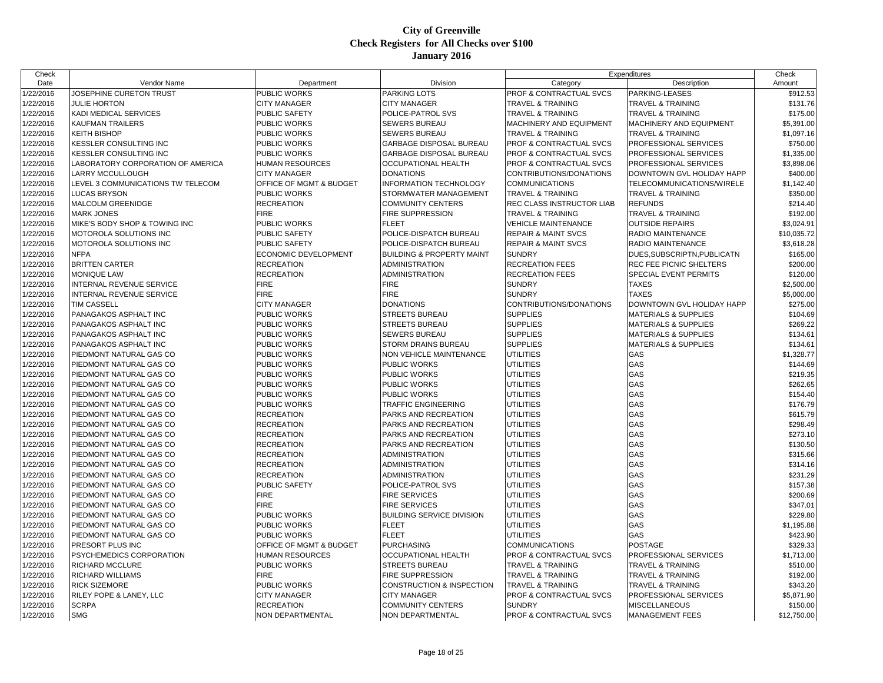| Check                  |                                                   |                                       |                                                     |                                                                    | Expenditures                                      | Check                   |
|------------------------|---------------------------------------------------|---------------------------------------|-----------------------------------------------------|--------------------------------------------------------------------|---------------------------------------------------|-------------------------|
| Date                   | Vendor Name                                       | Department                            | Division                                            | Category                                                           | Description                                       | Amount                  |
| 1/22/2016              | JOSEPHINE CURETON TRUST                           | PUBLIC WORKS                          | <b>PARKING LOTS</b>                                 | PROF & CONTRACTUAL SVCS                                            | PARKING-LEASES                                    | \$912.53                |
| 1/22/2016              | <b>JULIE HORTON</b>                               | <b>CITY MANAGER</b>                   | <b>CITY MANAGER</b>                                 | <b>TRAVEL &amp; TRAINING</b>                                       | <b>TRAVEL &amp; TRAINING</b>                      | \$131.76                |
| 1/22/2016              | <b>KADI MEDICAL SERVICES</b>                      | PUBLIC SAFETY                         | POLICE-PATROL SVS                                   | <b>TRAVEL &amp; TRAINING</b>                                       | TRAVEL & TRAINING                                 | \$175.00                |
| 1/22/2016              | <b>KAUFMAN TRAILERS</b>                           | PUBLIC WORKS                          | <b>SEWERS BUREAU</b>                                | MACHINERY AND EQUIPMENT                                            | MACHINERY AND EQUIPMENT                           | \$5,391.00              |
| 1/22/2016              | <b>KEITH BISHOP</b>                               | <b>PUBLIC WORKS</b>                   | <b>SEWERS BUREAU</b>                                | TRAVEL & TRAINING                                                  | <b>TRAVEL &amp; TRAINING</b>                      | \$1,097.16              |
| 1/22/2016              | <b>KESSLER CONSULTING INC</b>                     | PUBLIC WORKS                          | GARBAGE DISPOSAL BUREAU                             | PROF & CONTRACTUAL SVCS                                            | PROFESSIONAL SERVICES                             | \$750.00                |
| 1/22/2016              | <b>KESSLER CONSULTING INC</b>                     | PUBLIC WORKS                          | GARBAGE DISPOSAL BUREAU                             | PROF & CONTRACTUAL SVCS                                            | PROFESSIONAL SERVICES                             | \$1,335.00              |
| 1/22/2016              | LABORATORY CORPORATION OF AMERICA                 | HUMAN RESOURCES                       | <b>OCCUPATIONAL HEALTH</b>                          | <b>PROF &amp; CONTRACTUAL SVCS</b>                                 | PROFESSIONAL SERVICES                             | \$3,898.06              |
| 1/22/2016              | <b>LARRY MCCULLOUGH</b>                           | <b>CITY MANAGER</b>                   | <b>DONATIONS</b>                                    | CONTRIBUTIONS/DONATIONS                                            | DOWNTOWN GVL HOLIDAY HAPP                         | \$400.00                |
| 1/22/2016              | LEVEL 3 COMMUNICATIONS TW TELECOM                 | OFFICE OF MGMT & BUDGET               | <b>INFORMATION TECHNOLOGY</b>                       | <b>COMMUNICATIONS</b>                                              | TELECOMMUNICATIONS/WIRELE                         | \$1,142.40              |
| 1/22/2016              | <b>LUCAS BRYSON</b>                               | PUBLIC WORKS                          | STORMWATER MANAGEMENT                               | <b>TRAVEL &amp; TRAINING</b>                                       | TRAVEL & TRAINING                                 | \$350.00                |
| 1/22/2016              | <b>MALCOLM GREENIDGE</b>                          | RECREATION                            | <b>COMMUNITY CENTERS</b>                            | REC CLASS INSTRUCTOR LIAB                                          | <b>REFUNDS</b>                                    | \$214.40                |
| 1/22/2016              | <b>MARK JONES</b>                                 | <b>FIRE</b>                           | <b>FIRE SUPPRESSION</b>                             | <b>TRAVEL &amp; TRAINING</b>                                       | <b>TRAVEL &amp; TRAINING</b>                      | \$192.00                |
| 1/22/2016              | MIKE'S BODY SHOP & TOWING INC                     | PUBLIC WORKS                          | <b>FLEET</b>                                        | <b>VEHICLE MAINTENANCE</b>                                         | <b>OUTSIDE REPAIRS</b>                            | \$3,024.91              |
| 1/22/2016              | MOTOROLA SOLUTIONS INC                            | <b>PUBLIC SAFETY</b>                  | POLICE-DISPATCH BUREAU                              | <b>REPAIR &amp; MAINT SVCS</b>                                     | RADIO MAINTENANCE                                 | \$10,035.72             |
| 1/22/2016              | MOTOROLA SOLUTIONS INC                            | <b>PUBLIC SAFETY</b>                  | POLICE-DISPATCH BUREAU                              | <b>REPAIR &amp; MAINT SVCS</b>                                     | RADIO MAINTENANCE                                 | \$3,618.28              |
| 1/22/2016              | <b>NFPA</b>                                       | ECONOMIC DEVELOPMENT                  | <b>BUILDING &amp; PROPERTY MAINT</b>                | <b>SUNDRY</b>                                                      | DUES, SUBSCRIPTN, PUBLICATN                       | \$165.00                |
| 1/22/2016              | <b>BRITTEN CARTER</b>                             | <b>RECREATION</b>                     | <b>ADMINISTRATION</b>                               | <b>RECREATION FEES</b>                                             | REC FEE PICNIC SHELTERS                           | \$200.00                |
| 1/22/2016              | <b>MONIQUE LAW</b>                                | <b>RECREATION</b>                     | ADMINISTRATION                                      | <b>RECREATION FEES</b>                                             | SPECIAL EVENT PERMITS                             | \$120.00                |
| 1/22/2016              | INTERNAL REVENUE SERVICE                          | FIRE                                  | <b>FIRE</b>                                         | <b>SUNDRY</b>                                                      | <b>TAXES</b>                                      | \$2,500.00              |
| 1/22/2016              | <b>INTERNAL REVENUE SERVICE</b>                   | <b>FIRE</b>                           | <b>FIRE</b>                                         | <b>SUNDRY</b>                                                      | <b>TAXES</b>                                      | \$5,000.00              |
| 1/22/2016              | <b>TIM CASSELL</b>                                | <b>CITY MANAGER</b>                   | <b>DONATIONS</b>                                    | CONTRIBUTIONS/DONATIONS                                            | DOWNTOWN GVL HOLIDAY HAPP                         | \$275.00                |
| 1/22/2016              | PANAGAKOS ASPHALT INC                             | <b>PUBLIC WORKS</b>                   | <b>STREETS BUREAU</b>                               | <b>SUPPLIES</b>                                                    | <b>MATERIALS &amp; SUPPLIES</b>                   | \$104.69                |
| 1/22/2016              | PANAGAKOS ASPHALT INC                             | PUBLIC WORKS                          | <b>STREETS BUREAU</b>                               | <b>SUPPLIES</b>                                                    | <b>MATERIALS &amp; SUPPLIES</b>                   | \$269.22                |
| 1/22/2016              | PANAGAKOS ASPHALT INC                             | PUBLIC WORKS                          | <b>SEWERS BUREAU</b>                                | <b>SUPPLIES</b>                                                    | <b>MATERIALS &amp; SUPPLIES</b>                   | \$134.61                |
| 1/22/2016              | PANAGAKOS ASPHALT INC                             | PUBLIC WORKS                          | <b>STORM DRAINS BUREAU</b>                          | <b>SUPPLIES</b>                                                    | <b>MATERIALS &amp; SUPPLIES</b>                   | \$134.61                |
| 1/22/2016              | PIEDMONT NATURAL GAS CO                           | PUBLIC WORKS                          | NON VEHICLE MAINTENANCE                             | UTILITIES                                                          | GAS                                               | \$1,328.77              |
| 1/22/2016              | PIEDMONT NATURAL GAS CO                           | PUBLIC WORKS                          | <b>PUBLIC WORKS</b>                                 | <b>UTILITIES</b>                                                   | GAS                                               | \$144.69                |
| 1/22/2016              | PIEDMONT NATURAL GAS CO                           | PUBLIC WORKS                          | <b>PUBLIC WORKS</b>                                 | UTILITIES                                                          | GAS                                               | \$219.35                |
| 1/22/2016              | PIEDMONT NATURAL GAS CO                           | PUBLIC WORKS                          | PUBLIC WORKS                                        | UTILITIES                                                          | GAS                                               | \$262.65                |
| 1/22/2016              | PIEDMONT NATURAL GAS CO                           | PUBLIC WORKS                          | <b>PUBLIC WORKS</b>                                 | <b>UTILITIES</b>                                                   | GAS                                               | \$154.40                |
| 1/22/2016              | PIEDMONT NATURAL GAS CO                           | PUBLIC WORKS                          | TRAFFIC ENGINEERING                                 | <b>UTILITIES</b>                                                   | GAS                                               | \$176.79                |
| 1/22/2016              | PIEDMONT NATURAL GAS CO                           | RECREATION                            | PARKS AND RECREATION                                | UTILITIES                                                          | GAS                                               | \$615.79                |
| 1/22/2016              | PIEDMONT NATURAL GAS CO                           | RECREATION                            | PARKS AND RECREATION                                | UTILITIES                                                          | GAS                                               | \$298.49                |
| 1/22/2016              | PIEDMONT NATURAL GAS CO                           | <b>RECREATION</b>                     | PARKS AND RECREATION                                | <b>UTILITIES</b>                                                   | GAS                                               | \$273.10                |
| 1/22/2016              | PIEDMONT NATURAL GAS CO                           | RECREATION                            | PARKS AND RECREATION                                | UTILITIES                                                          | GAS                                               | \$130.50                |
| 1/22/2016              | PIEDMONT NATURAL GAS CO                           | <b>RECREATION</b>                     | ADMINISTRATION                                      | UTILITIES                                                          | GAS                                               | \$315.66                |
| 1/22/2016              | PIEDMONT NATURAL GAS CO                           | <b>RECREATION</b>                     | ADMINISTRATION                                      | UTILITIES                                                          | GAS                                               | \$314.16                |
| 1/22/2016              | PIEDMONT NATURAL GAS CO                           | <b>RECREATION</b>                     | <b>ADMINISTRATION</b>                               | <b>UTILITIES</b>                                                   | GAS                                               | \$231.29                |
| 1/22/2016              | PIEDMONT NATURAL GAS CO                           | PUBLIC SAFETY                         | POLICE-PATROL SVS                                   | UTILITIES                                                          | GAS                                               | \$157.38                |
| 1/22/2016              | PIEDMONT NATURAL GAS CO                           | <b>FIRE</b>                           | <b>FIRE SERVICES</b>                                | UTILITIES                                                          | GAS                                               | \$200.69                |
| 1/22/2016              | PIEDMONT NATURAL GAS CO                           | <b>FIRE</b>                           | <b>FIRE SERVICES</b>                                | <b>UTILITIES</b>                                                   | GAS                                               | \$347.01                |
| 1/22/2016              | PIEDMONT NATURAL GAS CO                           | PUBLIC WORKS                          | <b>BUILDING SERVICE DIVISION</b>                    | UTILITIES                                                          | GAS                                               | \$229.80                |
| 1/22/2016              | PIEDMONT NATURAL GAS CO                           | PUBLIC WORKS                          | <b>FLEET</b>                                        | UTILITIES                                                          | GAS                                               | \$1,195.88              |
| 1/22/2016              | PIEDMONT NATURAL GAS CO                           | PUBLIC WORKS                          | <b>FLEET</b>                                        | UTILITIES                                                          | GAS                                               | \$423.90                |
| 1/22/2016              | PRESORT PLUS INC                                  | OFFICE OF MGMT & BUDGET               | <b>PURCHASING</b>                                   | <b>COMMUNICATIONS</b>                                              | <b>POSTAGE</b>                                    | \$329.33                |
|                        |                                                   |                                       |                                                     |                                                                    |                                                   |                         |
| 1/22/2016              | <b>PSYCHEMEDICS CORPORATION</b>                   | HUMAN RESOURCES<br>PUBLIC WORKS       | <b>OCCUPATIONAL HEALTH</b><br><b>STREETS BUREAU</b> | PROF & CONTRACTUAL SVCS                                            | PROFESSIONAL SERVICES                             | \$1,713.00<br>\$510.00  |
| 1/22/2016              | <b>RICHARD MCCLURE</b><br><b>RICHARD WILLIAMS</b> | <b>FIRE</b>                           | <b>FIRE SUPPRESSION</b>                             | <b>TRAVEL &amp; TRAINING</b><br><b>TRAVEL &amp; TRAINING</b>       | <b>TRAVEL &amp; TRAINING</b><br>TRAVEL & TRAINING |                         |
| 1/22/2016              | <b>RICK SIZEMORE</b>                              |                                       | <b>CONSTRUCTION &amp; INSPECTION</b>                |                                                                    |                                                   | \$192.00<br>\$343.20    |
| 1/22/2016<br>1/22/2016 |                                                   | <b>PUBLIC WORKS</b>                   |                                                     | <b>TRAVEL &amp; TRAINING</b><br><b>PROF &amp; CONTRACTUAL SVCS</b> | TRAVEL & TRAINING                                 |                         |
| 1/22/2016              | RILEY POPE & LANEY, LLC                           | <b>CITY MANAGER</b>                   | <b>CITY MANAGER</b>                                 | <b>SUNDRY</b>                                                      | PROFESSIONAL SERVICES                             | \$5,871.90              |
| 1/22/2016              | <b>SCRPA</b><br><b>SMG</b>                        | <b>RECREATION</b><br>NON DEPARTMENTAL | <b>COMMUNITY CENTERS</b><br>NON DEPARTMENTAL        | PROF & CONTRACTUAL SVCS                                            | <b>MISCELLANEOUS</b><br><b>MANAGEMENT FEES</b>    | \$150.00<br>\$12,750.00 |
|                        |                                                   |                                       |                                                     |                                                                    |                                                   |                         |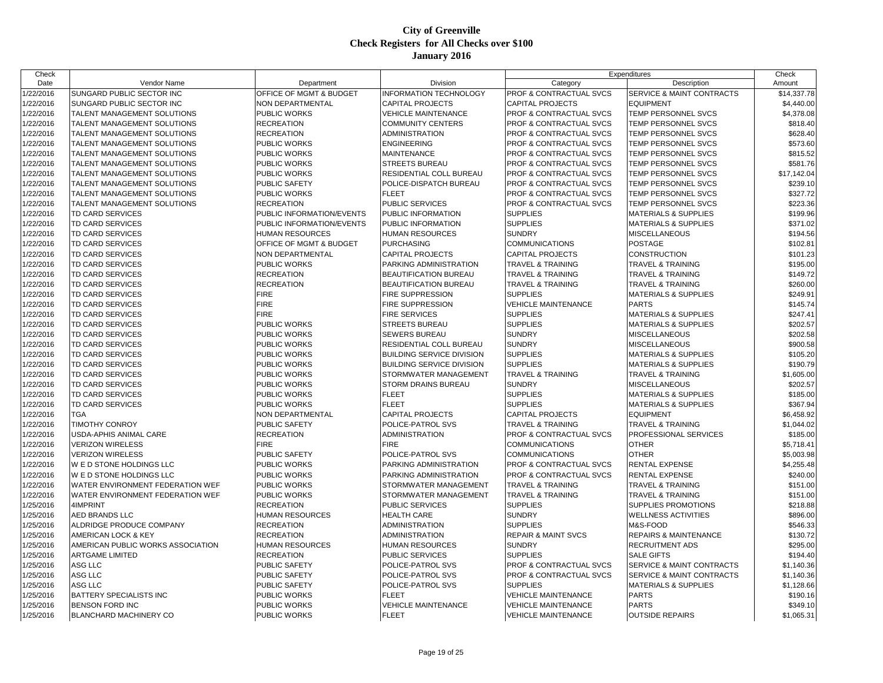| Check     |                                                          |                                     |                                     |                                                          | Expenditures                         | Check       |
|-----------|----------------------------------------------------------|-------------------------------------|-------------------------------------|----------------------------------------------------------|--------------------------------------|-------------|
| Date      | Vendor Name                                              | Department                          | Division                            | Category                                                 | Description                          | Amount      |
| 1/22/2016 | SUNGARD PUBLIC SECTOR INC                                | OFFICE OF MGMT & BUDGET             | <b>INFORMATION TECHNOLOGY</b>       | PROF & CONTRACTUAL SVCS                                  | SERVICE & MAINT CONTRACTS            | \$14,337.78 |
| 1/22/2016 | SUNGARD PUBLIC SECTOR INC                                | NON DEPARTMENTAL                    | <b>CAPITAL PROJECTS</b>             | <b>CAPITAL PROJECTS</b>                                  | <b>EQUIPMENT</b>                     | \$4,440.00  |
| 1/22/2016 | TALENT MANAGEMENT SOLUTIONS                              | <b>PUBLIC WORKS</b>                 | <b>VEHICLE MAINTENANCE</b>          | PROF & CONTRACTUAL SVCS                                  | TEMP PERSONNEL SVCS                  | \$4,378.08  |
| 1/22/2016 | TALENT MANAGEMENT SOLUTIONS                              | <b>RECREATION</b>                   | COMMUNITY CENTERS                   | PROF & CONTRACTUAL SVCS                                  | TEMP PERSONNEL SVCS                  | \$818.40    |
| 1/22/2016 | TALENT MANAGEMENT SOLUTIONS                              | <b>RECREATION</b>                   | <b>ADMINISTRATION</b>               | PROF & CONTRACTUAL SVCS                                  | TEMP PERSONNEL SVCS                  | \$628.40    |
| 1/22/2016 | TALENT MANAGEMENT SOLUTIONS                              | PUBLIC WORKS                        | <b>ENGINEERING</b>                  | PROF & CONTRACTUAL SVCS                                  | TEMP PERSONNEL SVCS                  | \$573.60    |
| 1/22/2016 | <b>TALENT MANAGEMENT SOLUTIONS</b>                       | <b>PUBLIC WORKS</b>                 | MAINTENANCE                         | PROF & CONTRACTUAL SVCS                                  | <b>TEMP PERSONNEL SVCS</b>           | \$815.52    |
| 1/22/2016 | TALENT MANAGEMENT SOLUTIONS                              | PUBLIC WORKS                        | <b>STREETS BUREAU</b>               | PROF & CONTRACTUAL SVCS                                  | TEMP PERSONNEL SVCS                  | \$581.76    |
| 1/22/2016 | TALENT MANAGEMENT SOLUTIONS                              | PUBLIC WORKS                        | RESIDENTIAL COLL BUREAU             | PROF & CONTRACTUAL SVCS                                  | TEMP PERSONNEL SVCS                  | \$17,142.04 |
| 1/22/2016 | TALENT MANAGEMENT SOLUTIONS                              | PUBLIC SAFETY                       | POLICE-DISPATCH BUREAU              | PROF & CONTRACTUAL SVCS                                  | TEMP PERSONNEL SVCS                  | \$239.10    |
| 1/22/2016 | TALENT MANAGEMENT SOLUTIONS                              | <b>PUBLIC WORKS</b>                 | <b>FLEET</b>                        | PROF & CONTRACTUAL SVCS                                  | <b>TEMP PERSONNEL SVCS</b>           | \$327.72    |
| 1/22/2016 | TALENT MANAGEMENT SOLUTIONS                              | <b>RECREATION</b>                   | <b>PUBLIC SERVICES</b>              | PROF & CONTRACTUAL SVCS                                  | TEMP PERSONNEL SVCS                  | \$223.36    |
| 1/22/2016 | <b>TD CARD SERVICES</b>                                  | PUBLIC INFORMATION/EVENTS           | PUBLIC INFORMATION                  | <b>SUPPLIES</b>                                          | <b>MATERIALS &amp; SUPPLIES</b>      | \$199.96    |
| 1/22/2016 | <b>TD CARD SERVICES</b>                                  | PUBLIC INFORMATION/EVENTS           | PUBLIC INFORMATION                  | <b>SUPPLIES</b>                                          | <b>MATERIALS &amp; SUPPLIES</b>      | \$371.02    |
| 1/22/2016 | TD CARD SERVICES                                         | HUMAN RESOURCES                     | HUMAN RESOURCES                     | <b>SUNDRY</b>                                            | <b>MISCELLANEOUS</b>                 | \$194.56    |
| 1/22/2016 | <b>TD CARD SERVICES</b>                                  | OFFICE OF MGMT & BUDGET             | <b>PURCHASING</b>                   | <b>COMMUNICATIONS</b>                                    | POSTAGE                              | \$102.81    |
| 1/22/2016 | <b>TD CARD SERVICES</b>                                  | <b>NON DEPARTMENTAL</b>             | <b>CAPITAL PROJECTS</b>             | <b>CAPITAL PROJECTS</b>                                  | <b>CONSTRUCTION</b>                  | \$101.23    |
| 1/22/2016 | <b>TD CARD SERVICES</b>                                  | PUBLIC WORKS                        | PARKING ADMINISTRATION              | <b>TRAVEL &amp; TRAINING</b>                             | TRAVEL & TRAINING                    | \$195.00    |
| 1/22/2016 | <b>TD CARD SERVICES</b>                                  | <b>RECREATION</b>                   | BEAUTIFICATION BUREAU               | <b>TRAVEL &amp; TRAINING</b>                             | TRAVEL & TRAINING                    | \$149.72    |
| 1/22/2016 | <b>TD CARD SERVICES</b>                                  | <b>RECREATION</b>                   | BEAUTIFICATION BUREAU               | <b>TRAVEL &amp; TRAINING</b>                             | TRAVEL & TRAINING                    | \$260.00    |
| 1/22/2016 | <b>TD CARD SERVICES</b>                                  | <b>FIRE</b>                         | FIRE SUPPRESSION                    | <b>SUPPLIES</b>                                          | <b>MATERIALS &amp; SUPPLIES</b>      | \$249.91    |
| 1/22/2016 | <b>TD CARD SERVICES</b>                                  | <b>FIRE</b>                         | FIRE SUPPRESSION                    | <b>VEHICLE MAINTENANCE</b>                               | <b>PARTS</b>                         | \$145.74    |
| 1/22/2016 | <b>TD CARD SERVICES</b>                                  | <b>FIRE</b>                         | <b>FIRE SERVICES</b>                | <b>SUPPLIES</b>                                          | <b>MATERIALS &amp; SUPPLIES</b>      | \$247.41    |
| 1/22/2016 | <b>TD CARD SERVICES</b>                                  | PUBLIC WORKS                        | <b>STREETS BUREAU</b>               | <b>SUPPLIES</b>                                          | <b>MATERIALS &amp; SUPPLIES</b>      | \$202.57    |
| 1/22/2016 | <b>TD CARD SERVICES</b>                                  | PUBLIC WORKS                        | SEWERS BUREAU                       | <b>SUNDRY</b>                                            | <b>MISCELLANEOUS</b>                 | \$202.58    |
| 1/22/2016 | <b>TD CARD SERVICES</b>                                  | PUBLIC WORKS                        | RESIDENTIAL COLL BUREAU             | <b>SUNDRY</b>                                            | MISCELLANEOUS                        | \$900.58    |
| 1/22/2016 | TD CARD SERVICES                                         | PUBLIC WORKS                        | <b>BUILDING SERVICE DIVISION</b>    | <b>SUPPLIES</b>                                          | MATERIALS & SUPPLIES                 | \$105.20    |
| 1/22/2016 | <b>TD CARD SERVICES</b>                                  | PUBLIC WORKS                        | <b>BUILDING SERVICE DIVISION</b>    | <b>SUPPLIES</b>                                          | <b>MATERIALS &amp; SUPPLIES</b>      | \$190.79    |
| 1/22/2016 | <b>TD CARD SERVICES</b>                                  | PUBLIC WORKS                        | STORMWATER MANAGEMENT               | <b>TRAVEL &amp; TRAINING</b>                             | TRAVEL & TRAINING                    | \$1,605.00  |
| 1/22/2016 | TD CARD SERVICES                                         | PUBLIC WORKS                        | STORM DRAINS BUREAU                 | <b>SUNDRY</b>                                            | MISCELLANEOUS                        | \$202.57    |
| 1/22/2016 | <b>TD CARD SERVICES</b>                                  | PUBLIC WORKS                        | <b>FLEET</b>                        | <b>SUPPLIES</b>                                          | <b>MATERIALS &amp; SUPPLIES</b>      | \$185.00    |
| 1/22/2016 | <b>TD CARD SERVICES</b>                                  | PUBLIC WORKS                        | <b>FLEET</b>                        | <b>SUPPLIES</b>                                          | <b>MATERIALS &amp; SUPPLIES</b>      | \$367.94    |
| 1/22/2016 | <b>TGA</b>                                               | <b>NON DEPARTMENTAL</b>             | CAPITAL PROJECTS                    | <b>CAPITAL PROJECTS</b>                                  | <b>EQUIPMENT</b>                     | \$6,458.92  |
| 1/22/2016 | <b>TIMOTHY CONROY</b>                                    | PUBLIC SAFETY                       | POLICE-PATROL SVS                   | <b>TRAVEL &amp; TRAINING</b>                             | TRAVEL & TRAINING                    | \$1,044.02  |
| 1/22/2016 | USDA-APHIS ANIMAL CARE                                   | <b>RECREATION</b>                   | ADMINISTRATION                      | PROF & CONTRACTUAL SVCS                                  | PROFESSIONAL SERVICES                | \$185.00    |
| 1/22/2016 | <b>VERIZON WIRELESS</b>                                  | <b>FIRE</b>                         | <b>FIRE</b>                         | <b>COMMUNICATIONS</b>                                    | <b>OTHER</b>                         | \$5,718.41  |
| 1/22/2016 | <b>VERIZON WIRELESS</b>                                  | PUBLIC SAFETY                       | POLICE-PATROL SVS                   | <b>COMMUNICATIONS</b>                                    | <b>OTHER</b>                         | \$5,003.98  |
| 1/22/2016 | W E D STONE HOLDINGS LLC                                 | PUBLIC WORKS                        | PARKING ADMINISTRATION              | PROF & CONTRACTUAL SVCS                                  | RENTAL EXPENSE                       | \$4,255.48  |
| 1/22/2016 | W E D STONE HOLDINGS LLC                                 | PUBLIC WORKS                        | PARKING ADMINISTRATION              | PROF & CONTRACTUAL SVCS                                  | <b>RENTAL EXPENSE</b>                | \$240.00    |
| 1/22/2016 | WATER ENVIRONMENT FEDERATION WEF                         | PUBLIC WORKS                        | STORMWATER MANAGEMENT               | <b>TRAVEL &amp; TRAINING</b>                             | TRAVEL & TRAINING                    | \$151.00    |
| 1/22/2016 | WATER ENVIRONMENT FEDERATION WEF                         | PUBLIC WORKS                        | STORMWATER MANAGEMENT               | <b>TRAVEL &amp; TRAINING</b>                             | <b>TRAVEL &amp; TRAINING</b>         | \$151.00    |
| 1/25/2016 | 4IMPRINT                                                 | <b>RECREATION</b>                   | PUBLIC SERVICES                     | <b>SUPPLIES</b>                                          | SUPPLIES PROMOTIONS                  | \$218.88    |
| 1/25/2016 | <b>AED BRANDS LLC</b>                                    | <b>HUMAN RESOURCES</b>              | <b>HEALTH CARE</b>                  | <b>SUNDRY</b>                                            | WELLNESS ACTIVITIES                  | \$896.00    |
| 1/25/2016 | ALDRIDGE PRODUCE COMPANY                                 | <b>RECREATION</b>                   | <b>ADMINISTRATION</b>               | <b>SUPPLIES</b>                                          | M&S-FOOD                             | \$546.33    |
| 1/25/2016 | AMERICAN LOCK & KEY                                      | <b>RECREATION</b>                   | ADMINISTRATION                      | <b>REPAIR &amp; MAINT SVCS</b>                           | REPAIRS & MAINTENANCE                | \$130.72    |
| 1/25/2016 | AMERICAN PUBLIC WORKS ASSOCIATION                        | HUMAN RESOURCES                     | HUMAN RESOURCES                     | <b>SUNDRY</b>                                            | <b>RECRUITMENT ADS</b>               | \$295.00    |
| 1/25/2016 | <b>ARTGAME LIMITED</b>                                   | <b>RECREATION</b>                   | <b>PUBLIC SERVICES</b>              | <b>SUPPLIES</b>                                          | <b>SALE GIFTS</b>                    | \$194.40    |
| 1/25/2016 | <b>ASG LLC</b>                                           | PUBLIC SAFETY                       | POLICE-PATROL SVS                   | PROF & CONTRACTUAL SVCS                                  | <b>SERVICE &amp; MAINT CONTRACTS</b> | \$1,140.36  |
| 1/25/2016 | ASG LLC                                                  | PUBLIC SAFETY                       | POLICE-PATROL SVS                   | PROF & CONTRACTUAL SVCS                                  | SERVICE & MAINT CONTRACTS            | \$1,140.36  |
| 1/25/2016 | ASG LLC                                                  | PUBLIC SAFETY                       | POLICE-PATROL SVS                   | <b>SUPPLIES</b>                                          | MATERIALS & SUPPLIES                 | \$1,128.66  |
| 1/25/2016 | <b>BATTERY SPECIALISTS INC</b><br><b>BENSON FORD INC</b> | PUBLIC WORKS<br><b>PUBLIC WORKS</b> | FLEET<br><b>VEHICLE MAINTENANCE</b> | <b>VEHICLE MAINTENANCE</b><br><b>VEHICLE MAINTENANCE</b> | <b>PARTS</b><br><b>PARTS</b>         | \$190.16    |
| 1/25/2016 |                                                          |                                     | <b>FLEET</b>                        |                                                          |                                      | \$349.10    |
| 1/25/2016 | <b>BLANCHARD MACHINERY CO</b>                            | PUBLIC WORKS                        |                                     | <b>VEHICLE MAINTENANCE</b>                               | <b>OUTSIDE REPAIRS</b>               | \$1,065.31  |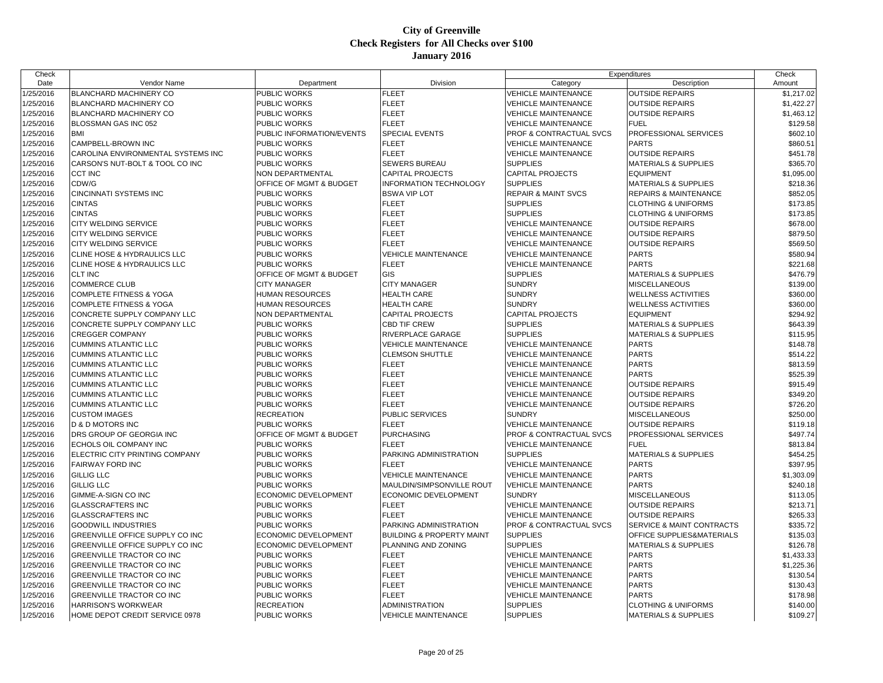| Check     |                                    |                             |                                      | Expenditures                   |                                      | Check      |
|-----------|------------------------------------|-----------------------------|--------------------------------------|--------------------------------|--------------------------------------|------------|
| Date      | Vendor Name                        | Department                  | Division                             | Category                       | Description                          | Amount     |
| 1/25/2016 | <b>BLANCHARD MACHINERY CO</b>      | PUBLIC WORKS                | <b>FLEET</b>                         | <b>VEHICLE MAINTENANCE</b>     | <b>OUTSIDE REPAIRS</b>               | \$1,217.02 |
| 1/25/2016 | BLANCHARD MACHINERY CO             | PUBLIC WORKS                | <b>FLEET</b>                         | VEHICLE MAINTENANCE            | <b>OUTSIDE REPAIRS</b>               | \$1,422.27 |
| 1/25/2016 | <b>BLANCHARD MACHINERY CO</b>      | PUBLIC WORKS                | <b>FLEET</b>                         | VEHICLE MAINTENANCE            | <b>OUTSIDE REPAIRS</b>               | \$1,463.12 |
| 1/25/2016 | BLOSSMAN GAS INC 052               | PUBLIC WORKS                | <b>FLEET</b>                         | <b>VEHICLE MAINTENANCE</b>     | <b>FUEL</b>                          | \$129.58   |
| 1/25/2016 | <b>BMI</b>                         | PUBLIC INFORMATION/EVENTS   | SPECIAL EVENTS                       | PROF & CONTRACTUAL SVCS        | PROFESSIONAL SERVICES                | \$602.10   |
| 1/25/2016 | CAMPBELL-BROWN INC                 | PUBLIC WORKS                | <b>FLEET</b>                         | VEHICLE MAINTENANCE            | <b>PARTS</b>                         | \$860.51   |
| 1/25/2016 | CAROLINA ENVIRONMENTAL SYSTEMS INC | PUBLIC WORKS                | <b>FLEET</b>                         | <b>VEHICLE MAINTENANCE</b>     | <b>OUTSIDE REPAIRS</b>               | \$451.78   |
| 1/25/2016 | CARSON'S NUT-BOLT & TOOL CO INC    | PUBLIC WORKS                | <b>SEWERS BUREAU</b>                 | <b>SUPPLIES</b>                | <b>MATERIALS &amp; SUPPLIES</b>      | \$365.70   |
| 1/25/2016 | <b>CCT INC</b>                     | NON DEPARTMENTAL            | <b>CAPITAL PROJECTS</b>              | <b>CAPITAL PROJECTS</b>        | <b>EQUIPMENT</b>                     | \$1,095.00 |
| 1/25/2016 | CDW/G                              | OFFICE OF MGMT & BUDGET     | <b>INFORMATION TECHNOLOGY</b>        | <b>SUPPLIES</b>                | <b>MATERIALS &amp; SUPPLIES</b>      | \$218.36   |
| 1/25/2016 | <b>CINCINNATI SYSTEMS INC</b>      | PUBLIC WORKS                | <b>BSWA VIP LOT</b>                  | <b>REPAIR &amp; MAINT SVCS</b> | <b>REPAIRS &amp; MAINTENANCE</b>     | \$852.05   |
| 1/25/2016 | <b>CINTAS</b>                      | PUBLIC WORKS                | <b>FLEET</b>                         | <b>SUPPLIES</b>                | <b>CLOTHING &amp; UNIFORMS</b>       | \$173.85   |
| 1/25/2016 | <b>CINTAS</b>                      | PUBLIC WORKS                | <b>FLEET</b>                         | <b>SUPPLIES</b>                | <b>CLOTHING &amp; UNIFORMS</b>       | \$173.85   |
| 1/25/2016 | CITY WELDING SERVICE               | PUBLIC WORKS                | <b>FLEET</b>                         | <b>VEHICLE MAINTENANCE</b>     | <b>OUTSIDE REPAIRS</b>               | \$678.00   |
| 1/25/2016 | <b>CITY WELDING SERVICE</b>        | PUBLIC WORKS                | <b>FLEET</b>                         | <b>VEHICLE MAINTENANCE</b>     | <b>OUTSIDE REPAIRS</b>               | \$879.50   |
| 1/25/2016 | <b>CITY WELDING SERVICE</b>        | PUBLIC WORKS                | <b>FLEET</b>                         | <b>VEHICLE MAINTENANCE</b>     | <b>OUTSIDE REPAIRS</b>               | \$569.50   |
| 1/25/2016 | CLINE HOSE & HYDRAULICS LLC        | PUBLIC WORKS                | <b>VEHICLE MAINTENANCE</b>           | <b>VEHICLE MAINTENANCE</b>     | <b>PARTS</b>                         | \$580.94   |
| 1/25/2016 | CLINE HOSE & HYDRAULICS LLC        | PUBLIC WORKS                | <b>FLEET</b>                         | VEHICLE MAINTENANCE            | <b>PARTS</b>                         | \$221.68   |
| 1/25/2016 | <b>CLT INC</b>                     | OFFICE OF MGMT & BUDGET     | GIS                                  | <b>SUPPLIES</b>                | <b>MATERIALS &amp; SUPPLIES</b>      | \$476.79   |
| 1/25/2016 | <b>COMMERCE CLUB</b>               | <b>CITY MANAGER</b>         | <b>CITY MANAGER</b>                  | <b>SUNDRY</b>                  | <b>MISCELLANEOUS</b>                 | \$139.00   |
| 1/25/2016 | <b>COMPLETE FITNESS &amp; YOGA</b> | <b>HUMAN RESOURCES</b>      | <b>HEALTH CARE</b>                   | <b>SUNDRY</b>                  | <b>WELLNESS ACTIVITIES</b>           | \$360.00   |
| 1/25/2016 | <b>COMPLETE FITNESS &amp; YOGA</b> | HUMAN RESOURCES             | <b>HEALTH CARE</b>                   | <b>SUNDRY</b>                  | <b>WELLNESS ACTIVITIES</b>           | \$360.00   |
| 1/25/2016 | CONCRETE SUPPLY COMPANY LLC        | NON DEPARTMENTAL            | <b>CAPITAL PROJECTS</b>              | <b>CAPITAL PROJECTS</b>        | <b>EQUIPMENT</b>                     | \$294.92   |
| 1/25/2016 | CONCRETE SUPPLY COMPANY LLC        | PUBLIC WORKS                | <b>CBD TIF CREW</b>                  | <b>SUPPLIES</b>                | <b>MATERIALS &amp; SUPPLIES</b>      | \$643.39   |
| 1/25/2016 | <b>CREGGER COMPANY</b>             | PUBLIC WORKS                | <b>RIVERPLACE GARAGE</b>             | <b>SUPPLIES</b>                | <b>MATERIALS &amp; SUPPLIES</b>      | \$115.95   |
| 1/25/2016 | <b>CUMMINS ATLANTIC LLC</b>        | PUBLIC WORKS                | <b>VEHICLE MAINTENANCE</b>           | <b>VEHICLE MAINTENANCE</b>     | <b>PARTS</b>                         | \$148.78   |
| 1/25/2016 | <b>CUMMINS ATLANTIC LLC</b>        | PUBLIC WORKS                | <b>CLEMSON SHUTTLE</b>               | <b>VEHICLE MAINTENANCE</b>     | <b>PARTS</b>                         | \$514.22   |
| 1/25/2016 | <b>CUMMINS ATLANTIC LLC</b>        | PUBLIC WORKS                | <b>FLEET</b>                         | <b>VEHICLE MAINTENANCE</b>     | <b>PARTS</b>                         | \$813.59   |
| 1/25/2016 | <b>CUMMINS ATLANTIC LLC</b>        | PUBLIC WORKS                | <b>FLEET</b>                         | VEHICLE MAINTENANCE            | <b>PARTS</b>                         | \$525.39   |
| 1/25/2016 | <b>CUMMINS ATLANTIC LLC</b>        | PUBLIC WORKS                | <b>FLEET</b>                         | VEHICLE MAINTENANCE            | <b>OUTSIDE REPAIRS</b>               | \$915.49   |
| 1/25/2016 | <b>CUMMINS ATLANTIC LLC</b>        | PUBLIC WORKS                | <b>FLEET</b>                         | VEHICLE MAINTENANCE            | <b>OUTSIDE REPAIRS</b>               | \$349.20   |
| 1/25/2016 | <b>CUMMINS ATLANTIC LLC</b>        | PUBLIC WORKS                | <b>FLEET</b>                         | <b>VEHICLE MAINTENANCE</b>     | <b>OUTSIDE REPAIRS</b>               | \$726.20   |
| 1/25/2016 | <b>CUSTOM IMAGES</b>               | RECREATION                  | <b>PUBLIC SERVICES</b>               | <b>SUNDRY</b>                  | <b>MISCELLANEOUS</b>                 | \$250.00   |
| 1/25/2016 | <b>D &amp; D MOTORS INC</b>        | PUBLIC WORKS                | <b>FLEET</b>                         | VEHICLE MAINTENANCE            | <b>OUTSIDE REPAIRS</b>               | \$119.18   |
| 1/25/2016 | DRS GROUP OF GEORGIA INC           | OFFICE OF MGMT & BUDGET     | <b>PURCHASING</b>                    | PROF & CONTRACTUAL SVCS        | PROFESSIONAL SERVICES                | \$497.74   |
| 1/25/2016 | ECHOLS OIL COMPANY INC             | PUBLIC WORKS                | <b>FLEET</b>                         | <b>VEHICLE MAINTENANCE</b>     | <b>FUEL</b>                          | \$813.84   |
| 1/25/2016 | ELECTRIC CITY PRINTING COMPANY     | PUBLIC WORKS                | PARKING ADMINISTRATION               | <b>SUPPLIES</b>                | <b>MATERIALS &amp; SUPPLIES</b>      | \$454.25   |
| 1/25/2016 | <b>FAIRWAY FORD INC</b>            | PUBLIC WORKS                | <b>FLEET</b>                         | <b>VEHICLE MAINTENANCE</b>     | <b>PARTS</b>                         | \$397.95   |
| 1/25/2016 | <b>GILLIG LLC</b>                  | PUBLIC WORKS                | <b>VEHICLE MAINTENANCE</b>           | <b>VEHICLE MAINTENANCE</b>     | <b>PARTS</b>                         | \$1,303.09 |
| 1/25/2016 | <b>GILLIG LLC</b>                  | PUBLIC WORKS                | MAULDIN/SIMPSONVILLE ROUT            | <b>VEHICLE MAINTENANCE</b>     | <b>PARTS</b>                         | \$240.18   |
| 1/25/2016 | GIMME-A-SIGN CO INC                | ECONOMIC DEVELOPMENT        | <b>ECONOMIC DEVELOPMENT</b>          | <b>SUNDRY</b>                  | <b>MISCELLANEOUS</b>                 | \$113.05   |
| 1/25/2016 | <b>GLASSCRAFTERS INC</b>           | PUBLIC WORKS                | <b>FLEET</b>                         | VEHICLE MAINTENANCE            | <b>OUTSIDE REPAIRS</b>               | \$213.71   |
| 1/25/2016 | <b>GLASSCRAFTERS INC</b>           | PUBLIC WORKS                | <b>FLEET</b>                         | <b>VEHICLE MAINTENANCE</b>     | <b>OUTSIDE REPAIRS</b>               | \$265.33   |
| 1/25/2016 | <b>GOODWILL INDUSTRIES</b>         | PUBLIC WORKS                | PARKING ADMINISTRATION               | PROF & CONTRACTUAL SVCS        | <b>SERVICE &amp; MAINT CONTRACTS</b> | \$335.72   |
| 1/25/2016 | GREENVILLE OFFICE SUPPLY CO INC    | <b>ECONOMIC DEVELOPMENT</b> | <b>BUILDING &amp; PROPERTY MAINT</b> | <b>SUPPLIES</b>                | <b>OFFICE SUPPLIES&amp;MATERIALS</b> | \$135.03   |
| 1/25/2016 | GREENVILLE OFFICE SUPPLY CO INC    | ECONOMIC DEVELOPMENT        | PLANNING AND ZONING                  | <b>SUPPLIES</b>                | <b>MATERIALS &amp; SUPPLIES</b>      | \$126.78   |
| 1/25/2016 | GREENVILLE TRACTOR CO INC          | PUBLIC WORKS                | <b>FLEET</b>                         | <b>VEHICLE MAINTENANCE</b>     | <b>PARTS</b>                         | \$1,433.33 |
| 1/25/2016 | GREENVILLE TRACTOR CO INC          | PUBLIC WORKS                | <b>FLEET</b>                         | VEHICLE MAINTENANCE            | <b>PARTS</b>                         | \$1,225.36 |
| 1/25/2016 | <b>GREENVILLE TRACTOR CO INC</b>   | PUBLIC WORKS                | <b>FLEET</b>                         | <b>VEHICLE MAINTENANCE</b>     | <b>PARTS</b>                         | \$130.54   |
| 1/25/2016 | <b>GREENVILLE TRACTOR CO INC</b>   | PUBLIC WORKS                | <b>FLEET</b>                         | <b>VEHICLE MAINTENANCE</b>     | <b>PARTS</b>                         | \$130.43   |
| 1/25/2016 | GREENVILLE TRACTOR CO INC          | PUBLIC WORKS                | <b>FLEET</b>                         | VEHICLE MAINTENANCE            | <b>PARTS</b>                         | \$178.98   |
| 1/25/2016 | <b>HARRISON'S WORKWEAR</b>         | <b>RECREATION</b>           | ADMINISTRATION                       | <b>SUPPLIES</b>                | <b>CLOTHING &amp; UNIFORMS</b>       | \$140.00   |
| 1/25/2016 | HOME DEPOT CREDIT SERVICE 0978     | <b>PUBLIC WORKS</b>         | <b>VEHICLE MAINTENANCE</b>           | <b>SUPPLIES</b>                | <b>MATERIALS &amp; SUPPLIES</b>      | \$109.27   |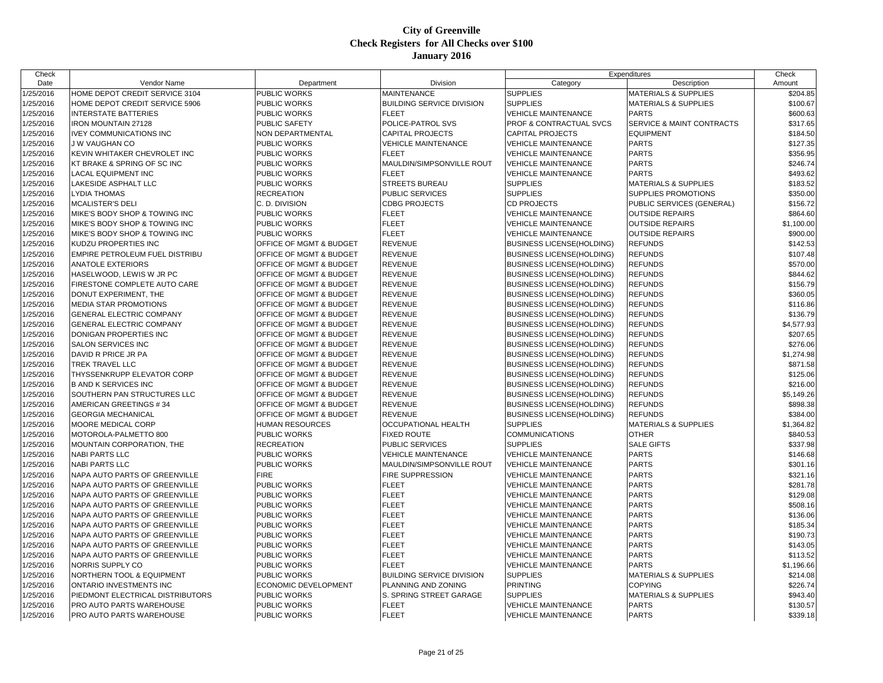| Check     |                                       |                                    |                                  | Expenditures                       |                                 | Check      |
|-----------|---------------------------------------|------------------------------------|----------------------------------|------------------------------------|---------------------------------|------------|
| Date      | Vendor Name                           | Department                         | Division                         | Category                           | Description                     | Amount     |
| 1/25/2016 | HOME DEPOT CREDIT SERVICE 3104        | PUBLIC WORKS                       | <b>MAINTENANCE</b>               | <b>SUPPLIES</b>                    | <b>MATERIALS &amp; SUPPLIES</b> | \$204.85   |
| 1/25/2016 | HOME DEPOT CREDIT SERVICE 5906        | PUBLIC WORKS                       | <b>BUILDING SERVICE DIVISION</b> | <b>SUPPLIES</b>                    | <b>MATERIALS &amp; SUPPLIES</b> | \$100.67   |
| 1/25/2016 | <b>INTERSTATE BATTERIES</b>           | PUBLIC WORKS                       | <b>FLEET</b>                     | <b>VEHICLE MAINTENANCE</b>         | <b>PARTS</b>                    | \$600.63   |
| 1/25/2016 | <b>IRON MOUNTAIN 27128</b>            | <b>PUBLIC SAFETY</b>               | POLICE-PATROL SVS                | <b>PROF &amp; CONTRACTUAL SVCS</b> | SERVICE & MAINT CONTRACTS       | \$317.65   |
| 1/25/2016 | <b>IVEY COMMUNICATIONS INC</b>        | NON DEPARTMENTAL                   | <b>CAPITAL PROJECTS</b>          | <b>CAPITAL PROJECTS</b>            | <b>EQUIPMENT</b>                | \$184.50   |
| 1/25/2016 | <b>J W VAUGHAN CO</b>                 | PUBLIC WORKS                       | <b>VEHICLE MAINTENANCE</b>       | <b>VEHICLE MAINTENANCE</b>         | <b>PARTS</b>                    | \$127.35   |
| 1/25/2016 | KEVIN WHITAKER CHEVROLET INC          | PUBLIC WORKS                       | <b>FLEET</b>                     | <b>VEHICLE MAINTENANCE</b>         | <b>PARTS</b>                    | \$356.95   |
| 1/25/2016 | KT BRAKE & SPRING OF SC INC           | PUBLIC WORKS                       | MAULDIN/SIMPSONVILLE ROUT        | <b>VEHICLE MAINTENANCE</b>         | <b>PARTS</b>                    | \$246.74   |
| 1/25/2016 | <b>LACAL EQUIPMENT INC</b>            | PUBLIC WORKS                       | <b>FLEET</b>                     | <b>VEHICLE MAINTENANCE</b>         | <b>PARTS</b>                    | \$493.62   |
| 1/25/2016 | <b>LAKESIDE ASPHALT LLC</b>           | PUBLIC WORKS                       | <b>STREETS BUREAU</b>            | <b>SUPPLIES</b>                    | <b>MATERIALS &amp; SUPPLIES</b> | \$183.52   |
| 1/25/2016 | <b>LYDIA THOMAS</b>                   | <b>RECREATION</b>                  | <b>PUBLIC SERVICES</b>           | <b>SUPPLIES</b>                    | <b>SUPPLIES PROMOTIONS</b>      | \$350.00   |
| 1/25/2016 | MCALISTER'S DELI                      | C. D. DIVISION                     | <b>CDBG PROJECTS</b>             | <b>CD PROJECTS</b>                 | PUBLIC SERVICES (GENERAL)       | \$156.72   |
| 1/25/2016 | MIKE'S BODY SHOP & TOWING INC         | PUBLIC WORKS                       | <b>FLEET</b>                     | <b>VEHICLE MAINTENANCE</b>         | <b>OUTSIDE REPAIRS</b>          | \$864.60   |
| 1/25/2016 | MIKE'S BODY SHOP & TOWING INC         | PUBLIC WORKS                       | <b>FLEET</b>                     | <b>VEHICLE MAINTENANCE</b>         | <b>OUTSIDE REPAIRS</b>          | \$1,100.00 |
| 1/25/2016 | MIKE'S BODY SHOP & TOWING INC         | PUBLIC WORKS                       | <b>FLEET</b>                     | <b>VEHICLE MAINTENANCE</b>         | <b>OUTSIDE REPAIRS</b>          | \$900.00   |
| 1/25/2016 | KUDZU PROPERTIES INC                  | OFFICE OF MGMT & BUDGET            | <b>REVENUE</b>                   | <b>BUSINESS LICENSE(HOLDING)</b>   | <b>REFUNDS</b>                  | \$142.53   |
| 1/25/2016 | <b>EMPIRE PETROLEUM FUEL DISTRIBU</b> | OFFICE OF MGMT & BUDGET            | <b>REVENUE</b>                   | <b>BUSINESS LICENSE(HOLDING)</b>   | <b>REFUNDS</b>                  | \$107.48   |
| 1/25/2016 | <b>ANATOLE EXTERIORS</b>              | OFFICE OF MGMT & BUDGET            | <b>REVENUE</b>                   | <b>BUSINESS LICENSE(HOLDING)</b>   | <b>REFUNDS</b>                  | \$570.00   |
| 1/25/2016 | HASELWOOD, LEWIS W JR PC              | OFFICE OF MGMT & BUDGET            | <b>REVENUE</b>                   | <b>BUSINESS LICENSE(HOLDING)</b>   | <b>REFUNDS</b>                  | \$844.62   |
| 1/25/2016 | <b>FIRESTONE COMPLETE AUTO CARE</b>   | OFFICE OF MGMT & BUDGET            | <b>REVENUE</b>                   | <b>BUSINESS LICENSE(HOLDING)</b>   | <b>REFUNDS</b>                  | \$156.79   |
| 1/25/2016 | DONUT EXPERIMENT, THE                 | OFFICE OF MGMT & BUDGET            | <b>REVENUE</b>                   | <b>BUSINESS LICENSE(HOLDING)</b>   | <b>REFUNDS</b>                  | \$360.05   |
| 1/25/2016 | <b>IMEDIA STAR PROMOTIONS</b>         | <b>OFFICE OF MGMT &amp; BUDGET</b> | <b>REVENUE</b>                   | <b>BUSINESS LICENSE(HOLDING)</b>   | <b>REFUNDS</b>                  | \$116.86   |
| 1/25/2016 | <b>GENERAL ELECTRIC COMPANY</b>       | OFFICE OF MGMT & BUDGET            | <b>REVENUE</b>                   | <b>BUSINESS LICENSE(HOLDING)</b>   | <b>REFUNDS</b>                  | \$136.79   |
| 1/25/2016 | <b>GENERAL ELECTRIC COMPANY</b>       | OFFICE OF MGMT & BUDGET            | <b>REVENUE</b>                   | <b>BUSINESS LICENSE(HOLDING)</b>   | <b>REFUNDS</b>                  | \$4,577.93 |
| 1/25/2016 | DONIGAN PROPERTIES INC                | OFFICE OF MGMT & BUDGET            | <b>REVENUE</b>                   | <b>BUSINESS LICENSE(HOLDING)</b>   | <b>REFUNDS</b>                  | \$207.65   |
| 1/25/2016 | SALON SERVICES INC                    | OFFICE OF MGMT & BUDGET            | <b>REVENUE</b>                   | <b>BUSINESS LICENSE(HOLDING)</b>   | <b>REFUNDS</b>                  | \$276.06   |
| 1/25/2016 | DAVID R PRICE JR PA                   | OFFICE OF MGMT & BUDGET            | <b>REVENUE</b>                   | <b>BUSINESS LICENSE(HOLDING)</b>   | <b>REFUNDS</b>                  | \$1,274.98 |
| 1/25/2016 | <b>TREK TRAVEL LLC</b>                | <b>OFFICE OF MGMT &amp; BUDGET</b> | <b>REVENUE</b>                   | <b>BUSINESS LICENSE(HOLDING)</b>   | <b>REFUNDS</b>                  | \$871.58   |
| 1/25/2016 | THYSSENKRUPP ELEVATOR CORP            | OFFICE OF MGMT & BUDGET            | <b>REVENUE</b>                   | <b>BUSINESS LICENSE(HOLDING)</b>   | <b>REFUNDS</b>                  | \$125.06   |
| 1/25/2016 | <b>B AND K SERVICES INC</b>           | OFFICE OF MGMT & BUDGET            | <b>REVENUE</b>                   | <b>BUSINESS LICENSE(HOLDING)</b>   | <b>REFUNDS</b>                  | \$216.00   |
| 1/25/2016 | <b>SOUTHERN PAN STRUCTURES LLC</b>    | OFFICE OF MGMT & BUDGET            | <b>REVENUE</b>                   | <b>BUSINESS LICENSE(HOLDING)</b>   | <b>REFUNDS</b>                  | \$5,149.26 |
| 1/25/2016 | AMERICAN GREETINGS #34                | OFFICE OF MGMT & BUDGET            | <b>REVENUE</b>                   | <b>BUSINESS LICENSE(HOLDING)</b>   | <b>REFUNDS</b>                  | \$898.38   |
| 1/25/2016 | <b>GEORGIA MECHANICAL</b>             | <b>OFFICE OF MGMT &amp; BUDGET</b> | <b>REVENUE</b>                   | <b>BUSINESS LICENSE(HOLDING)</b>   | <b>REFUNDS</b>                  | \$384.00   |
| 1/25/2016 | MOORE MEDICAL CORP                    | HUMAN RESOURCES                    | OCCUPATIONAL HEALTH              | <b>SUPPLIES</b>                    | <b>MATERIALS &amp; SUPPLIES</b> | \$1,364.82 |
| 1/25/2016 | MOTOROLA-PALMETTO 800                 | PUBLIC WORKS                       | <b>FIXED ROUTE</b>               | <b>COMMUNICATIONS</b>              | <b>OTHER</b>                    | \$840.53   |
| 1/25/2016 | <b>MOUNTAIN CORPORATION, THE</b>      | <b>RECREATION</b>                  | PUBLIC SERVICES                  | <b>SUPPLIES</b>                    | <b>SALE GIFTS</b>               | \$337.98   |
| 1/25/2016 | <b>NABI PARTS LLC</b>                 | PUBLIC WORKS                       | <b>VEHICLE MAINTENANCE</b>       | <b>VEHICLE MAINTENANCE</b>         | <b>PARTS</b>                    | \$146.68   |
| 1/25/2016 | <b>NABI PARTS LLC</b>                 | PUBLIC WORKS                       | MAULDIN/SIMPSONVILLE ROUT        | <b>VEHICLE MAINTENANCE</b>         | <b>PARTS</b>                    | \$301.16   |
| 1/25/2016 | NAPA AUTO PARTS OF GREENVILLE         | <b>FIRE</b>                        | FIRE SUPPRESSION                 | <b>VEHICLE MAINTENANCE</b>         | <b>PARTS</b>                    | \$321.16   |
| 1/25/2016 | NAPA AUTO PARTS OF GREENVILLE         | PUBLIC WORKS                       | <b>FLEET</b>                     | <b>VEHICLE MAINTENANCE</b>         | <b>PARTS</b>                    | \$281.78   |
| 1/25/2016 | NAPA AUTO PARTS OF GREENVILLE         | PUBLIC WORKS                       | <b>FLEET</b>                     | <b>VEHICLE MAINTENANCE</b>         | <b>PARTS</b>                    | \$129.08   |
| 1/25/2016 | NAPA AUTO PARTS OF GREENVILLE         | PUBLIC WORKS                       | <b>FLEET</b>                     | <b>VEHICLE MAINTENANCE</b>         | <b>PARTS</b>                    | \$508.16   |
| 1/25/2016 | NAPA AUTO PARTS OF GREENVILLE         | PUBLIC WORKS                       | <b>FLEET</b>                     | <b>VEHICLE MAINTENANCE</b>         | <b>PARTS</b>                    | \$136.06   |
| 1/25/2016 | NAPA AUTO PARTS OF GREENVILLE         | PUBLIC WORKS                       | <b>FLEET</b>                     | <b>VEHICLE MAINTENANCE</b>         | <b>PARTS</b>                    | \$185.34   |
| 1/25/2016 | NAPA AUTO PARTS OF GREENVILLE         | PUBLIC WORKS                       | <b>FLEET</b>                     | <b>VEHICLE MAINTENANCE</b>         | <b>PARTS</b>                    | \$190.73   |
| 1/25/2016 | NAPA AUTO PARTS OF GREENVILLE         | PUBLIC WORKS                       | <b>FLEET</b>                     | <b>VEHICLE MAINTENANCE</b>         | <b>PARTS</b>                    | \$143.05   |
| 1/25/2016 | NAPA AUTO PARTS OF GREENVILLE         | PUBLIC WORKS                       | <b>FLEET</b>                     | <b>VEHICLE MAINTENANCE</b>         | <b>PARTS</b>                    | \$113.52   |
| 1/25/2016 | NORRIS SUPPLY CO                      | PUBLIC WORKS                       | <b>FLEET</b>                     | <b>VEHICLE MAINTENANCE</b>         | <b>PARTS</b>                    | \$1,196.66 |
| 1/25/2016 | <b>NORTHERN TOOL &amp; EQUIPMENT</b>  | PUBLIC WORKS                       | <b>BUILDING SERVICE DIVISION</b> | <b>SUPPLIES</b>                    | <b>MATERIALS &amp; SUPPLIES</b> | \$214.08   |
| 1/25/2016 | <b>ONTARIO INVESTMENTS INC</b>        | ECONOMIC DEVELOPMENT               | PLANNING AND ZONING              | <b>PRINTING</b>                    | <b>COPYING</b>                  | \$226.74   |
| 1/25/2016 | PIEDMONT ELECTRICAL DISTRIBUTORS      | PUBLIC WORKS                       | S. SPRING STREET GARAGE          | <b>SUPPLIES</b>                    | <b>MATERIALS &amp; SUPPLIES</b> | \$943.40   |
| 1/25/2016 | PRO AUTO PARTS WAREHOUSE              | PUBLIC WORKS                       | <b>FLEET</b>                     | <b>VEHICLE MAINTENANCE</b>         | <b>PARTS</b>                    | \$130.57   |
| 1/25/2016 | <b>PRO AUTO PARTS WAREHOUSE</b>       | <b>PUBLIC WORKS</b>                | <b>FLEET</b>                     | <b>VEHICLE MAINTENANCE</b>         | <b>PARTS</b>                    | \$339.18   |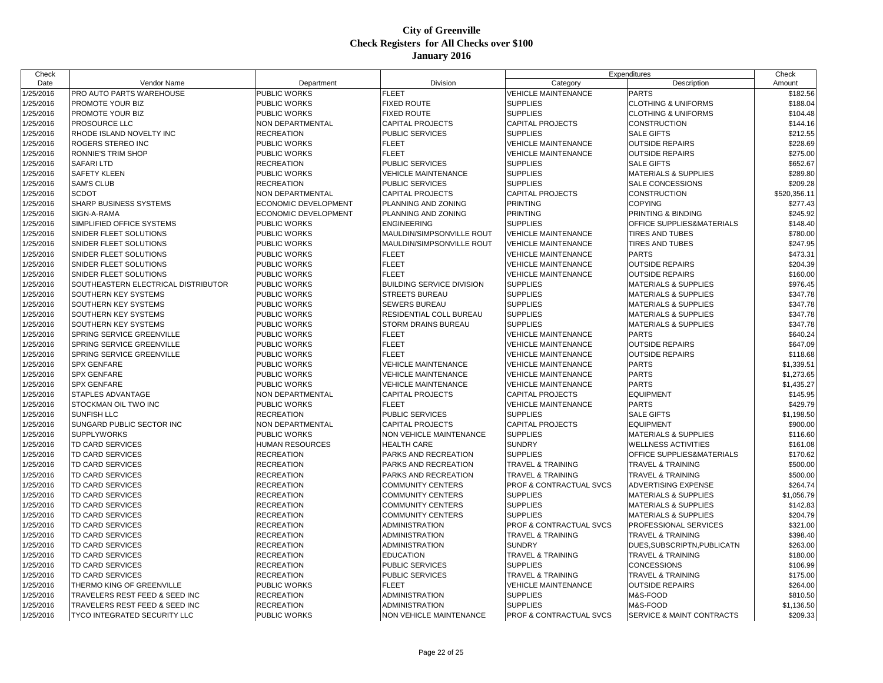| Check     |                                     |                      |                                  | Expenditures                 |                                 | Check        |
|-----------|-------------------------------------|----------------------|----------------------------------|------------------------------|---------------------------------|--------------|
| Date      | Vendor Name                         | Department           | Division                         | Category                     | Description                     | Amount       |
| 1/25/2016 | PRO AUTO PARTS WAREHOUSE            | PUBLIC WORKS         | <b>FLEET</b>                     | <b>VEHICLE MAINTENANCE</b>   | <b>PARTS</b>                    | \$182.56     |
| 1/25/2016 | PROMOTE YOUR BIZ                    | PUBLIC WORKS         | <b>FIXED ROUTE</b>               | <b>SUPPLIES</b>              | <b>CLOTHING &amp; UNIFORMS</b>  | \$188.04     |
| 1/25/2016 | PROMOTE YOUR BIZ                    | PUBLIC WORKS         | <b>FIXED ROUTE</b>               | <b>SUPPLIES</b>              | <b>CLOTHING &amp; UNIFORMS</b>  | \$104.48     |
| 1/25/2016 | <b>PROSOURCE LLC</b>                | NON DEPARTMENTAL     | <b>CAPITAL PROJECTS</b>          | <b>CAPITAL PROJECTS</b>      | <b>CONSTRUCTION</b>             | \$144.16     |
| 1/25/2016 | RHODE ISLAND NOVELTY INC            | <b>RECREATION</b>    | PUBLIC SERVICES                  | <b>SUPPLIES</b>              | <b>SALE GIFTS</b>               | \$212.55     |
| 1/25/2016 | ROGERS STEREO INC                   | PUBLIC WORKS         | <b>FLEET</b>                     | <b>VEHICLE MAINTENANCE</b>   | <b>OUTSIDE REPAIRS</b>          | \$228.69     |
| 1/25/2016 | <b>RONNIE'S TRIM SHOP</b>           | PUBLIC WORKS         | <b>FLEET</b>                     | <b>VEHICLE MAINTENANCE</b>   | <b>OUTSIDE REPAIRS</b>          | \$275.00     |
| 1/25/2016 | <b>SAFARILTD</b>                    | <b>RECREATION</b>    | PUBLIC SERVICES                  | <b>SUPPLIES</b>              | <b>SALE GIFTS</b>               | \$652.67     |
| 1/25/2016 | <b>SAFETY KLEEN</b>                 | PUBLIC WORKS         | <b>VEHICLE MAINTENANCE</b>       | <b>SUPPLIES</b>              | <b>MATERIALS &amp; SUPPLIES</b> | \$289.80     |
| 1/25/2016 | <b>SAM'S CLUB</b>                   | <b>RECREATION</b>    | <b>PUBLIC SERVICES</b>           | <b>SUPPLIES</b>              | <b>SALE CONCESSIONS</b>         | \$209.28     |
| 1/25/2016 | <b>SCDOT</b>                        | NON DEPARTMENTAL     | <b>CAPITAL PROJECTS</b>          | CAPITAL PROJECTS             | <b>CONSTRUCTION</b>             | \$520,356.11 |
| 1/25/2016 | SHARP BUSINESS SYSTEMS              | ECONOMIC DEVELOPMENT | PLANNING AND ZONING              | <b>PRINTING</b>              | <b>COPYING</b>                  | \$277.43     |
| 1/25/2016 | SIGN-A-RAMA                         | ECONOMIC DEVELOPMENT | PLANNING AND ZONING              | <b>PRINTING</b>              | PRINTING & BINDING              | \$245.92     |
| 1/25/2016 | SIMPLIFIED OFFICE SYSTEMS           | PUBLIC WORKS         | <b>ENGINEERING</b>               | <b>SUPPLIES</b>              | OFFICE SUPPLIES&MATERIALS       | \$148.40     |
| 1/25/2016 | SNIDER FLEET SOLUTIONS              | PUBLIC WORKS         | MAULDIN/SIMPSONVILLE ROUT        | VEHICLE MAINTENANCE          | <b>TIRES AND TUBES</b>          | \$780.00     |
| 1/25/2016 | SNIDER FLEET SOLUTIONS              | PUBLIC WORKS         | IMAULDIN/SIMPSONVILLE ROUT       | VEHICLE MAINTENANCE          | <b>TIRES AND TUBES</b>          | \$247.95     |
| 1/25/2016 | SNIDER FLEET SOLUTIONS              | PUBLIC WORKS         | <b>FLEET</b>                     | <b>VEHICLE MAINTENANCE</b>   | <b>PARTS</b>                    | \$473.31     |
| 1/25/2016 | SNIDER FLEET SOLUTIONS              | PUBLIC WORKS         | <b>FLEET</b>                     | <b>VEHICLE MAINTENANCE</b>   | <b>OUTSIDE REPAIRS</b>          | \$204.39     |
| 1/25/2016 | SNIDER FLEET SOLUTIONS              | PUBLIC WORKS         | <b>FLEET</b>                     | <b>VEHICLE MAINTENANCE</b>   | <b>OUTSIDE REPAIRS</b>          | \$160.00     |
| 1/25/2016 | SOUTHEASTERN ELECTRICAL DISTRIBUTOR | PUBLIC WORKS         | <b>BUILDING SERVICE DIVISION</b> | <b>SUPPLIES</b>              | <b>MATERIALS &amp; SUPPLIES</b> | \$976.45     |
| 1/25/2016 | SOUTHERN KEY SYSTEMS                | PUBLIC WORKS         | <b>STREETS BUREAU</b>            | <b>SUPPLIES</b>              | <b>MATERIALS &amp; SUPPLIES</b> | \$347.78     |
| 1/25/2016 | SOUTHERN KEY SYSTEMS                | PUBLIC WORKS         | <b>SEWERS BUREAU</b>             | <b>SUPPLIES</b>              | <b>MATERIALS &amp; SUPPLIES</b> | \$347.78     |
| 1/25/2016 | <b>SOUTHERN KEY SYSTEMS</b>         | PUBLIC WORKS         | <b>RESIDENTIAL COLL BUREAU</b>   | <b>SUPPLIES</b>              | <b>MATERIALS &amp; SUPPLIES</b> | \$347.78     |
| 1/25/2016 | SOUTHERN KEY SYSTEMS                | PUBLIC WORKS         | <b>STORM DRAINS BUREAU</b>       | <b>SUPPLIES</b>              | <b>MATERIALS &amp; SUPPLIES</b> | \$347.78     |
| 1/25/2016 | SPRING SERVICE GREENVILLE           | PUBLIC WORKS         | <b>FLEET</b>                     | <b>VEHICLE MAINTENANCE</b>   | <b>PARTS</b>                    | \$640.24     |
| 1/25/2016 | <b>SPRING SERVICE GREENVILLE</b>    | PUBLIC WORKS         | <b>FLEET</b>                     | <b>VEHICLE MAINTENANCE</b>   | <b>OUTSIDE REPAIRS</b>          | \$647.09     |
| 1/25/2016 | SPRING SERVICE GREENVILLE           | PUBLIC WORKS         | <b>FLEET</b>                     | <b>VEHICLE MAINTENANCE</b>   | <b>OUTSIDE REPAIRS</b>          | \$118.68     |
| 1/25/2016 | <b>SPX GENFARE</b>                  | PUBLIC WORKS         | <b>VEHICLE MAINTENANCE</b>       | <b>VEHICLE MAINTENANCE</b>   | <b>PARTS</b>                    | \$1,339.51   |
| 1/25/2016 | <b>SPX GENFARE</b>                  | PUBLIC WORKS         | <b>VEHICLE MAINTENANCE</b>       | <b>VEHICLE MAINTENANCE</b>   | <b>PARTS</b>                    | \$1,273.65   |
| 1/25/2016 | <b>SPX GENFARE</b>                  | PUBLIC WORKS         | <b>VEHICLE MAINTENANCE</b>       | <b>VEHICLE MAINTENANCE</b>   | <b>PARTS</b>                    | \$1,435.27   |
| 1/25/2016 | STAPLES ADVANTAGE                   | NON DEPARTMENTAL     | <b>CAPITAL PROJECTS</b>          | <b>CAPITAL PROJECTS</b>      | <b>EQUIPMENT</b>                | \$145.95     |
| 1/25/2016 | STOCKMAN OIL TWO INC                | PUBLIC WORKS         | <b>FLEET</b>                     | <b>VEHICLE MAINTENANCE</b>   | <b>PARTS</b>                    | \$429.79     |
| 1/25/2016 | <b>SUNFISH LLC</b>                  | <b>RECREATION</b>    | <b>PUBLIC SERVICES</b>           | <b>SUPPLIES</b>              | <b>SALE GIFTS</b>               | \$1,198.50   |
| 1/25/2016 | SUNGARD PUBLIC SECTOR INC           | NON DEPARTMENTAL     | <b>CAPITAL PROJECTS</b>          | <b>CAPITAL PROJECTS</b>      | <b>EQUIPMENT</b>                | \$900.00     |
| 1/25/2016 | <b>SUPPLYWORKS</b>                  | PUBLIC WORKS         | NON VEHICLE MAINTENANCE          | <b>SUPPLIES</b>              | <b>MATERIALS &amp; SUPPLIES</b> | \$116.60     |
| 1/25/2016 | TD CARD SERVICES                    | HUMAN RESOURCES      | <b>HEALTH CARE</b>               | <b>SUNDRY</b>                | <b>WELLNESS ACTIVITIES</b>      | \$161.08     |
| 1/25/2016 | TD CARD SERVICES                    | <b>RECREATION</b>    | PARKS AND RECREATION             | <b>SUPPLIES</b>              | OFFICE SUPPLIES&MATERIALS       | \$170.62     |
| 1/25/2016 | TD CARD SERVICES                    | <b>RECREATION</b>    | PARKS AND RECREATION             | TRAVEL & TRAINING            | <b>TRAVEL &amp; TRAINING</b>    | \$500.00     |
| 1/25/2016 | TD CARD SERVICES                    | <b>RECREATION</b>    | PARKS AND RECREATION             | <b>TRAVEL &amp; TRAINING</b> | <b>TRAVEL &amp; TRAINING</b>    | \$500.00     |
| 1/25/2016 | TD CARD SERVICES                    | RECREATION           | <b>COMMUNITY CENTERS</b>         | PROF & CONTRACTUAL SVCS      | <b>ADVERTISING EXPENSE</b>      | \$264.74     |
| 1/25/2016 | TD CARD SERVICES                    | <b>RECREATION</b>    | <b>COMMUNITY CENTERS</b>         | <b>SUPPLIES</b>              | <b>MATERIALS &amp; SUPPLIES</b> | \$1,056.79   |
| 1/25/2016 | TD CARD SERVICES                    | <b>RECREATION</b>    | <b>COMMUNITY CENTERS</b>         | <b>SUPPLIES</b>              | <b>MATERIALS &amp; SUPPLIES</b> | \$142.83     |
| 1/25/2016 | <b>TD CARD SERVICES</b>             | <b>RECREATION</b>    | <b>COMMUNITY CENTERS</b>         | <b>SUPPLIES</b>              | <b>MATERIALS &amp; SUPPLIES</b> | \$204.79     |
| 1/25/2016 | TD CARD SERVICES                    | <b>RECREATION</b>    | <b>ADMINISTRATION</b>            | PROF & CONTRACTUAL SVCS      | PROFESSIONAL SERVICES           | \$321.00     |
| 1/25/2016 | TD CARD SERVICES                    | <b>RECREATION</b>    | <b>ADMINISTRATION</b>            | TRAVEL & TRAINING            | <b>TRAVEL &amp; TRAINING</b>    | \$398.40     |
| 1/25/2016 | <b>TD CARD SERVICES</b>             | <b>RECREATION</b>    | <b>ADMINISTRATION</b>            | <b>SUNDRY</b>                | DUES, SUBSCRIPTN, PUBLICATN     | \$263.00     |
| 1/25/2016 | <b>TD CARD SERVICES</b>             | <b>RECREATION</b>    | <b>EDUCATION</b>                 | <b>TRAVEL &amp; TRAINING</b> | <b>TRAVEL &amp; TRAINING</b>    | \$180.00     |
| 1/25/2016 | TD CARD SERVICES                    | <b>RECREATION</b>    | PUBLIC SERVICES                  | <b>SUPPLIES</b>              | CONCESSIONS                     | \$106.99     |
| 1/25/2016 | <b>TD CARD SERVICES</b>             | <b>RECREATION</b>    | <b>PUBLIC SERVICES</b>           | <b>TRAVEL &amp; TRAINING</b> | <b>TRAVEL &amp; TRAINING</b>    | \$175.00     |
| 1/25/2016 | THERMO KING OF GREENVILLE           | PUBLIC WORKS         | <b>FLEET</b>                     | <b>VEHICLE MAINTENANCE</b>   | <b>OUTSIDE REPAIRS</b>          | \$264.00     |
| 1/25/2016 | TRAVELERS REST FEED & SEED INC      | <b>RECREATION</b>    | <b>ADMINISTRATION</b>            | <b>SUPPLIES</b>              | M&S-FOOD                        | \$810.50     |
| 1/25/2016 | TRAVELERS REST FEED & SEED INC      | <b>RECREATION</b>    | <b>ADMINISTRATION</b>            | <b>SUPPLIES</b>              | M&S-FOOD                        | \$1,136.50   |
| 1/25/2016 | TYCO INTEGRATED SECURITY LLC        | <b>PUBLIC WORKS</b>  | NON VEHICLE MAINTENANCE          | PROF & CONTRACTUAL SVCS      | SERVICE & MAINT CONTRACTS       | \$209.33     |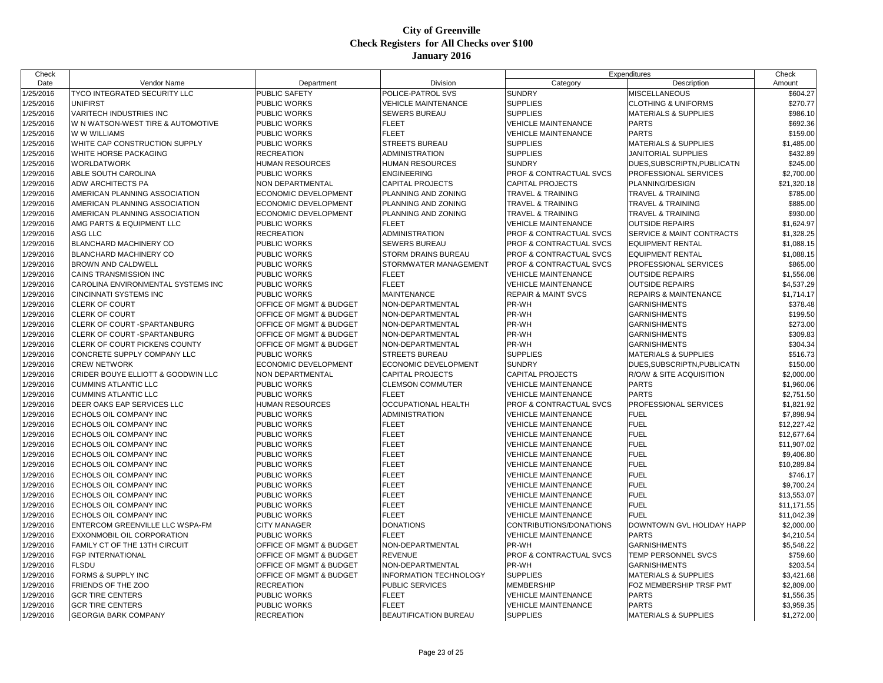| Check     |                                      |                                    |                               | Expenditures                   |                                      | Check       |
|-----------|--------------------------------------|------------------------------------|-------------------------------|--------------------------------|--------------------------------------|-------------|
| Date      | Vendor Name                          | Department                         | Division                      | Category                       | Description                          | Amount      |
| 1/25/2016 | TYCO INTEGRATED SECURITY LLC         | <b>PUBLIC SAFETY</b>               | POLICE-PATROL SVS             | <b>SUNDRY</b>                  | MISCELLANEOUS                        | \$604.27    |
| 1/25/2016 | <b>UNIFIRST</b>                      | PUBLIC WORKS                       | <b>VEHICLE MAINTENANCE</b>    | <b>SUPPLIES</b>                | <b>CLOTHING &amp; UNIFORMS</b>       | \$270.77    |
| 1/25/2016 | VARITECH INDUSTRIES INC              | PUBLIC WORKS                       | SEWERS BUREAU                 | <b>SUPPLIES</b>                | <b>MATERIALS &amp; SUPPLIES</b>      | \$986.10    |
| 1/25/2016 | W N WATSON-WEST TIRE & AUTOMOTIVE    | PUBLIC WORKS                       | <b>FLEET</b>                  | <b>VEHICLE MAINTENANCE</b>     | <b>PARTS</b>                         | \$692.36    |
| 1/25/2016 | <b>WWW WILLIAMS</b>                  | <b>PUBLIC WORKS</b>                | <b>FLEET</b>                  | <b>VEHICLE MAINTENANCE</b>     | <b>PARTS</b>                         | \$159.00    |
| 1/25/2016 | WHITE CAP CONSTRUCTION SUPPLY        | PUBLIC WORKS                       | <b>STREETS BUREAU</b>         | <b>SUPPLIES</b>                | <b>MATERIALS &amp; SUPPLIES</b>      | \$1,485.00  |
| 1/25/2016 | WHITE HORSE PACKAGING                | RECREATION                         | ADMINISTRATION                | <b>SUPPLIES</b>                | JANITORIAL SUPPLIES                  | \$432.89    |
| 1/25/2016 | <b>WORLDATWORK</b>                   | HUMAN RESOURCES                    | <b>HUMAN RESOURCES</b>        | <b>SUNDRY</b>                  | DUES, SUBSCRIPTN, PUBLICATN          | \$245.00    |
| 1/29/2016 | ABLE SOUTH CAROLINA                  | PUBLIC WORKS                       | <b>ENGINEERING</b>            | PROF & CONTRACTUAL SVCS        | PROFESSIONAL SERVICES                | \$2,700.00  |
| 1/29/2016 | <b>ADW ARCHITECTS PA</b>             | NON DEPARTMENTAL                   | <b>CAPITAL PROJECTS</b>       | <b>CAPITAL PROJECTS</b>        | PLANNING/DESIGN                      | \$21,320.18 |
| 1/29/2016 | AMERICAN PLANNING ASSOCIATION        | ECONOMIC DEVELOPMENT               | PLANNING AND ZONING           | TRAVEL & TRAINING              | TRAVEL & TRAINING                    | \$785.00    |
| 1/29/2016 | AMERICAN PLANNING ASSOCIATION        | ECONOMIC DEVELOPMENT               | PLANNING AND ZONING           | <b>TRAVEL &amp; TRAINING</b>   | <b>TRAVEL &amp; TRAINING</b>         | \$885.00    |
| 1/29/2016 | AMERICAN PLANNING ASSOCIATION        | ECONOMIC DEVELOPMENT               | PLANNING AND ZONING           | <b>TRAVEL &amp; TRAINING</b>   | <b>TRAVEL &amp; TRAINING</b>         | \$930.00    |
| 1/29/2016 | AMG PARTS & EQUIPMENT LLC            | PUBLIC WORKS                       | <b>FLEET</b>                  | <b>VEHICLE MAINTENANCE</b>     | <b>OUTSIDE REPAIRS</b>               | \$1,624.97  |
| 1/29/2016 | ASG LLC                              | <b>RECREATION</b>                  | <b>ADMINISTRATION</b>         | PROF & CONTRACTUAL SVCS        | <b>SERVICE &amp; MAINT CONTRACTS</b> | \$1,328.25  |
| 1/29/2016 | <b>BLANCHARD MACHINERY CO</b>        | PUBLIC WORKS                       | SEWERS BUREAU                 | PROF & CONTRACTUAL SVCS        | <b>EQUIPMENT RENTAL</b>              | \$1,088.15  |
| 1/29/2016 | <b>BLANCHARD MACHINERY CO</b>        | PUBLIC WORKS                       | STORM DRAINS BUREAU           | PROF & CONTRACTUAL SVCS        | <b>EQUIPMENT RENTAL</b>              | \$1,088.15  |
| 1/29/2016 | <b>BROWN AND CALDWELL</b>            | PUBLIC WORKS                       | STORMWATER MANAGEMENT         | PROF & CONTRACTUAL SVCS        | PROFESSIONAL SERVICES                | \$865.00    |
| 1/29/2016 | <b>CAINS TRANSMISSION INC</b>        | PUBLIC WORKS                       | <b>FLEET</b>                  | <b>VEHICLE MAINTENANCE</b>     | <b>OUTSIDE REPAIRS</b>               | \$1,556.08  |
| 1/29/2016 | CAROLINA ENVIRONMENTAL SYSTEMS INC   | PUBLIC WORKS                       | <b>FLEET</b>                  | <b>VEHICLE MAINTENANCE</b>     | <b>OUTSIDE REPAIRS</b>               | \$4,537.29  |
| 1/29/2016 | <b>CINCINNATI SYSTEMS INC</b>        | PUBLIC WORKS                       | <b>MAINTENANCE</b>            | <b>REPAIR &amp; MAINT SVCS</b> | REPAIRS & MAINTENANCE                | \$1,714.17  |
| 1/29/2016 | <b>CLERK OF COURT</b>                | OFFICE OF MGMT & BUDGET            | NON-DEPARTMENTAL              | PR-WH                          | <b>GARNISHMENTS</b>                  | \$378.48    |
| 1/29/2016 | <b>CLERK OF COURT</b>                | OFFICE OF MGMT & BUDGET            | NON-DEPARTMENTAL              | PR-WH                          | <b>GARNISHMENTS</b>                  | \$199.50    |
| 1/29/2016 | <b>CLERK OF COURT -SPARTANBURG</b>   | <b>OFFICE OF MGMT &amp; BUDGET</b> | NON-DEPARTMENTAL              | PR-WH                          | <b>GARNISHMENTS</b>                  | \$273.00    |
| 1/29/2016 | <b>CLERK OF COURT -SPARTANBURG</b>   | OFFICE OF MGMT & BUDGET            | NON-DEPARTMENTAL              | PR-WH                          | <b>GARNISHMENTS</b>                  | \$309.83    |
| 1/29/2016 | <b>CLERK OF COURT PICKENS COUNTY</b> | OFFICE OF MGMT & BUDGET            | NON-DEPARTMENTAL              | PR-WH                          | <b>GARNISHMENTS</b>                  | \$304.34    |
| 1/29/2016 | CONCRETE SUPPLY COMPANY LLC          | PUBLIC WORKS                       | <b>STREETS BUREAU</b>         | <b>SUPPLIES</b>                | <b>MATERIALS &amp; SUPPLIES</b>      | \$516.73    |
| 1/29/2016 | <b>CREW NETWORK</b>                  | ECONOMIC DEVELOPMENT               | <b>ECONOMIC DEVELOPMENT</b>   | <b>SUNDRY</b>                  | DUES, SUBSCRIPTN, PUBLICATN          | \$150.00    |
| 1/29/2016 | CRIDER BOUYE ELLIOTT & GOODWIN LLC   | NON DEPARTMENTAL                   | <b>CAPITAL PROJECTS</b>       | <b>CAPITAL PROJECTS</b>        | R/O/W & SITE ACQUISITION             | \$2,000.00  |
| 1/29/2016 | <b>CUMMINS ATLANTIC LLC</b>          | PUBLIC WORKS                       | <b>CLEMSON COMMUTER</b>       | <b>VEHICLE MAINTENANCE</b>     | <b>PARTS</b>                         | \$1,960.06  |
| 1/29/2016 | <b>CUMMINS ATLANTIC LLC</b>          | PUBLIC WORKS                       | <b>FLEET</b>                  | <b>VEHICLE MAINTENANCE</b>     | <b>PARTS</b>                         | \$2,751.50  |
| 1/29/2016 | DEER OAKS EAP SERVICES LLC           | HUMAN RESOURCES                    | OCCUPATIONAL HEALTH           | PROF & CONTRACTUAL SVCS        | PROFESSIONAL SERVICES                | \$1,821.92  |
| 1/29/2016 | ECHOLS OIL COMPANY INC               | PUBLIC WORKS                       | ADMINISTRATION                | <b>VEHICLE MAINTENANCE</b>     | <b>FUEL</b>                          | \$7,898.94  |
| 1/29/2016 | ECHOLS OIL COMPANY INC               | PUBLIC WORKS                       | <b>FLEET</b>                  | <b>VEHICLE MAINTENANCE</b>     | <b>FUEL</b>                          | \$12,227.42 |
| 1/29/2016 | ECHOLS OIL COMPANY INC               | PUBLIC WORKS                       | <b>FLEET</b>                  | <b>VEHICLE MAINTENANCE</b>     | <b>FUEL</b>                          | \$12,677.64 |
| 1/29/2016 | ECHOLS OIL COMPANY INC               | PUBLIC WORKS                       | <b>FLEET</b>                  | <b>VEHICLE MAINTENANCE</b>     | <b>FUEL</b>                          | \$11,907.02 |
| 1/29/2016 | ECHOLS OIL COMPANY INC               | PUBLIC WORKS                       | FLEET                         | <b>VEHICLE MAINTENANCE</b>     | <b>FUEL</b>                          | \$9,406.80  |
| 1/29/2016 | ECHOLS OIL COMPANY INC               | PUBLIC WORKS                       | <b>FLEET</b>                  | <b>VEHICLE MAINTENANCE</b>     | <b>FUEL</b>                          | \$10,289.84 |
| 1/29/2016 | ECHOLS OIL COMPANY INC               | PUBLIC WORKS                       | <b>FLEET</b>                  | <b>VEHICLE MAINTENANCE</b>     | <b>FUEL</b>                          | \$746.17    |
| 1/29/2016 | ECHOLS OIL COMPANY INC               | PUBLIC WORKS                       | <b>FLEET</b>                  | <b>VEHICLE MAINTENANCE</b>     | <b>FUEL</b>                          | \$9,700.24  |
| 1/29/2016 | ECHOLS OIL COMPANY INC               | PUBLIC WORKS                       | <b>FLEET</b>                  | <b>VEHICLE MAINTENANCE</b>     | <b>FUEL</b>                          | \$13,553.07 |
| 1/29/2016 | ECHOLS OIL COMPANY INC               | PUBLIC WORKS                       | <b>FLEET</b>                  | <b>VEHICLE MAINTENANCE</b>     | <b>FUEL</b>                          | \$11,171.55 |
| 1/29/2016 | ECHOLS OIL COMPANY INC               | PUBLIC WORKS                       | <b>FLEET</b>                  | <b>VEHICLE MAINTENANCE</b>     | <b>FUEL</b>                          | \$11,042.39 |
| 1/29/2016 | ENTERCOM GREENVILLE LLC WSPA-FM      | CITY MANAGER                       | <b>DONATIONS</b>              | CONTRIBUTIONS/DONATIONS        | DOWNTOWN GVL HOLIDAY HAPP            | \$2,000.00  |
| 1/29/2016 | <b>EXXONMOBIL OIL CORPORATION</b>    | PUBLIC WORKS                       | <b>FLEET</b>                  | <b>VEHICLE MAINTENANCE</b>     | <b>PARTS</b>                         | \$4,210.54  |
| 1/29/2016 | FAMILY CT OF THE 13TH CIRCUIT        | OFFICE OF MGMT & BUDGET            | NON-DEPARTMENTAL              | PR-WH                          | <b>GARNISHMENTS</b>                  | \$5,548.22  |
| 1/29/2016 | FGP INTERNATIONAL                    | OFFICE OF MGMT & BUDGET            | <b>REVENUE</b>                | PROF & CONTRACTUAL SVCS        | TEMP PERSONNEL SVCS                  | \$759.60    |
| 1/29/2016 | <b>FLSDU</b>                         | <b>OFFICE OF MGMT &amp; BUDGET</b> | NON-DEPARTMENTAL              | PR-WH                          | <b>GARNISHMENTS</b>                  | \$203.54    |
| 1/29/2016 | FORMS & SUPPLY INC                   | OFFICE OF MGMT & BUDGET            | <b>INFORMATION TECHNOLOGY</b> | <b>SUPPLIES</b>                | <b>MATERIALS &amp; SUPPLIES</b>      | \$3,421.68  |
| 1/29/2016 | FRIENDS OF THE ZOO                   | <b>RECREATION</b>                  | <b>PUBLIC SERVICES</b>        | <b>MEMBERSHIP</b>              | FOZ MEMBERSHIP TRSF PMT              | \$2,809.00  |
| 1/29/2016 | <b>GCR TIRE CENTERS</b>              | PUBLIC WORKS                       | <b>FLEET</b>                  | <b>VEHICLE MAINTENANCE</b>     | <b>PARTS</b>                         | \$1,556.35  |
| 1/29/2016 | <b>GCR TIRE CENTERS</b>              | PUBLIC WORKS                       | <b>FLEET</b>                  | <b>VEHICLE MAINTENANCE</b>     | <b>PARTS</b>                         | \$3,959.35  |
| 1/29/2016 | <b>GEORGIA BARK COMPANY</b>          | <b>RECREATION</b>                  | <b>BEAUTIFICATION BUREAU</b>  | <b>SUPPLIES</b>                | <b>MATERIALS &amp; SUPPLIES</b>      | \$1,272.00  |
|           |                                      |                                    |                               |                                |                                      |             |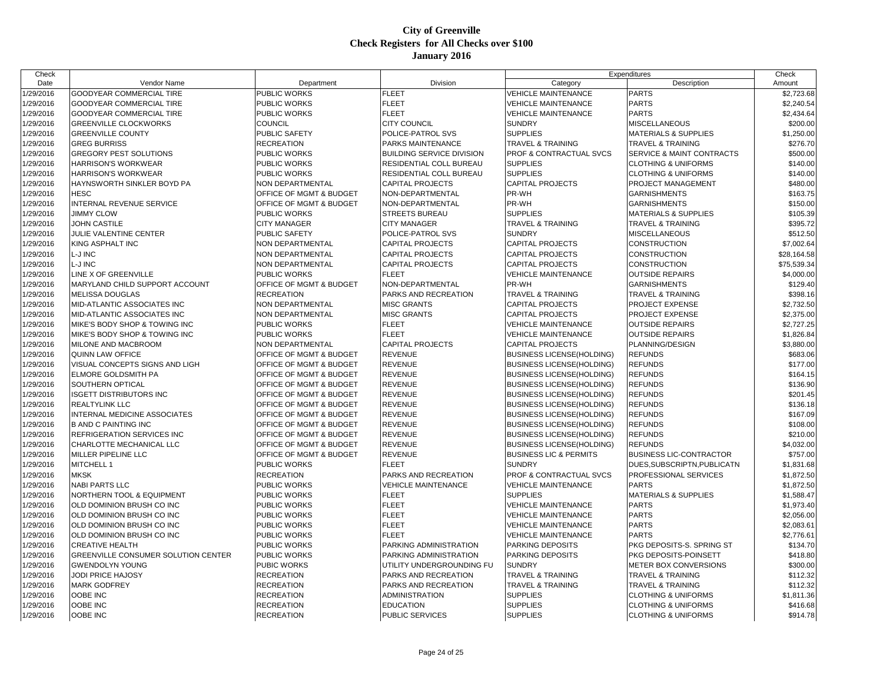| Check     |                                     |                                        |                                              | Expenditures                       |                                                                  | Check       |
|-----------|-------------------------------------|----------------------------------------|----------------------------------------------|------------------------------------|------------------------------------------------------------------|-------------|
| Date      | Vendor Name                         | Department                             | Division                                     | Category                           | Description                                                      | Amount      |
| 1/29/2016 | <b>GOODYEAR COMMERCIAL TIRE</b>     | PUBLIC WORKS                           | <b>FLEET</b>                                 | <b>VEHICLE MAINTENANCE</b>         | <b>PARTS</b>                                                     | \$2,723.68  |
| 1/29/2016 | GOODYEAR COMMERCIAL TIRE            | <b>PUBLIC WORKS</b>                    | <b>FLEET</b>                                 | <b>VEHICLE MAINTENANCE</b>         | <b>PARTS</b>                                                     | \$2,240.54  |
| 1/29/2016 | <b>GOODYEAR COMMERCIAL TIRE</b>     | <b>PUBLIC WORKS</b>                    | <b>FLEET</b>                                 | <b>VEHICLE MAINTENANCE</b>         | <b>PARTS</b>                                                     | \$2,434.64  |
| 1/29/2016 | <b>GREENVILLE CLOCKWORKS</b>        | <b>COUNCIL</b>                         | <b>CITY COUNCIL</b>                          | <b>SUNDRY</b>                      | <b>MISCELLANEOUS</b>                                             | \$200.00    |
| 1/29/2016 | <b>GREENVILLE COUNTY</b>            | <b>PUBLIC SAFETY</b>                   | POLICE-PATROL SVS                            | <b>SUPPLIES</b>                    | <b>MATERIALS &amp; SUPPLIES</b>                                  | \$1,250.00  |
| 1/29/2016 | <b>GREG BURRISS</b>                 | <b>RECREATION</b>                      | <b>PARKS MAINTENANCE</b>                     | <b>TRAVEL &amp; TRAINING</b>       | <b>TRAVEL &amp; TRAINING</b>                                     | \$276.70    |
| 1/29/2016 | GREGORY PEST SOLUTIONS              | PUBLIC WORKS                           | <b>BUILDING SERVICE DIVISION</b>             | PROF & CONTRACTUAL SVCS            | SERVICE & MAINT CONTRACTS                                        | \$500.00    |
| 1/29/2016 | HARRISON'S WORKWEAR                 | <b>PUBLIC WORKS</b>                    | RESIDENTIAL COLL BUREAU                      | <b>SUPPLIES</b>                    | <b>CLOTHING &amp; UNIFORMS</b>                                   | \$140.00    |
| 1/29/2016 | HARRISON'S WORKWEAR                 | <b>PUBLIC WORKS</b>                    | RESIDENTIAL COLL BUREAU                      | <b>SUPPLIES</b>                    | <b>CLOTHING &amp; UNIFORMS</b>                                   | \$140.00    |
| 1/29/2016 | HAYNSWORTH SINKLER BOYD PA          | NON DEPARTMENTAL                       | <b>CAPITAL PROJECTS</b>                      | <b>CAPITAL PROJECTS</b>            | PROJECT MANAGEMENT                                               | \$480.00    |
| 1/29/2016 | <b>HESC</b>                         | OFFICE OF MGMT & BUDGET                | NON-DEPARTMENTAL                             | PR-WH                              | <b>GARNISHMENTS</b>                                              | \$163.75    |
| 1/29/2016 | INTERNAL REVENUE SERVICE            | <b>OFFICE OF MGMT &amp; BUDGET</b>     | NON-DEPARTMENTAL                             | PR-WH                              | <b>GARNISHMENTS</b>                                              | \$150.00    |
| 1/29/2016 | <b>JIMMY CLOW</b>                   | <b>PUBLIC WORKS</b>                    | <b>STREETS BUREAU</b>                        | <b>SUPPLIES</b>                    | <b>MATERIALS &amp; SUPPLIES</b>                                  | \$105.39    |
| 1/29/2016 | JOHN CASTILE                        | <b>CITY MANAGER</b>                    | <b>CITY MANAGER</b>                          | <b>TRAVEL &amp; TRAINING</b>       | TRAVEL & TRAINING                                                | \$395.72    |
| 1/29/2016 | JULIE VALENTINE CENTER              | <b>PUBLIC SAFETY</b>                   | POLICE-PATROL SVS                            | <b>SUNDRY</b>                      | MISCELLANEOUS                                                    | \$512.50    |
| 1/29/2016 | KING ASPHALT INC                    | NON DEPARTMENTAL                       | <b>CAPITAL PROJECTS</b>                      | <b>CAPITAL PROJECTS</b>            | <b>CONSTRUCTION</b>                                              | \$7,002.64  |
| 1/29/2016 | L-J INC                             | NON DEPARTMENTAL                       | <b>CAPITAL PROJECTS</b>                      | <b>CAPITAL PROJECTS</b>            | <b>CONSTRUCTION</b>                                              | \$28,164.58 |
| 1/29/2016 | L-J INC                             | NON DEPARTMENTAL                       | <b>CAPITAL PROJECTS</b>                      | <b>CAPITAL PROJECTS</b>            | CONSTRUCTION                                                     | \$75,539.34 |
| 1/29/2016 | LINE X OF GREENVILLE                | <b>PUBLIC WORKS</b>                    | <b>FLEET</b>                                 | <b>VEHICLE MAINTENANCE</b>         | <b>OUTSIDE REPAIRS</b>                                           | \$4,000.00  |
| 1/29/2016 | MARYLAND CHILD SUPPORT ACCOUNT      | OFFICE OF MGMT & BUDGET                | NON-DEPARTMENTAL                             | PR-WH                              | <b>GARNISHMENTS</b>                                              | \$129.40    |
| 1/29/2016 | <b>MELISSA DOUGLAS</b>              | <b>RECREATION</b>                      | PARKS AND RECREATION                         | <b>TRAVEL &amp; TRAINING</b>       | <b>TRAVEL &amp; TRAINING</b>                                     | \$398.16    |
| 1/29/2016 | MID-ATLANTIC ASSOCIATES INC         | NON DEPARTMENTAL                       | <b>MISC GRANTS</b>                           | <b>CAPITAL PROJECTS</b>            | PROJECT EXPENSE                                                  | \$2,732.50  |
| 1/29/2016 | MID-ATLANTIC ASSOCIATES INC         | NON DEPARTMENTAL                       | <b>MISC GRANTS</b>                           | <b>CAPITAL PROJECTS</b>            | PROJECT EXPENSE                                                  | \$2,375.00  |
| 1/29/2016 | MIKE'S BODY SHOP & TOWING INC       | PUBLIC WORKS                           | <b>FLEET</b>                                 | <b>VEHICLE MAINTENANCE</b>         | <b>OUTSIDE REPAIRS</b>                                           | \$2,727.25  |
| 1/29/2016 | MIKE'S BODY SHOP & TOWING INC       | <b>PUBLIC WORKS</b>                    | <b>FLEET</b>                                 | <b>VEHICLE MAINTENANCE</b>         | <b>OUTSIDE REPAIRS</b>                                           | \$1,826.84  |
| 1/29/2016 | MILONE AND MACBROOM                 | NON DEPARTMENTAL                       | <b>CAPITAL PROJECTS</b>                      | <b>CAPITAL PROJECTS</b>            | PLANNING/DESIGN                                                  | \$3,880.00  |
| 1/29/2016 | QUINN LAW OFFICE                    | <b>OFFICE OF MGMT &amp; BUDGET</b>     | <b>REVENUE</b>                               | <b>BUSINESS LICENSE(HOLDING)</b>   | <b>REFUNDS</b>                                                   | \$683.06    |
| 1/29/2016 | VISUAL CONCEPTS SIGNS AND LIGH      | OFFICE OF MGMT & BUDGET                | <b>REVENUE</b>                               | <b>BUSINESS LICENSE(HOLDING)</b>   | <b>REFUNDS</b>                                                   | \$177.00    |
| 1/29/2016 | ELMORE GOLDSMITH PA                 | <b>OFFICE OF MGMT &amp; BUDGET</b>     | <b>REVENUE</b>                               | <b>BUSINESS LICENSE(HOLDING)</b>   | <b>REFUNDS</b>                                                   | \$164.15    |
| 1/29/2016 | SOUTHERN OPTICAL                    | <b>OFFICE OF MGMT &amp; BUDGET</b>     | <b>REVENUE</b>                               | BUSINESS LICENSE(HOLDING)          | <b>REFUNDS</b>                                                   | \$136.90    |
| 1/29/2016 | <b>ISGETT DISTRIBUTORS INC</b>      | OFFICE OF MGMT & BUDGET                | <b>REVENUE</b>                               | <b>BUSINESS LICENSE(HOLDING)</b>   | <b>REFUNDS</b>                                                   | \$201.45    |
| 1/29/2016 | <b>REALTYLINK LLC</b>               | OFFICE OF MGMT & BUDGET                | <b>REVENUE</b>                               | <b>BUSINESS LICENSE(HOLDING)</b>   | <b>REFUNDS</b>                                                   | \$136.18    |
| 1/29/2016 | INTERNAL MEDICINE ASSOCIATES        | <b>OFFICE OF MGMT &amp; BUDGET</b>     | <b>REVENUE</b>                               | <b>BUSINESS LICENSE(HOLDING)</b>   | <b>REFUNDS</b>                                                   | \$167.09    |
| 1/29/2016 | <b>B AND C PAINTING INC</b>         | <b>OFFICE OF MGMT &amp; BUDGET</b>     | <b>REVENUE</b>                               | BUSINESS LICENSE(HOLDING)          | <b>REFUNDS</b>                                                   | \$108.00    |
| 1/29/2016 | REFRIGERATION SERVICES INC          | <b>OFFICE OF MGMT &amp; BUDGET</b>     | <b>REVENUE</b>                               | BUSINESS LICENSE(HOLDING)          | <b>REFUNDS</b>                                                   | \$210.00    |
| 1/29/2016 | CHARLOTTE MECHANICAL LLC            | <b>OFFICE OF MGMT &amp; BUDGET</b>     | <b>REVENUE</b>                               | <b>BUSINESS LICENSE(HOLDING)</b>   | <b>REFUNDS</b>                                                   | \$4,032.00  |
| 1/29/2016 | MILLER PIPELINE LLC                 | <b>OFFICE OF MGMT &amp; BUDGET</b>     | <b>REVENUE</b>                               | <b>BUSINESS LIC &amp; PERMITS</b>  | <b>BUSINESS LIC-CONTRACTOR</b>                                   | \$757.00    |
| 1/29/2016 | MITCHELL 1                          | <b>PUBLIC WORKS</b>                    | <b>FLEET</b>                                 | <b>SUNDRY</b>                      | DUES, SUBSCRIPTN, PUBLICATN                                      | \$1,831.68  |
| 1/29/2016 | <b>MKSK</b>                         | <b>RECREATION</b>                      | PARKS AND RECREATION                         | PROF & CONTRACTUAL SVCS            | PROFESSIONAL SERVICES                                            | \$1,872.50  |
| 1/29/2016 | <b>NABI PARTS LLC</b>               | <b>PUBLIC WORKS</b>                    | <b>VEHICLE MAINTENANCE</b>                   | <b>VEHICLE MAINTENANCE</b>         | <b>PARTS</b>                                                     | \$1,872.50  |
| 1/29/2016 | NORTHERN TOOL & EQUIPMENT           | <b>PUBLIC WORKS</b>                    | <b>FLEET</b>                                 | <b>SUPPLIES</b>                    | <b>MATERIALS &amp; SUPPLIES</b>                                  | \$1,588.47  |
| 1/29/2016 | OLD DOMINION BRUSH CO INC           | <b>PUBLIC WORKS</b>                    | <b>FLEET</b>                                 | <b>VEHICLE MAINTENANCE</b>         | <b>PARTS</b>                                                     | \$1,973.40  |
| 1/29/2016 | OLD DOMINION BRUSH CO INC           | <b>PUBLIC WORKS</b>                    | <b>FLEET</b>                                 | <b>VEHICLE MAINTENANCE</b>         | <b>PARTS</b>                                                     | \$2,056.00  |
| 1/29/2016 | OLD DOMINION BRUSH CO INC           | <b>PUBLIC WORKS</b>                    | <b>FLEET</b>                                 | <b>VEHICLE MAINTENANCE</b>         | <b>PARTS</b>                                                     | \$2,083.61  |
| 1/29/2016 | OLD DOMINION BRUSH CO INC           | <b>PUBLIC WORKS</b>                    | <b>FLEET</b>                                 | <b>VEHICLE MAINTENANCE</b>         | <b>PARTS</b>                                                     | \$2,776.61  |
| 1/29/2016 | <b>CREATIVE HEALTH</b>              | <b>PUBLIC WORKS</b>                    | PARKING ADMINISTRATION                       | PARKING DEPOSITS                   | PKG DEPOSITS-S. SPRING ST                                        | \$134.70    |
| 1/29/2016 | GREENVILLE CONSUMER SOLUTION CENTER | <b>PUBLIC WORKS</b>                    | PARKING ADMINISTRATION                       | PARKING DEPOSITS                   | PKG DEPOSITS-POINSETT                                            | \$418.80    |
| 1/29/2016 | <b>GWENDOLYN YOUNG</b>              | <b>PUBIC WORKS</b>                     | UTILITY UNDERGROUNDING FU                    | <b>SUNDRY</b>                      | <b>METER BOX CONVERSIONS</b>                                     | \$300.00    |
| 1/29/2016 | JODI PRICE HAJOSY                   | <b>RECREATION</b>                      |                                              | <b>TRAVEL &amp; TRAINING</b>       |                                                                  | \$112.32    |
| 1/29/2016 | <b>MARK GODFREY</b>                 | <b>RECREATION</b>                      | PARKS AND RECREATION<br>PARKS AND RECREATION | <b>TRAVEL &amp; TRAINING</b>       | <b>TRAVEL &amp; TRAINING</b>                                     | \$112.32    |
| 1/29/2016 | OOBE INC                            |                                        |                                              |                                    | TRAVEL & TRAINING                                                | \$1,811.36  |
| 1/29/2016 | OOBE INC                            | <b>RECREATION</b><br><b>RECREATION</b> | <b>ADMINISTRATION</b><br><b>EDUCATION</b>    | <b>SUPPLIES</b><br><b>SUPPLIES</b> | <b>CLOTHING &amp; UNIFORMS</b><br><b>CLOTHING &amp; UNIFORMS</b> |             |
|           |                                     |                                        |                                              |                                    |                                                                  | \$416.68    |
| 1/29/2016 | OOBE INC                            | <b>RECREATION</b>                      | PUBLIC SERVICES                              | <b>SUPPLIES</b>                    | <b>CLOTHING &amp; UNIFORMS</b>                                   | \$914.78    |